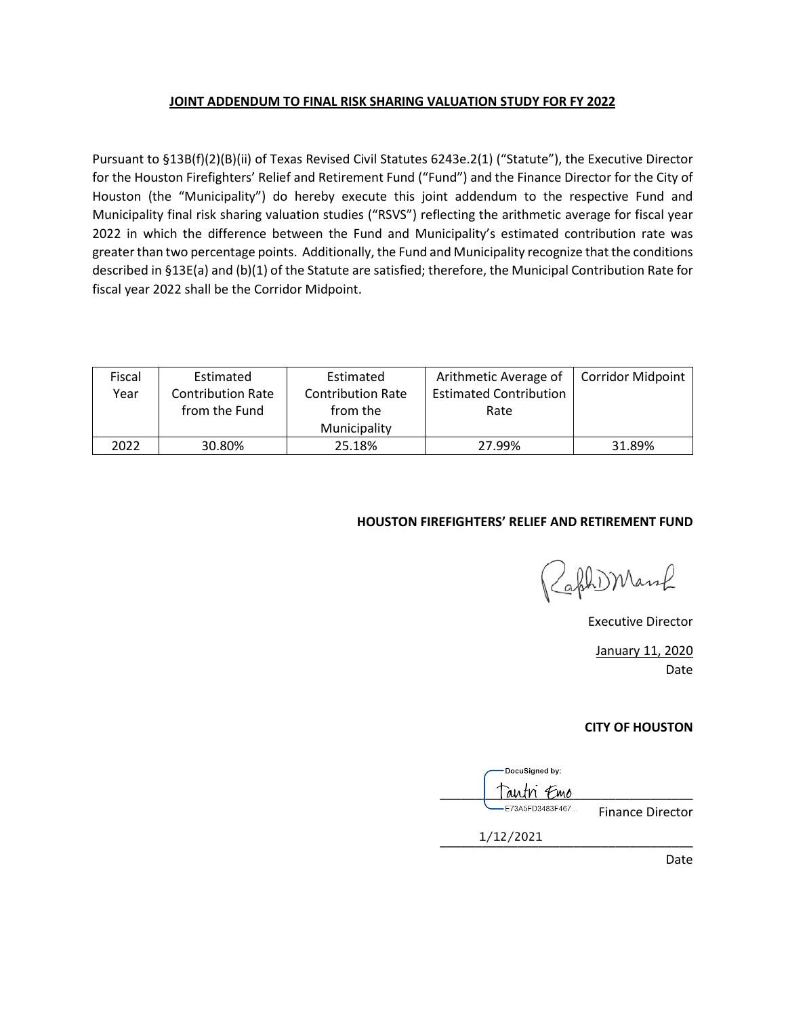#### **JOINT ADDENDUM TO FINAL RISK SHARING VALUATION STUDY FOR FY 2022**

Pursuant to §13B(f)(2)(B)(ii) of Texas Revised Civil Statutes 6243e.2(1) ("Statute"), the Executive Director for the Houston Firefighters' Relief and Retirement Fund ("Fund") and the Finance Director for the City of Houston (the "Municipality") do hereby execute this joint addendum to the respective Fund and Municipality final risk sharing valuation studies ("RSVS") reflecting the arithmetic average for fiscal year 2022 in which the difference between the Fund and Municipality's estimated contribution rate was greater than two percentage points. Additionally, the Fund and Municipality recognize that the conditions described in §13E(a) and (b)(1) of the Statute are satisfied; therefore, the Municipal Contribution Rate for fiscal year 2022 shall be the Corridor Midpoint.

| Fiscal | Estimated                | Estimated                | Arithmetic Average of         | <b>Corridor Midpoint</b> |
|--------|--------------------------|--------------------------|-------------------------------|--------------------------|
| Year   | <b>Contribution Rate</b> | <b>Contribution Rate</b> | <b>Estimated Contribution</b> |                          |
|        | from the Fund            | from the                 | Rate                          |                          |
|        |                          | Municipality             |                               |                          |
| 2022   | 30.80%                   | 25.18%                   | 27.99%                        | 31.89%                   |

#### **HOUSTON FIREFIGHTERS' RELIEF AND RETIREMENT FUND**

ZaphDManf

Executive Director

January 11, 2020 Date

#### **CITY OF HOUSTON**

DocuSigned by: autn *F*mo E73A5FD3483F467... Finance Director \_\_\_\_\_\_\_\_\_\_\_\_\_\_\_\_\_\_\_\_\_\_\_\_\_\_\_\_\_\_\_\_\_\_\_\_ 1/12/2021

Date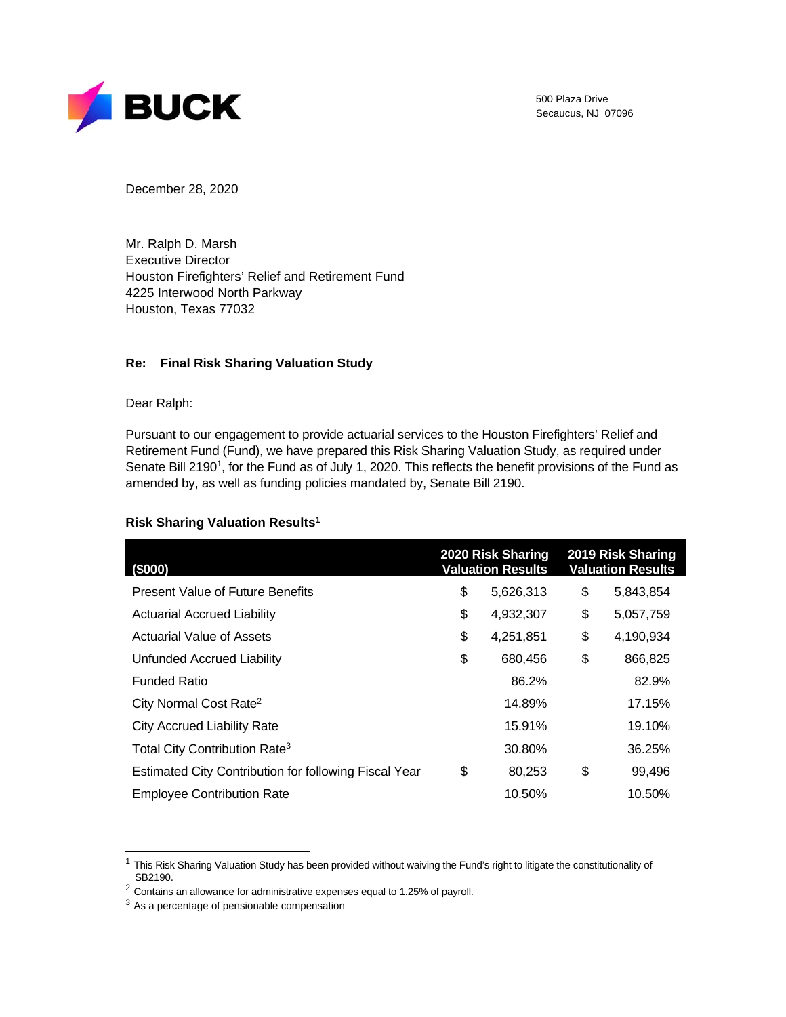

500 Plaza Drive Secaucus, NJ 07096

December 28, 2020

Mr. Ralph D. Marsh Executive Director Houston Firefighters' Relief and Retirement Fund 4225 Interwood North Parkway Houston, Texas 77032

#### **Re: Final Risk Sharing Valuation Study**

Dear Ralph:

Pursuant to our engagement to provide actuarial services to the Houston Firefighters' Relief and Retirement Fund (Fund), we have prepared this Risk Sharing Valuation Study, as required under Senate Bill 2190<sup>1</sup>, for the Fund as of July 1, 2020. This reflects the benefit provisions of the Fund as amended by, as well as funding policies mandated by, Senate Bill 2190.

| (\$000)                                               | 2020 Risk Sharing<br><b>Valuation Results</b> | 2019 Risk Sharing<br><b>Valuation Results</b> |
|-------------------------------------------------------|-----------------------------------------------|-----------------------------------------------|
| <b>Present Value of Future Benefits</b>               | \$<br>5,626,313                               | \$<br>5,843,854                               |
| <b>Actuarial Accrued Liability</b>                    | \$<br>4,932,307                               | \$<br>5,057,759                               |
| Actuarial Value of Assets                             | \$<br>4,251,851                               | \$<br>4,190,934                               |
| Unfunded Accrued Liability                            | \$<br>680,456                                 | \$<br>866,825                                 |
| <b>Funded Ratio</b>                                   | 86.2%                                         | 82.9%                                         |
| City Normal Cost Rate <sup>2</sup>                    | 14.89%                                        | 17.15%                                        |
| <b>City Accrued Liability Rate</b>                    | 15.91%                                        | 19.10%                                        |
| Total City Contribution Rate <sup>3</sup>             | 30.80%                                        | 36.25%                                        |
| Estimated City Contribution for following Fiscal Year | \$<br>80,253                                  | \$<br>99,496                                  |
| <b>Employee Contribution Rate</b>                     | 10.50%                                        | 10.50%                                        |

#### **Risk Sharing Valuation Results1**

 $1$  This Risk Sharing Valuation Study has been provided without waiving the Fund's right to litigate the constitutionality of SB2190.

<sup>2</sup> Contains an allowance for administrative expenses equal to 1.25% of payroll.

 $3$  As a percentage of pensionable compensation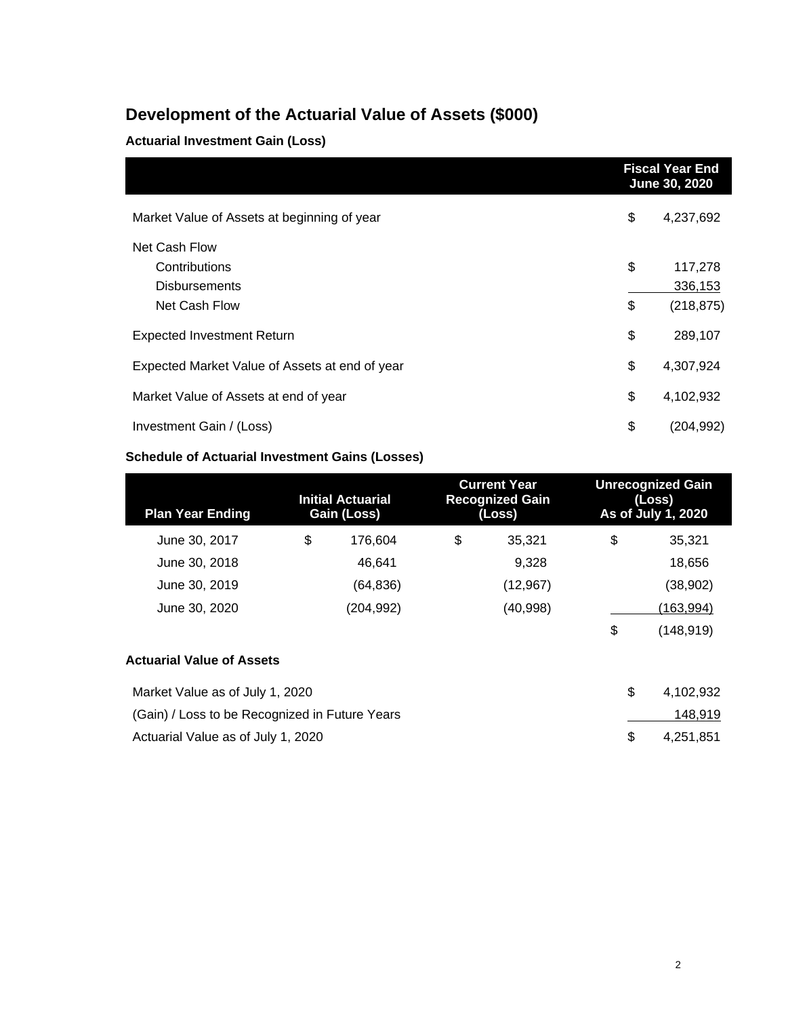### **Development of the Actuarial Value of Assets (\$000)**

### **Actuarial Investment Gain (Loss)**

|                                                | <b>Fiscal Year End</b><br>June 30, 2020 |
|------------------------------------------------|-----------------------------------------|
| Market Value of Assets at beginning of year    | \$<br>4,237,692                         |
| Net Cash Flow                                  |                                         |
| Contributions                                  | \$<br>117,278                           |
| <b>Disbursements</b>                           | 336,153                                 |
| Net Cash Flow                                  | \$<br>(218, 875)                        |
| <b>Expected Investment Return</b>              | \$<br>289,107                           |
| Expected Market Value of Assets at end of year | \$<br>4,307,924                         |
| Market Value of Assets at end of year          | \$<br>4,102,932                         |
| Investment Gain / (Loss)                       | \$<br>(204, 992)                        |

#### **Schedule of Actuarial Investment Gains (Losses)**

| <b>Plan Year Ending</b> | Initial Actuarial<br>Gain (Loss) | <b>Current Year</b><br><b>Recognized Gain</b><br>(Loss) | <b>Unrecognized Gain</b><br>(Loss)<br>As of July 1, 2020 |
|-------------------------|----------------------------------|---------------------------------------------------------|----------------------------------------------------------|
| June 30, 2017           | \$<br>176.604                    | \$<br>35.321                                            | \$<br>35,321                                             |
| June 30, 2018           | 46.641                           | 9,328                                                   | 18,656                                                   |
| June 30, 2019           | (64, 836)                        | (12, 967)                                               | (38,902)                                                 |
| June 30, 2020           | (204, 992)                       | (40, 998)                                               | (163, 994)                                               |
|                         |                                  |                                                         | \$<br>(148,919)                                          |

### **Actuarial Value of Assets**

| Market Value as of July 1, 2020                | 4.102.932 |
|------------------------------------------------|-----------|
| (Gain) / Loss to be Recognized in Future Years | 148,919   |
| Actuarial Value as of July 1, 2020             | 4.251.851 |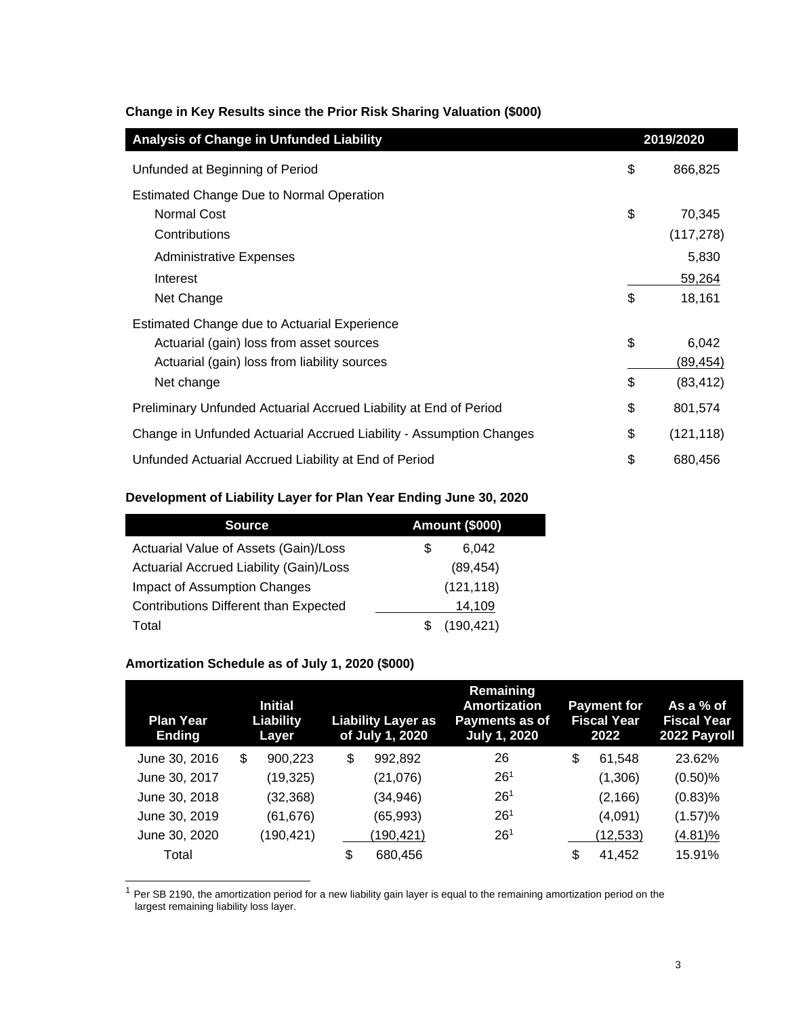| Analysis of Change in Unfunded Liability                            | 2019/2020        |
|---------------------------------------------------------------------|------------------|
| Unfunded at Beginning of Period                                     | \$<br>866,825    |
| <b>Estimated Change Due to Normal Operation</b>                     |                  |
| <b>Normal Cost</b>                                                  | \$<br>70,345     |
| Contributions                                                       | (117, 278)       |
| <b>Administrative Expenses</b>                                      | 5,830            |
| Interest                                                            | 59,264           |
| Net Change                                                          | \$<br>18,161     |
| Estimated Change due to Actuarial Experience                        |                  |
| Actuarial (gain) loss from asset sources                            | \$<br>6,042      |
| Actuarial (gain) loss from liability sources                        | <u>(89,454)</u>  |
| Net change                                                          | \$<br>(83, 412)  |
| Preliminary Unfunded Actuarial Accrued Liability at End of Period   | \$<br>801,574    |
| Change in Unfunded Actuarial Accrued Liability - Assumption Changes | \$<br>(121, 118) |
| Unfunded Actuarial Accrued Liability at End of Period               | \$<br>680,456    |

#### **Change in Key Results since the Prior Risk Sharing Valuation (\$000)**

#### **Development of Liability Layer for Plan Year Ending June 30, 2020**

| <b>Source</b>                                | <b>Amount (\$000)</b> |
|----------------------------------------------|-----------------------|
| Actuarial Value of Assets (Gain)/Loss        | 6.042<br>S            |
| Actuarial Accrued Liability (Gain)/Loss      | (89, 454)             |
| Impact of Assumption Changes                 | (121, 118)            |
| <b>Contributions Different than Expected</b> | 14,109                |
| Total                                        | (190, 421)            |

#### **Amortization Schedule as of July 1, 2020 (\$000)**

| <b>Plan Year</b><br><b>Ending</b> | <b>Initial</b><br>Liability<br>Layer | <b>Liability Layer as</b><br>of July 1, 2020 | <b>Remaining</b><br><b>Amortization</b><br>Payments as of<br><b>July 1, 2020</b> | <b>Payment for</b><br><b>Fiscal Year</b><br>2022 | As a % of<br><b>Fiscal Year</b><br>2022 Payroll |
|-----------------------------------|--------------------------------------|----------------------------------------------|----------------------------------------------------------------------------------|--------------------------------------------------|-------------------------------------------------|
| June 30, 2016                     | \$<br>900,223                        | \$<br>992,892                                | 26                                                                               | \$<br>61.548                                     | 23.62%                                          |
| June 30, 2017                     | (19, 325)                            | (21, 076)                                    | 26 <sup>1</sup>                                                                  | (1,306)                                          | $(0.50)$ %                                      |
| June 30, 2018                     | (32, 368)                            | (34, 946)                                    | 26 <sup>1</sup>                                                                  | (2, 166)                                         | $(0.83)$ %                                      |
| June 30, 2019                     | (61, 676)                            | (65, 993)                                    | 26 <sup>1</sup>                                                                  | (4,091)                                          | (1.57)%                                         |
| June 30, 2020                     | (190,421)                            | (190, 421)                                   | 26 <sup>1</sup>                                                                  | (12, 533)                                        | $(4.81)\%$                                      |
| Total                             |                                      | \$<br>680.456                                |                                                                                  | \$<br>41,452                                     | 15.91%                                          |

 $1$  Per SB 2190, the amortization period for a new liability gain layer is equal to the remaining amortization period on the largest remaining liability loss layer.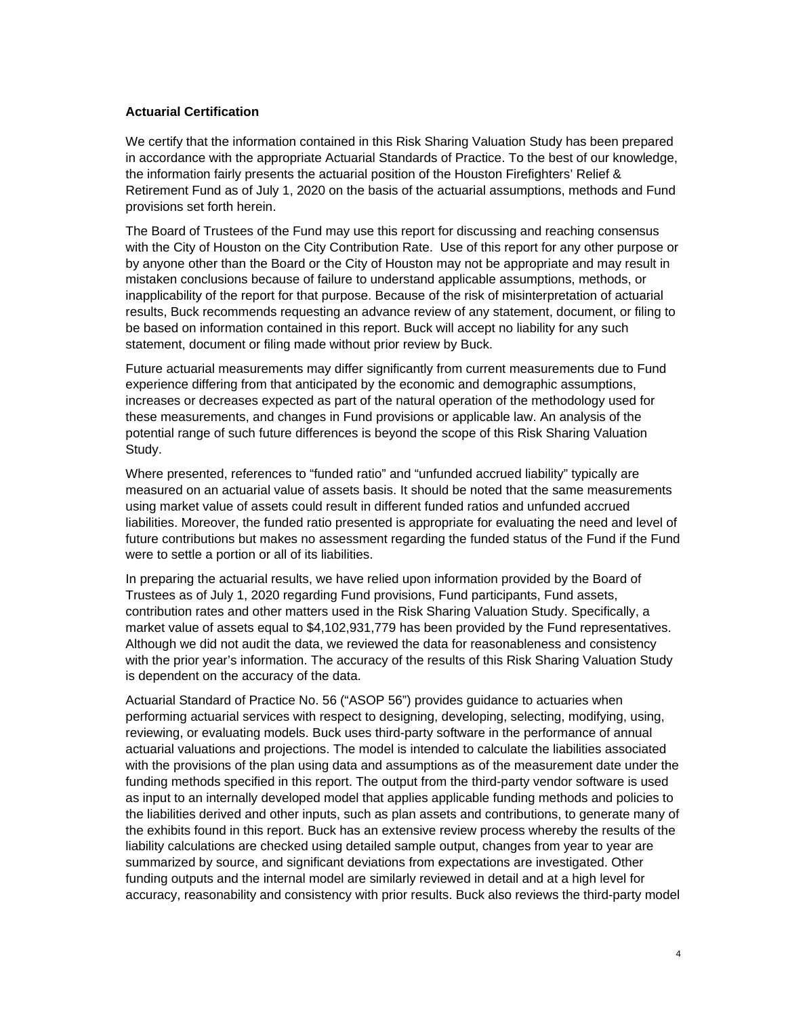#### **Actuarial Certification**

We certify that the information contained in this Risk Sharing Valuation Study has been prepared in accordance with the appropriate Actuarial Standards of Practice. To the best of our knowledge, the information fairly presents the actuarial position of the Houston Firefighters' Relief & Retirement Fund as of July 1, 2020 on the basis of the actuarial assumptions, methods and Fund provisions set forth herein.

The Board of Trustees of the Fund may use this report for discussing and reaching consensus with the City of Houston on the City Contribution Rate. Use of this report for any other purpose or by anyone other than the Board or the City of Houston may not be appropriate and may result in mistaken conclusions because of failure to understand applicable assumptions, methods, or inapplicability of the report for that purpose. Because of the risk of misinterpretation of actuarial results, Buck recommends requesting an advance review of any statement, document, or filing to be based on information contained in this report. Buck will accept no liability for any such statement, document or filing made without prior review by Buck.

Future actuarial measurements may differ significantly from current measurements due to Fund experience differing from that anticipated by the economic and demographic assumptions, increases or decreases expected as part of the natural operation of the methodology used for these measurements, and changes in Fund provisions or applicable law. An analysis of the potential range of such future differences is beyond the scope of this Risk Sharing Valuation Study.

Where presented, references to "funded ratio" and "unfunded accrued liability" typically are measured on an actuarial value of assets basis. It should be noted that the same measurements using market value of assets could result in different funded ratios and unfunded accrued liabilities. Moreover, the funded ratio presented is appropriate for evaluating the need and level of future contributions but makes no assessment regarding the funded status of the Fund if the Fund were to settle a portion or all of its liabilities.

In preparing the actuarial results, we have relied upon information provided by the Board of Trustees as of July 1, 2020 regarding Fund provisions, Fund participants, Fund assets, contribution rates and other matters used in the Risk Sharing Valuation Study. Specifically, a market value of assets equal to \$4,102,931,779 has been provided by the Fund representatives. Although we did not audit the data, we reviewed the data for reasonableness and consistency with the prior year's information. The accuracy of the results of this Risk Sharing Valuation Study is dependent on the accuracy of the data.

Actuarial Standard of Practice No. 56 ("ASOP 56") provides guidance to actuaries when performing actuarial services with respect to designing, developing, selecting, modifying, using, reviewing, or evaluating models. Buck uses third-party software in the performance of annual actuarial valuations and projections. The model is intended to calculate the liabilities associated with the provisions of the plan using data and assumptions as of the measurement date under the funding methods specified in this report. The output from the third-party vendor software is used as input to an internally developed model that applies applicable funding methods and policies to the liabilities derived and other inputs, such as plan assets and contributions, to generate many of the exhibits found in this report. Buck has an extensive review process whereby the results of the liability calculations are checked using detailed sample output, changes from year to year are summarized by source, and significant deviations from expectations are investigated. Other funding outputs and the internal model are similarly reviewed in detail and at a high level for accuracy, reasonability and consistency with prior results. Buck also reviews the third-party model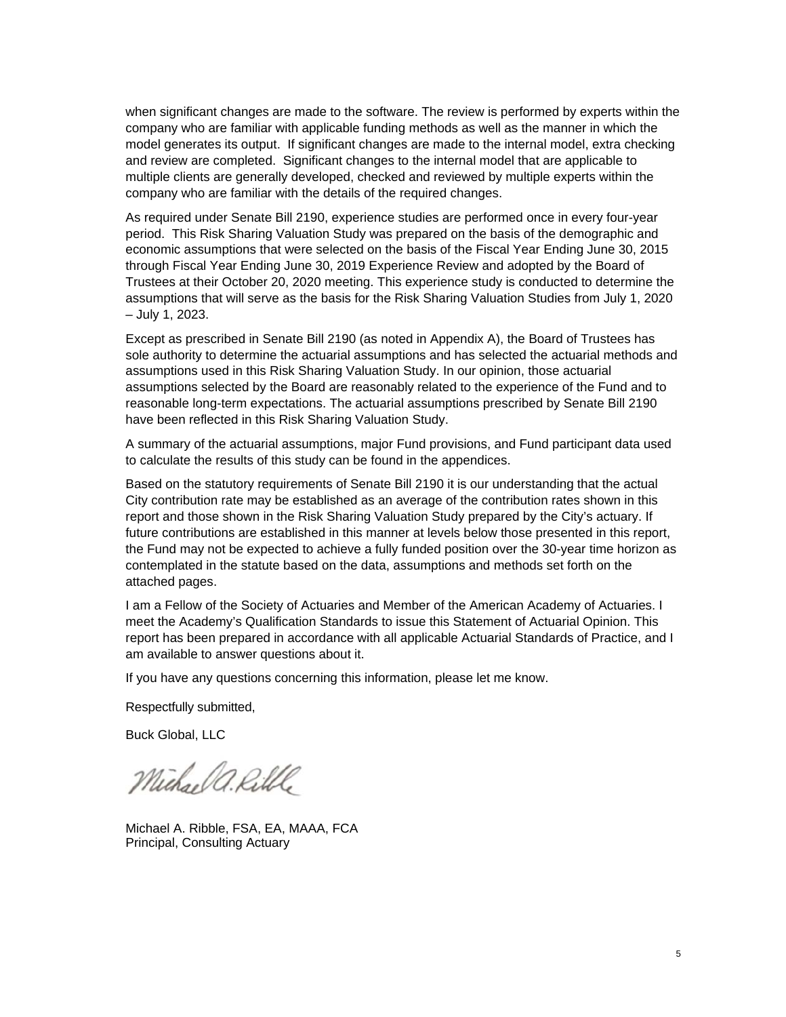when significant changes are made to the software. The review is performed by experts within the company who are familiar with applicable funding methods as well as the manner in which the model generates its output. If significant changes are made to the internal model, extra checking and review are completed. Significant changes to the internal model that are applicable to multiple clients are generally developed, checked and reviewed by multiple experts within the company who are familiar with the details of the required changes.

As required under Senate Bill 2190, experience studies are performed once in every four-year period. This Risk Sharing Valuation Study was prepared on the basis of the demographic and economic assumptions that were selected on the basis of the Fiscal Year Ending June 30, 2015 through Fiscal Year Ending June 30, 2019 Experience Review and adopted by the Board of Trustees at their October 20, 2020 meeting. This experience study is conducted to determine the assumptions that will serve as the basis for the Risk Sharing Valuation Studies from July 1, 2020 – July 1, 2023.

Except as prescribed in Senate Bill 2190 (as noted in Appendix A), the Board of Trustees has sole authority to determine the actuarial assumptions and has selected the actuarial methods and assumptions used in this Risk Sharing Valuation Study. In our opinion, those actuarial assumptions selected by the Board are reasonably related to the experience of the Fund and to reasonable long-term expectations. The actuarial assumptions prescribed by Senate Bill 2190 have been reflected in this Risk Sharing Valuation Study.

A summary of the actuarial assumptions, major Fund provisions, and Fund participant data used to calculate the results of this study can be found in the appendices.

Based on the statutory requirements of Senate Bill 2190 it is our understanding that the actual City contribution rate may be established as an average of the contribution rates shown in this report and those shown in the Risk Sharing Valuation Study prepared by the City's actuary. If future contributions are established in this manner at levels below those presented in this report, the Fund may not be expected to achieve a fully funded position over the 30-year time horizon as contemplated in the statute based on the data, assumptions and methods set forth on the attached pages.

I am a Fellow of the Society of Actuaries and Member of the American Academy of Actuaries. I meet the Academy's Qualification Standards to issue this Statement of Actuarial Opinion. This report has been prepared in accordance with all applicable Actuarial Standards of Practice, and I am available to answer questions about it.

If you have any questions concerning this information, please let me know.

Respectfully submitted,

Buck Global, LLC

Michael a. Rillle

Michael A. Ribble, FSA, EA, MAAA, FCA Principal, Consulting Actuary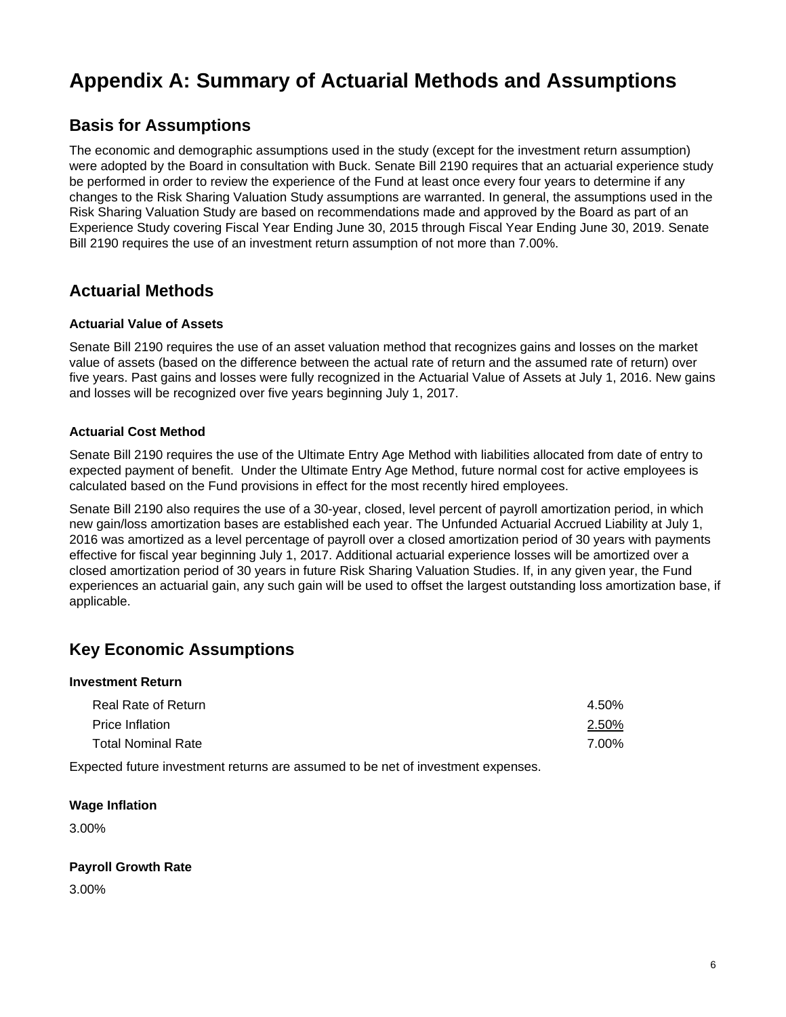### **Basis for Assumptions**

The economic and demographic assumptions used in the study (except for the investment return assumption) were adopted by the Board in consultation with Buck. Senate Bill 2190 requires that an actuarial experience study be performed in order to review the experience of the Fund at least once every four years to determine if any changes to the Risk Sharing Valuation Study assumptions are warranted. In general, the assumptions used in the Risk Sharing Valuation Study are based on recommendations made and approved by the Board as part of an Experience Study covering Fiscal Year Ending June 30, 2015 through Fiscal Year Ending June 30, 2019. Senate Bill 2190 requires the use of an investment return assumption of not more than 7.00%.

### **Actuarial Methods**

#### **Actuarial Value of Assets**

Senate Bill 2190 requires the use of an asset valuation method that recognizes gains and losses on the market value of assets (based on the difference between the actual rate of return and the assumed rate of return) over five years. Past gains and losses were fully recognized in the Actuarial Value of Assets at July 1, 2016. New gains and losses will be recognized over five years beginning July 1, 2017.

#### **Actuarial Cost Method**

Senate Bill 2190 requires the use of the Ultimate Entry Age Method with liabilities allocated from date of entry to expected payment of benefit. Under the Ultimate Entry Age Method, future normal cost for active employees is calculated based on the Fund provisions in effect for the most recently hired employees.

Senate Bill 2190 also requires the use of a 30-year, closed, level percent of payroll amortization period, in which new gain/loss amortization bases are established each year. The Unfunded Actuarial Accrued Liability at July 1, 2016 was amortized as a level percentage of payroll over a closed amortization period of 30 years with payments effective for fiscal year beginning July 1, 2017. Additional actuarial experience losses will be amortized over a closed amortization period of 30 years in future Risk Sharing Valuation Studies. If, in any given year, the Fund experiences an actuarial gain, any such gain will be used to offset the largest outstanding loss amortization base, if applicable.

### **Key Economic Assumptions**

#### **Investment Return**

| Real Rate of Return       | 4.50% |
|---------------------------|-------|
| <b>Price Inflation</b>    | 2.50% |
| <b>Total Nominal Rate</b> | 7.00% |

Expected future investment returns are assumed to be net of investment expenses.

#### **Wage Inflation**

3.00%

#### **Payroll Growth Rate**

3.00%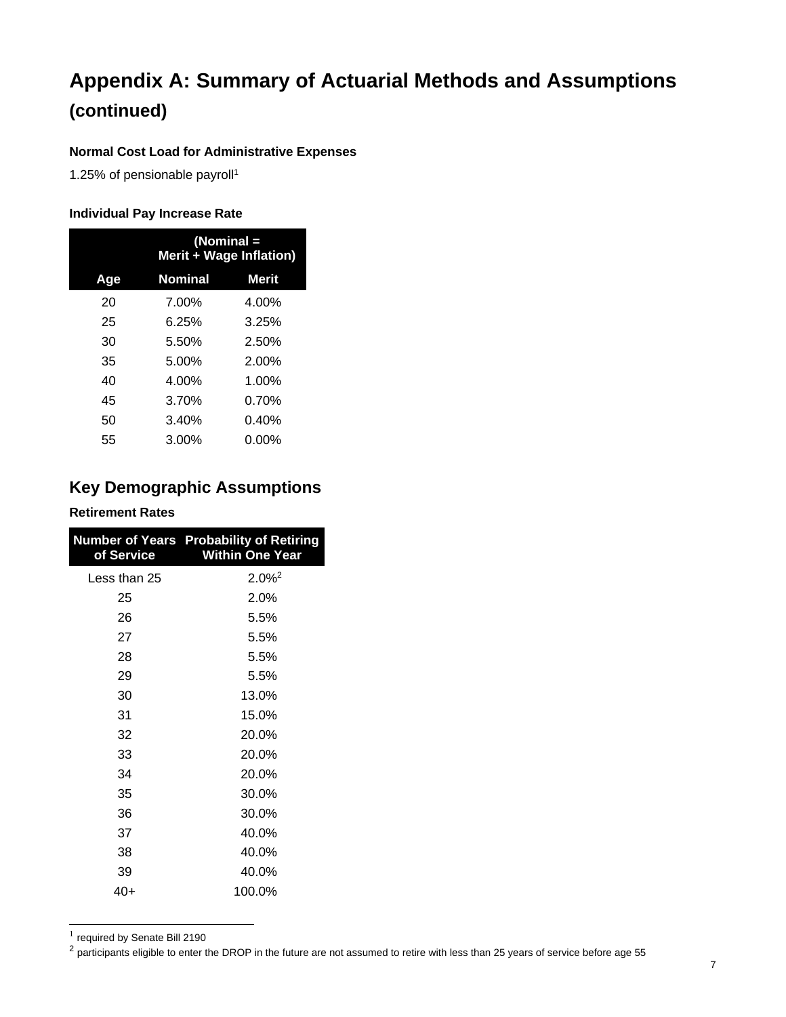#### **Normal Cost Load for Administrative Expenses**

1.25% of pensionable payroll1

#### **Individual Pay Increase Rate**

|     | (Nominal =<br>Merit + Wage Inflation) |              |  |
|-----|---------------------------------------|--------------|--|
| Age | <b>Nominal</b>                        | <b>Merit</b> |  |
| 20  | 7.00%                                 | 4.00%        |  |
| 25  | 6.25%                                 | 3.25%        |  |
| 30  | 5.50%                                 | 2.50%        |  |
| 35  | 5.00%                                 | $2.00\%$     |  |
| 40  | 4.00%                                 | 1.00%        |  |
| 45  | 3.70%                                 | 0.70%        |  |
| 50  | 3.40%                                 | 0.40%        |  |
| 55  | $3.00\%$                              | 0.00%        |  |

### **Key Demographic Assumptions**

#### **Retirement Rates**

| of Service   | <b>Number of Years Probability of Retiring</b><br><b>Within One Year</b> |
|--------------|--------------------------------------------------------------------------|
| Less than 25 | $2.0\%$ <sup>2</sup>                                                     |
| 25           | 2.0%                                                                     |
| 26           | 5.5%                                                                     |
| 27           | 5.5%                                                                     |
| 28           | 5.5%                                                                     |
| 29           | 5.5%                                                                     |
| 30           | 13.0%                                                                    |
| 31           | 15.0%                                                                    |
| 32           | 20.0%                                                                    |
| 33           | 20.0%                                                                    |
| 34           | 20.0%                                                                    |
| 35           | 30.0%                                                                    |
| 36           | 30.0%                                                                    |
| 37           | 40.0%                                                                    |
| 38           | 40.0%                                                                    |
| 39           | 40.0%                                                                    |
| 40+          | 100.0%                                                                   |

 $<sup>1</sup>$  required by Senate Bill 2190</sup>

<sup>2</sup> participants eligible to enter the DROP in the future are not assumed to retire with less than 25 years of service before age 55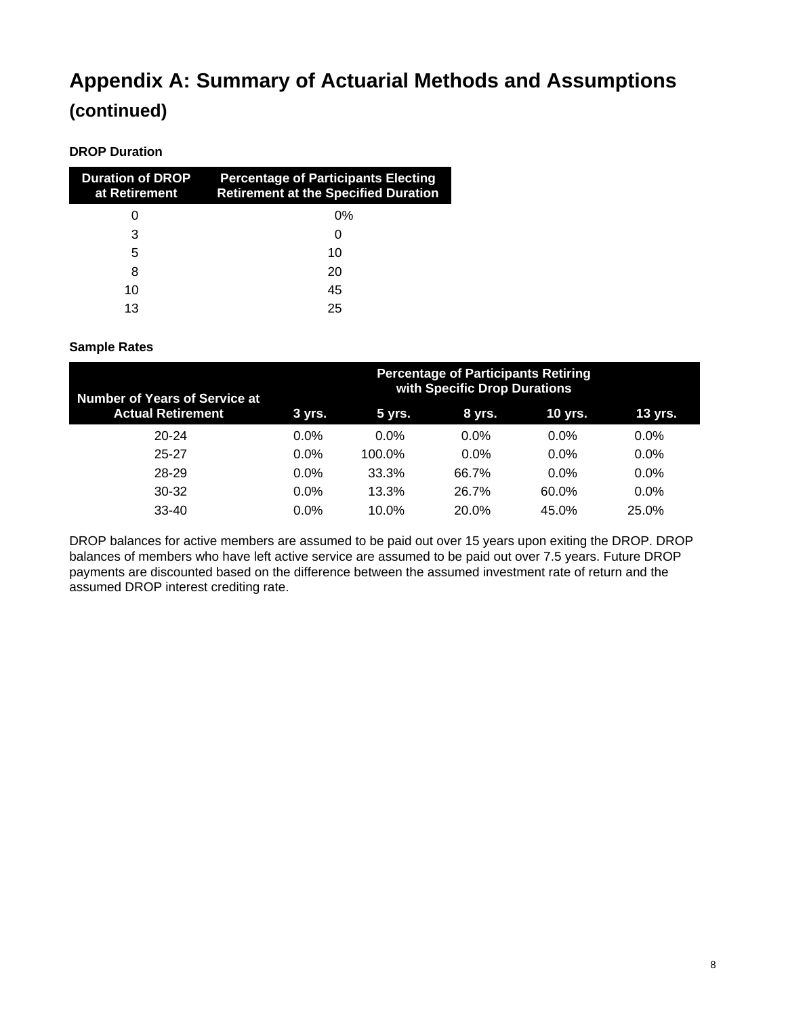#### **DROP Duration**

| <b>Duration of DROP</b><br>at Retirement | <b>Percentage of Participants Electing</b><br><b>Retirement at the Specified Duration</b> |
|------------------------------------------|-------------------------------------------------------------------------------------------|
|                                          | 0%                                                                                        |
| 3                                        |                                                                                           |
| 5                                        | 10                                                                                        |
| 8                                        | 20                                                                                        |
| 10                                       | 45                                                                                        |
| 13                                       | 25                                                                                        |

#### **Sample Rates**

| <b>Number of Years of Service at</b> | <b>Percentage of Participants Retiring</b><br>with Specific Drop Durations |         |         |                |         |  |  |  |  |
|--------------------------------------|----------------------------------------------------------------------------|---------|---------|----------------|---------|--|--|--|--|
| <b>Actual Retirement</b>             | 3 yrs.                                                                     | 5 yrs.  | 8 yrs.  | <b>10 yrs.</b> | 13 yrs. |  |  |  |  |
| $20 - 24$                            | $0.0\%$                                                                    | $0.0\%$ | $0.0\%$ | $0.0\%$        | $0.0\%$ |  |  |  |  |
| 25-27                                | $0.0\%$                                                                    | 100.0%  | $0.0\%$ | $0.0\%$        | $0.0\%$ |  |  |  |  |
| 28-29                                | $0.0\%$                                                                    | 33.3%   | 66.7%   | $0.0\%$        | $0.0\%$ |  |  |  |  |
| $30 - 32$                            | $0.0\%$                                                                    | 13.3%   | 26.7%   | 60.0%          | $0.0\%$ |  |  |  |  |
| $33-40$                              | $0.0\%$                                                                    | 10.0%   | 20.0%   | 45.0%          | 25.0%   |  |  |  |  |

DROP balances for active members are assumed to be paid out over 15 years upon exiting the DROP. DROP balances of members who have left active service are assumed to be paid out over 7.5 years. Future DROP payments are discounted based on the difference between the assumed investment rate of return and the assumed DROP interest crediting rate.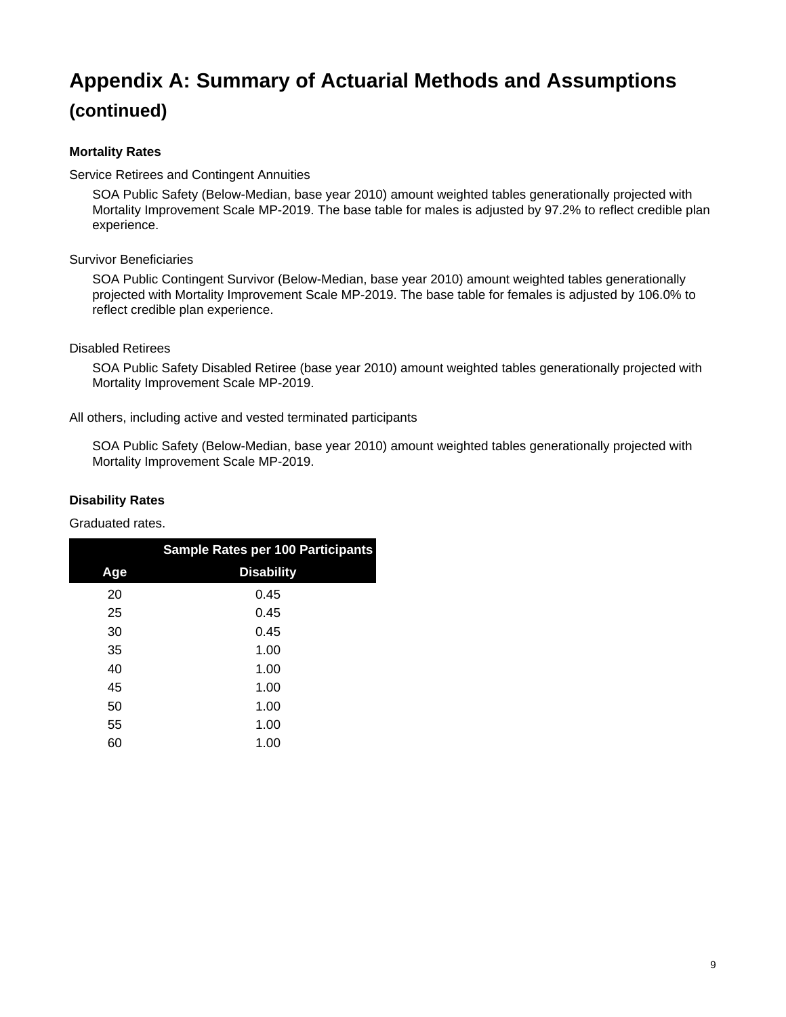#### **Mortality Rates**

Service Retirees and Contingent Annuities

SOA Public Safety (Below-Median, base year 2010) amount weighted tables generationally projected with Mortality Improvement Scale MP-2019. The base table for males is adjusted by 97.2% to reflect credible plan experience.

#### Survivor Beneficiaries

SOA Public Contingent Survivor (Below-Median, base year 2010) amount weighted tables generationally projected with Mortality Improvement Scale MP-2019. The base table for females is adjusted by 106.0% to reflect credible plan experience.

#### Disabled Retirees

SOA Public Safety Disabled Retiree (base year 2010) amount weighted tables generationally projected with Mortality Improvement Scale MP-2019.

All others, including active and vested terminated participants

SOA Public Safety (Below-Median, base year 2010) amount weighted tables generationally projected with Mortality Improvement Scale MP-2019.

#### **Disability Rates**

Graduated rates.

|     | <b>Sample Rates per 100 Participants</b> |
|-----|------------------------------------------|
| Age | <b>Disability</b>                        |
| 20  | 0.45                                     |
| 25  | 0.45                                     |
| 30  | 0.45                                     |
| 35  | 1.00                                     |
| 40  | 1.00                                     |
| 45  | 1.00                                     |
| 50  | 1.00                                     |
| 55  | 1.00                                     |
| 60  | 1.00                                     |
|     |                                          |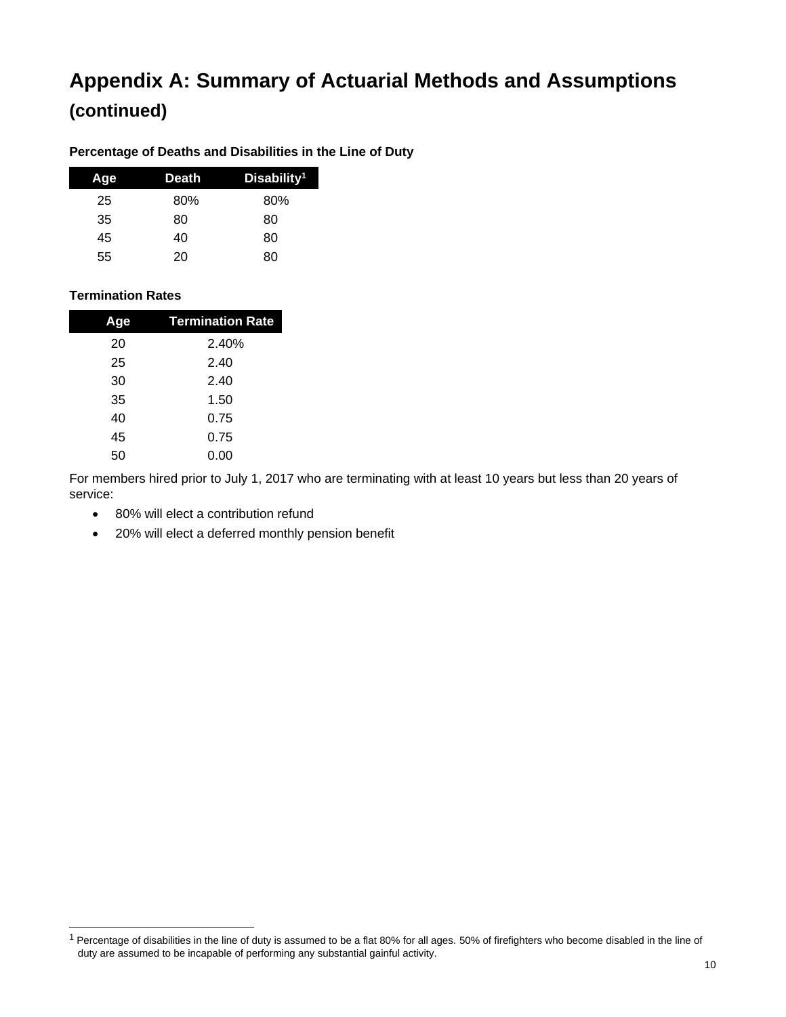#### **Percentage of Deaths and Disabilities in the Line of Duty**

| Age | Death | Disability <sup>1</sup> |
|-----|-------|-------------------------|
| 25  | 80%   | 80%                     |
| 35  | 80    | 80                      |
| 45  | 40    | 80                      |
| 55  | 20    | 80                      |

#### **Termination Rates**

| Aqe | <b>Termination Rate</b> |
|-----|-------------------------|
| 20  | 2.40%                   |
| 25  | 2.40                    |
| 30  | 2.40                    |
| 35  | 1.50                    |
| 40  | 0.75                    |
| 45  | 0.75                    |
| 50  | 0.00                    |

For members hired prior to July 1, 2017 who are terminating with at least 10 years but less than 20 years of service:

- 80% will elect a contribution refund
- 20% will elect a deferred monthly pension benefit

 $1$  Percentage of disabilities in the line of duty is assumed to be a flat 80% for all ages. 50% of firefighters who become disabled in the line of duty are assumed to be incapable of performing any substantial gainful activity.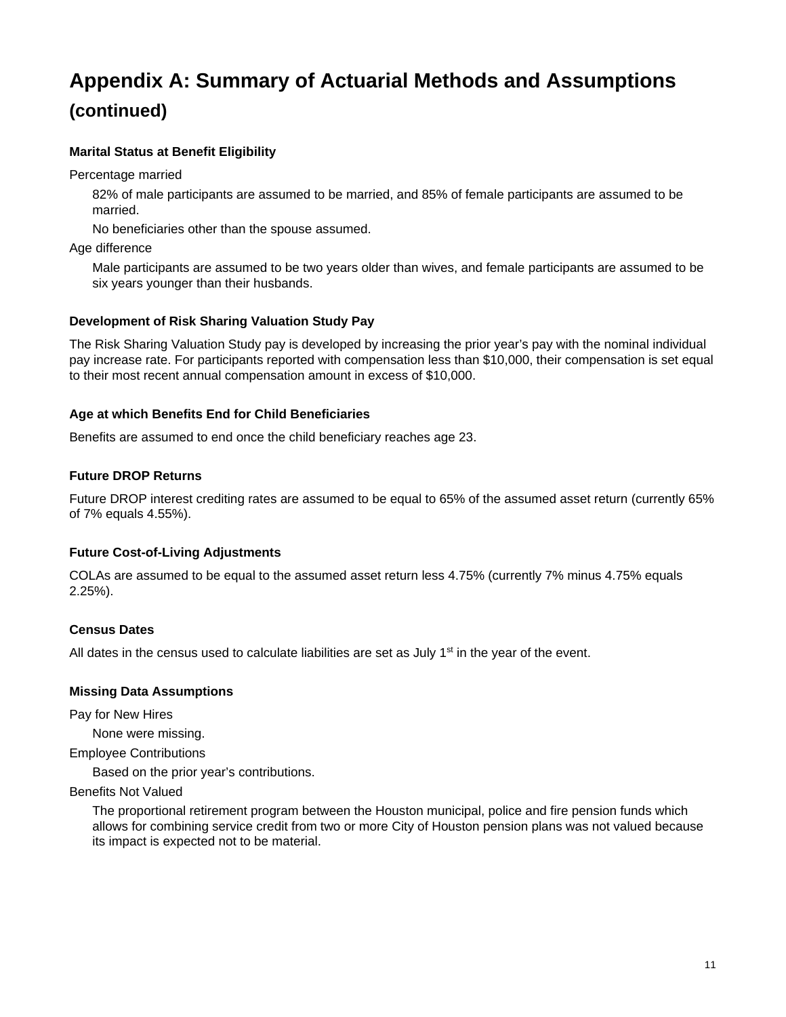#### **Marital Status at Benefit Eligibility**

Percentage married

82% of male participants are assumed to be married, and 85% of female participants are assumed to be married.

No beneficiaries other than the spouse assumed.

Age difference

Male participants are assumed to be two years older than wives, and female participants are assumed to be six years younger than their husbands.

#### **Development of Risk Sharing Valuation Study Pay**

The Risk Sharing Valuation Study pay is developed by increasing the prior year's pay with the nominal individual pay increase rate. For participants reported with compensation less than \$10,000, their compensation is set equal to their most recent annual compensation amount in excess of \$10,000.

#### **Age at which Benefits End for Child Beneficiaries**

Benefits are assumed to end once the child beneficiary reaches age 23.

#### **Future DROP Returns**

Future DROP interest crediting rates are assumed to be equal to 65% of the assumed asset return (currently 65% of 7% equals 4.55%).

#### **Future Cost-of-Living Adjustments**

COLAs are assumed to be equal to the assumed asset return less 4.75% (currently 7% minus 4.75% equals 2.25%).

#### **Census Dates**

All dates in the census used to calculate liabilities are set as July  $1<sup>st</sup>$  in the year of the event.

#### **Missing Data Assumptions**

Pay for New Hires

None were missing.

Employee Contributions

Based on the prior year's contributions.

#### Benefits Not Valued

The proportional retirement program between the Houston municipal, police and fire pension funds which allows for combining service credit from two or more City of Houston pension plans was not valued because its impact is expected not to be material.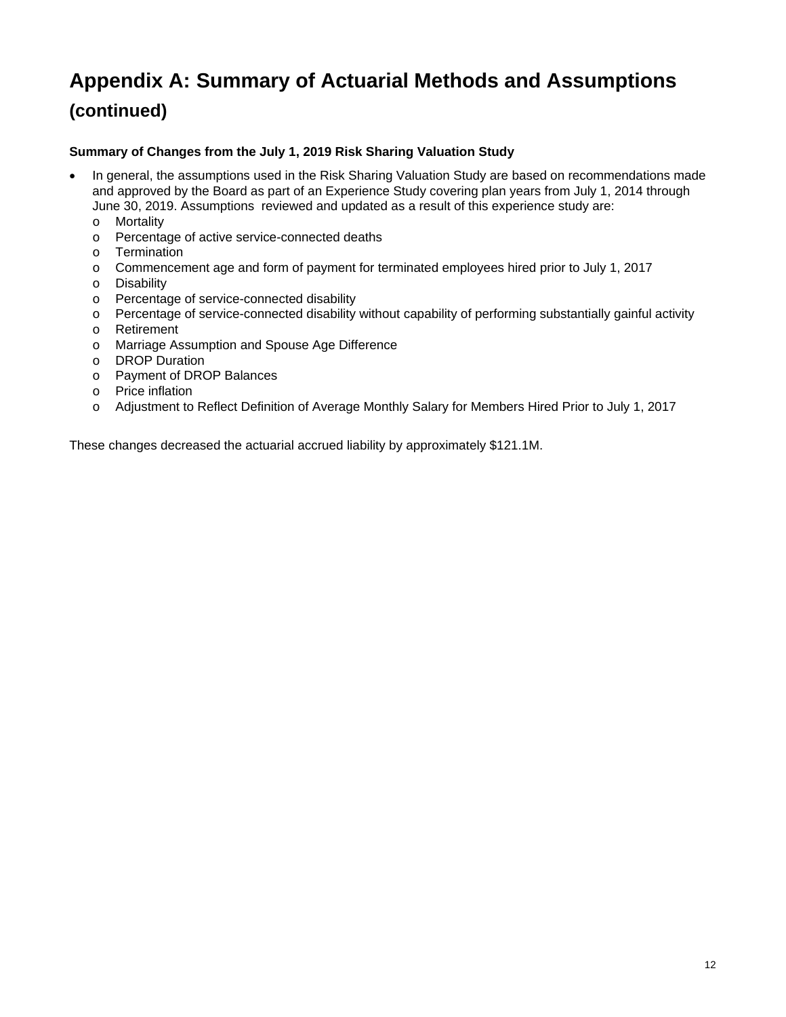#### **Summary of Changes from the July 1, 2019 Risk Sharing Valuation Study**

- In general, the assumptions used in the Risk Sharing Valuation Study are based on recommendations made and approved by the Board as part of an Experience Study covering plan years from July 1, 2014 through June 30, 2019. Assumptions reviewed and updated as a result of this experience study are:
	- o Mortality
	- o Percentage of active service-connected deaths
	- o Termination
	- o Commencement age and form of payment for terminated employees hired prior to July 1, 2017
	- o Disability
	- o Percentage of service-connected disability
	- o Percentage of service-connected disability without capability of performing substantially gainful activity
	- o Retirement
	- o Marriage Assumption and Spouse Age Difference
	- o DROP Duration
	- o Payment of DROP Balances
	- o Price inflation
	- o Adjustment to Reflect Definition of Average Monthly Salary for Members Hired Prior to July 1, 2017

These changes decreased the actuarial accrued liability by approximately \$121.1M.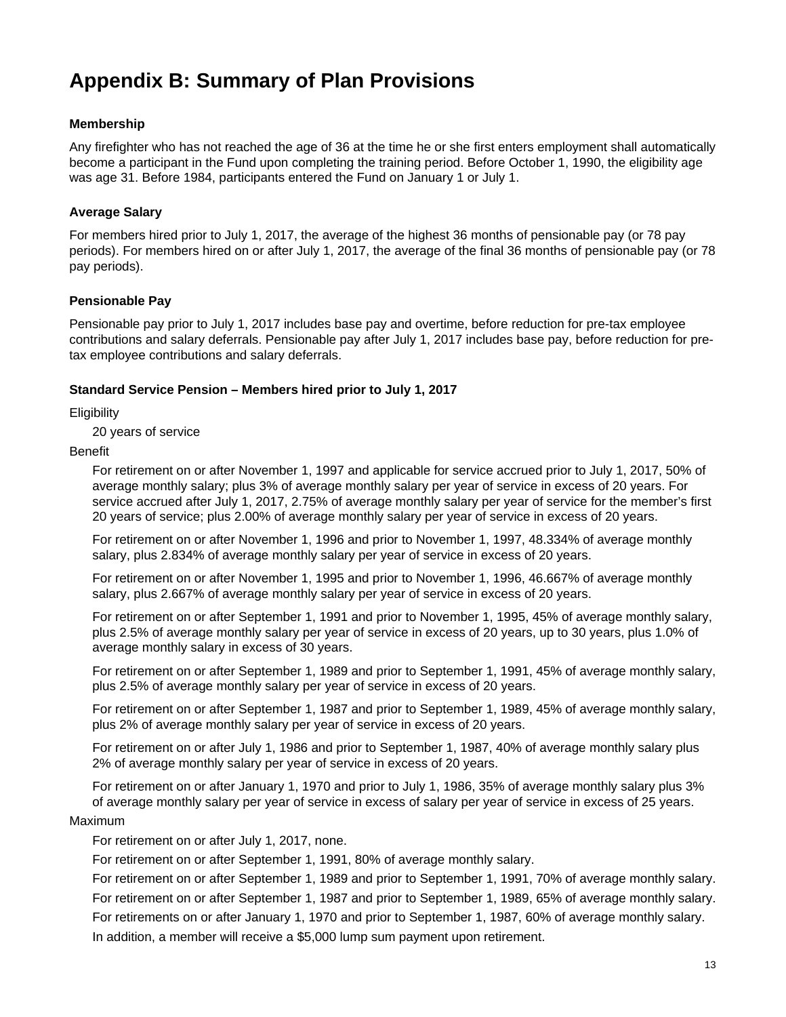### **Appendix B: Summary of Plan Provisions**

#### **Membership**

Any firefighter who has not reached the age of 36 at the time he or she first enters employment shall automatically become a participant in the Fund upon completing the training period. Before October 1, 1990, the eligibility age was age 31. Before 1984, participants entered the Fund on January 1 or July 1.

#### **Average Salary**

For members hired prior to July 1, 2017, the average of the highest 36 months of pensionable pay (or 78 pay periods). For members hired on or after July 1, 2017, the average of the final 36 months of pensionable pay (or 78 pay periods).

#### **Pensionable Pay**

Pensionable pay prior to July 1, 2017 includes base pay and overtime, before reduction for pre-tax employee contributions and salary deferrals. Pensionable pay after July 1, 2017 includes base pay, before reduction for pretax employee contributions and salary deferrals.

#### **Standard Service Pension – Members hired prior to July 1, 2017**

**Eligibility** 

20 years of service

#### Benefit

For retirement on or after November 1, 1997 and applicable for service accrued prior to July 1, 2017, 50% of average monthly salary; plus 3% of average monthly salary per year of service in excess of 20 years. For service accrued after July 1, 2017, 2.75% of average monthly salary per year of service for the member's first 20 years of service; plus 2.00% of average monthly salary per year of service in excess of 20 years.

For retirement on or after November 1, 1996 and prior to November 1, 1997, 48.334% of average monthly salary, plus 2.834% of average monthly salary per year of service in excess of 20 years.

For retirement on or after November 1, 1995 and prior to November 1, 1996, 46.667% of average monthly salary, plus 2.667% of average monthly salary per year of service in excess of 20 years.

For retirement on or after September 1, 1991 and prior to November 1, 1995, 45% of average monthly salary, plus 2.5% of average monthly salary per year of service in excess of 20 years, up to 30 years, plus 1.0% of average monthly salary in excess of 30 years.

For retirement on or after September 1, 1989 and prior to September 1, 1991, 45% of average monthly salary, plus 2.5% of average monthly salary per year of service in excess of 20 years.

For retirement on or after September 1, 1987 and prior to September 1, 1989, 45% of average monthly salary, plus 2% of average monthly salary per year of service in excess of 20 years.

For retirement on or after July 1, 1986 and prior to September 1, 1987, 40% of average monthly salary plus 2% of average monthly salary per year of service in excess of 20 years.

For retirement on or after January 1, 1970 and prior to July 1, 1986, 35% of average monthly salary plus 3% of average monthly salary per year of service in excess of salary per year of service in excess of 25 years.

#### Maximum

For retirement on or after July 1, 2017, none.

For retirement on or after September 1, 1991, 80% of average monthly salary.

For retirement on or after September 1, 1989 and prior to September 1, 1991, 70% of average monthly salary. For retirement on or after September 1, 1987 and prior to September 1, 1989, 65% of average monthly salary. For retirements on or after January 1, 1970 and prior to September 1, 1987, 60% of average monthly salary. In addition, a member will receive a \$5,000 lump sum payment upon retirement.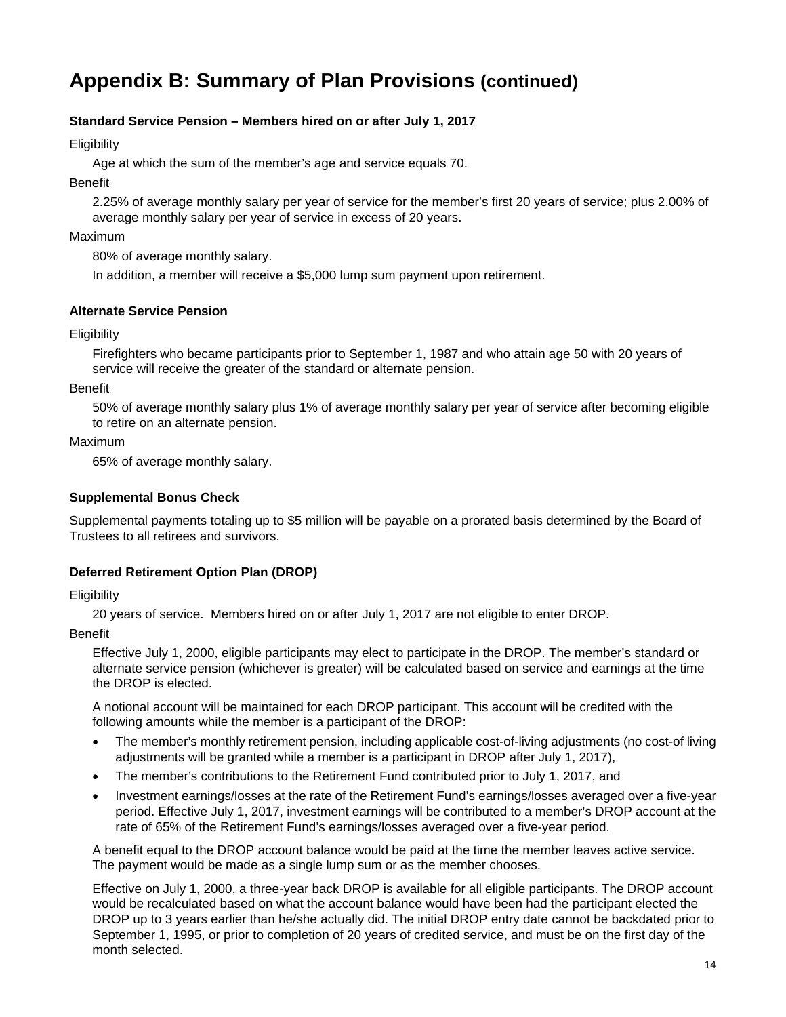#### **Standard Service Pension – Members hired on or after July 1, 2017**

**Eligibility** 

Age at which the sum of the member's age and service equals 70.

Benefit

2.25% of average monthly salary per year of service for the member's first 20 years of service; plus 2.00% of average monthly salary per year of service in excess of 20 years.

#### Maximum

80% of average monthly salary.

In addition, a member will receive a \$5,000 lump sum payment upon retirement.

#### **Alternate Service Pension**

#### **Eligibility**

Firefighters who became participants prior to September 1, 1987 and who attain age 50 with 20 years of service will receive the greater of the standard or alternate pension.

#### Benefit

50% of average monthly salary plus 1% of average monthly salary per year of service after becoming eligible to retire on an alternate pension.

#### Maximum

65% of average monthly salary.

#### **Supplemental Bonus Check**

Supplemental payments totaling up to \$5 million will be payable on a prorated basis determined by the Board of Trustees to all retirees and survivors.

#### **Deferred Retirement Option Plan (DROP)**

#### **Eligibility**

20 years of service. Members hired on or after July 1, 2017 are not eligible to enter DROP.

#### Benefit

Effective July 1, 2000, eligible participants may elect to participate in the DROP. The member's standard or alternate service pension (whichever is greater) will be calculated based on service and earnings at the time the DROP is elected.

A notional account will be maintained for each DROP participant. This account will be credited with the following amounts while the member is a participant of the DROP:

- The member's monthly retirement pension, including applicable cost-of-living adjustments (no cost-of living adjustments will be granted while a member is a participant in DROP after July 1, 2017),
- The member's contributions to the Retirement Fund contributed prior to July 1, 2017, and
- Investment earnings/losses at the rate of the Retirement Fund's earnings/losses averaged over a five-year period. Effective July 1, 2017, investment earnings will be contributed to a member's DROP account at the rate of 65% of the Retirement Fund's earnings/losses averaged over a five-year period.

A benefit equal to the DROP account balance would be paid at the time the member leaves active service. The payment would be made as a single lump sum or as the member chooses.

Effective on July 1, 2000, a three-year back DROP is available for all eligible participants. The DROP account would be recalculated based on what the account balance would have been had the participant elected the DROP up to 3 years earlier than he/she actually did. The initial DROP entry date cannot be backdated prior to September 1, 1995, or prior to completion of 20 years of credited service, and must be on the first day of the month selected.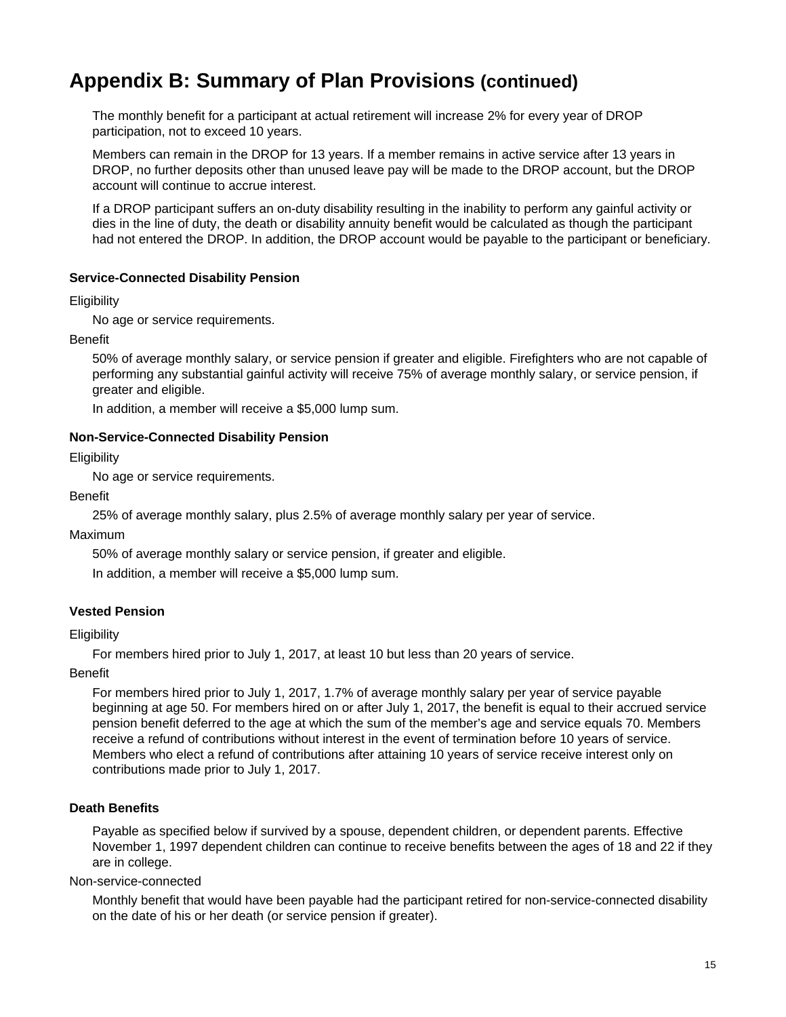The monthly benefit for a participant at actual retirement will increase 2% for every year of DROP participation, not to exceed 10 years.

Members can remain in the DROP for 13 years. If a member remains in active service after 13 years in DROP, no further deposits other than unused leave pay will be made to the DROP account, but the DROP account will continue to accrue interest.

If a DROP participant suffers an on-duty disability resulting in the inability to perform any gainful activity or dies in the line of duty, the death or disability annuity benefit would be calculated as though the participant had not entered the DROP. In addition, the DROP account would be payable to the participant or beneficiary.

#### **Service-Connected Disability Pension**

#### **Eligibility**

No age or service requirements.

Benefit

50% of average monthly salary, or service pension if greater and eligible. Firefighters who are not capable of performing any substantial gainful activity will receive 75% of average monthly salary, or service pension, if greater and eligible.

In addition, a member will receive a \$5,000 lump sum.

#### **Non-Service-Connected Disability Pension**

**Eligibility** 

No age or service requirements.

#### Benefit

25% of average monthly salary, plus 2.5% of average monthly salary per year of service.

Maximum

50% of average monthly salary or service pension, if greater and eligible.

In addition, a member will receive a \$5,000 lump sum.

#### **Vested Pension**

#### **Eligibility**

For members hired prior to July 1, 2017, at least 10 but less than 20 years of service.

Benefit

For members hired prior to July 1, 2017, 1.7% of average monthly salary per year of service payable beginning at age 50. For members hired on or after July 1, 2017, the benefit is equal to their accrued service pension benefit deferred to the age at which the sum of the member's age and service equals 70. Members receive a refund of contributions without interest in the event of termination before 10 years of service. Members who elect a refund of contributions after attaining 10 years of service receive interest only on contributions made prior to July 1, 2017.

#### **Death Benefits**

Payable as specified below if survived by a spouse, dependent children, or dependent parents. Effective November 1, 1997 dependent children can continue to receive benefits between the ages of 18 and 22 if they are in college.

Non-service-connected

Monthly benefit that would have been payable had the participant retired for non-service-connected disability on the date of his or her death (or service pension if greater).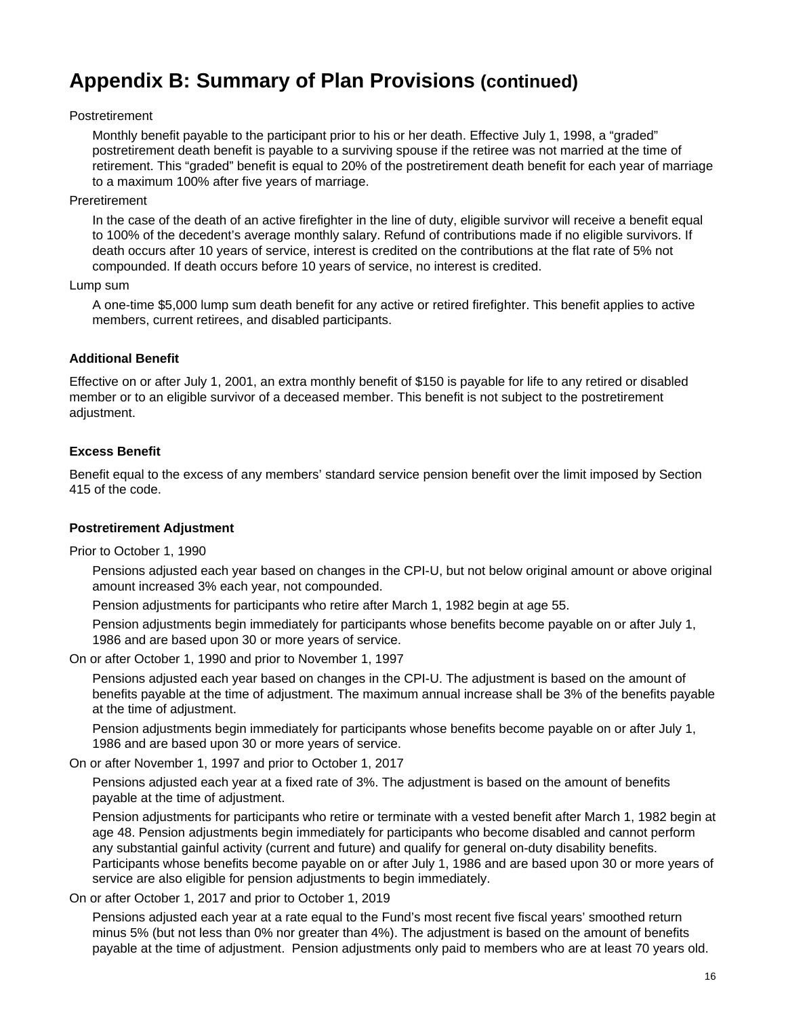#### Postretirement

Monthly benefit payable to the participant prior to his or her death. Effective July 1, 1998, a "graded" postretirement death benefit is payable to a surviving spouse if the retiree was not married at the time of retirement. This "graded" benefit is equal to 20% of the postretirement death benefit for each year of marriage to a maximum 100% after five years of marriage.

#### Preretirement

In the case of the death of an active firefighter in the line of duty, eligible survivor will receive a benefit equal to 100% of the decedent's average monthly salary. Refund of contributions made if no eligible survivors. If death occurs after 10 years of service, interest is credited on the contributions at the flat rate of 5% not compounded. If death occurs before 10 years of service, no interest is credited.

#### Lump sum

A one-time \$5,000 lump sum death benefit for any active or retired firefighter. This benefit applies to active members, current retirees, and disabled participants.

#### **Additional Benefit**

Effective on or after July 1, 2001, an extra monthly benefit of \$150 is payable for life to any retired or disabled member or to an eligible survivor of a deceased member. This benefit is not subject to the postretirement adjustment.

#### **Excess Benefit**

Benefit equal to the excess of any members' standard service pension benefit over the limit imposed by Section 415 of the code.

#### **Postretirement Adjustment**

Prior to October 1, 1990

Pensions adjusted each year based on changes in the CPI-U, but not below original amount or above original amount increased 3% each year, not compounded.

Pension adjustments for participants who retire after March 1, 1982 begin at age 55.

Pension adjustments begin immediately for participants whose benefits become payable on or after July 1, 1986 and are based upon 30 or more years of service.

On or after October 1, 1990 and prior to November 1, 1997

Pensions adjusted each year based on changes in the CPI-U. The adjustment is based on the amount of benefits payable at the time of adjustment. The maximum annual increase shall be 3% of the benefits payable at the time of adjustment.

Pension adjustments begin immediately for participants whose benefits become payable on or after July 1, 1986 and are based upon 30 or more years of service.

On or after November 1, 1997 and prior to October 1, 2017

Pensions adjusted each year at a fixed rate of 3%. The adjustment is based on the amount of benefits payable at the time of adjustment.

Pension adjustments for participants who retire or terminate with a vested benefit after March 1, 1982 begin at age 48. Pension adjustments begin immediately for participants who become disabled and cannot perform any substantial gainful activity (current and future) and qualify for general on-duty disability benefits. Participants whose benefits become payable on or after July 1, 1986 and are based upon 30 or more years of service are also eligible for pension adjustments to begin immediately.

On or after October 1, 2017 and prior to October 1, 2019

Pensions adjusted each year at a rate equal to the Fund's most recent five fiscal years' smoothed return minus 5% (but not less than 0% nor greater than 4%). The adjustment is based on the amount of benefits payable at the time of adjustment. Pension adjustments only paid to members who are at least 70 years old.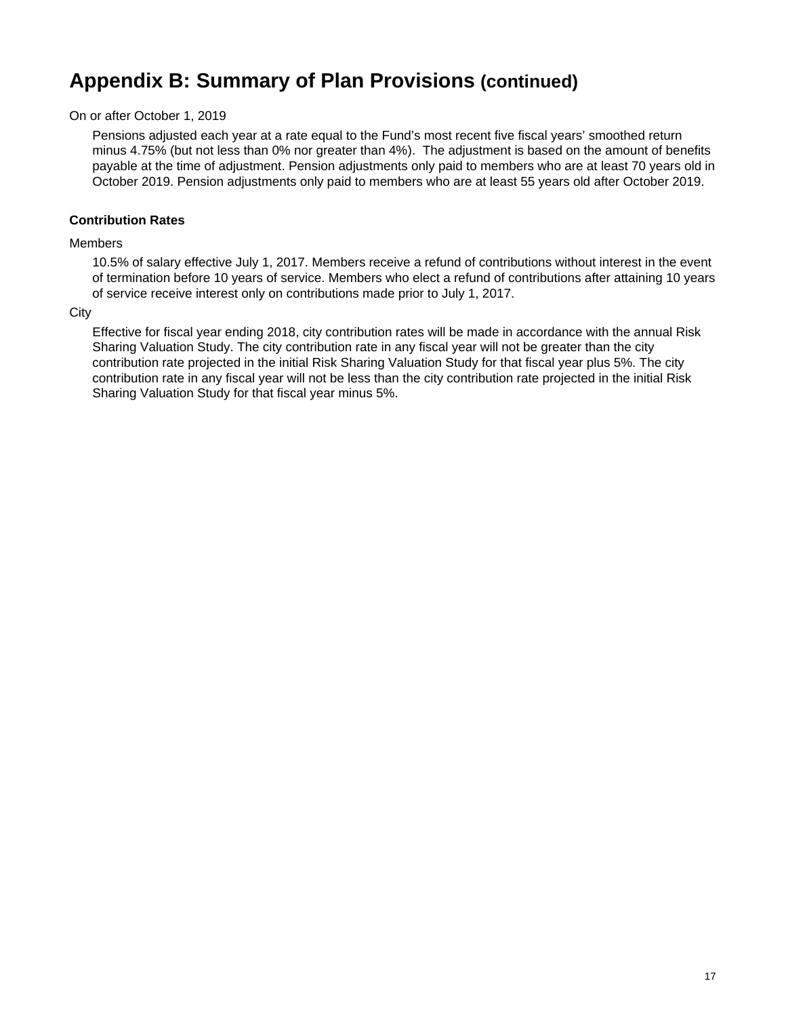On or after October 1, 2019

Pensions adjusted each year at a rate equal to the Fund's most recent five fiscal years' smoothed return minus 4.75% (but not less than 0% nor greater than 4%). The adjustment is based on the amount of benefits payable at the time of adjustment. Pension adjustments only paid to members who are at least 70 years old in October 2019. Pension adjustments only paid to members who are at least 55 years old after October 2019.

#### **Contribution Rates**

#### Members

10.5% of salary effective July 1, 2017. Members receive a refund of contributions without interest in the event of termination before 10 years of service. Members who elect a refund of contributions after attaining 10 years of service receive interest only on contributions made prior to July 1, 2017.

#### **City**

Effective for fiscal year ending 2018, city contribution rates will be made in accordance with the annual Risk Sharing Valuation Study. The city contribution rate in any fiscal year will not be greater than the city contribution rate projected in the initial Risk Sharing Valuation Study for that fiscal year plus 5%. The city contribution rate in any fiscal year will not be less than the city contribution rate projected in the initial Risk Sharing Valuation Study for that fiscal year minus 5%.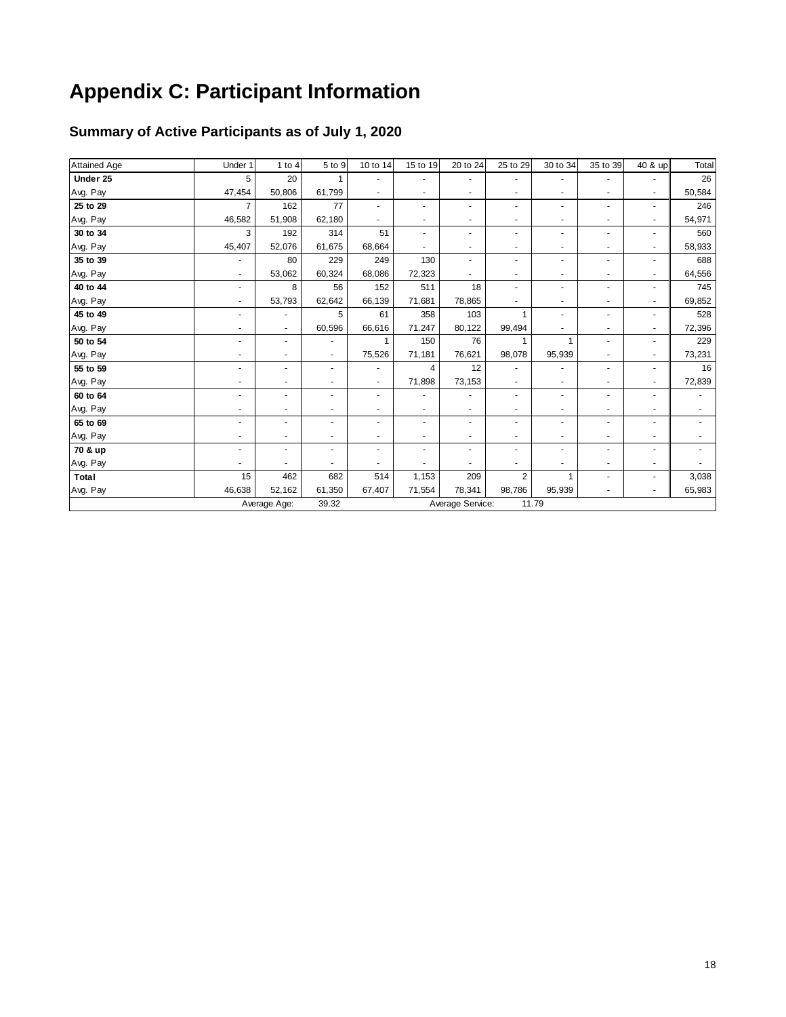# **Appendix C: Participant Information**

### **Summary of Active Participants as of July 1, 2020**

| Attained Age | Under 1        | 1 to 4                   | 5 to 9                   | 10 to 14 | 15 to 19                 | 20 to 24                 | 25 to 29       | 30 to 34 | 35 to 39                 | 40 & up                  | Total  |
|--------------|----------------|--------------------------|--------------------------|----------|--------------------------|--------------------------|----------------|----------|--------------------------|--------------------------|--------|
| Under 25     | 5              | 20                       |                          |          |                          | $\overline{a}$           |                |          |                          |                          | 26     |
| Avg. Pay     | 47,454         | 50,806                   | 61,799                   |          | ÷                        | $\overline{\phantom{a}}$ | ٠              | ٠        | ٠                        | ٠                        | 50,584 |
| 25 to 29     | $\overline{7}$ | 162                      | 77                       | ٠        | ٠                        | $\blacksquare$           | ٠              | ٠        | $\blacksquare$           | $\blacksquare$           | 246    |
| Avg. Pay     | 46,582         | 51,908                   | 62,180                   |          |                          | $\overline{\phantom{a}}$ | ۰              |          | ۰                        | $\overline{a}$           | 54,971 |
| 30 to 34     | 3              | 192                      | 314                      | 51       | ٠                        | $\overline{\phantom{a}}$ | ٠              | ٠        | $\overline{\phantom{a}}$ | $\overline{\phantom{a}}$ | 560    |
| Avg. Pay     | 45,407         | 52,076                   | 61,675                   | 68,664   |                          | ٠                        |                | ٠        | ۰                        | ٠                        | 58,933 |
|              |                | 80                       | 229                      | 249      | 130                      |                          |                |          |                          |                          | 688    |
| 35 to 39     |                |                          |                          |          |                          | $\overline{\phantom{a}}$ |                |          |                          |                          |        |
| Avg. Pay     |                | 53,062                   | 60,324                   | 68,086   | 72,323                   |                          | ٠              | ٠        | ۰                        | ٠                        | 64,556 |
| 40 to 44     | ÷.             | 8                        | 56                       | 152      | 511                      | 18                       | ٠              | ٠        | $\overline{a}$           | $\blacksquare$           | 745    |
| Avg. Pay     |                | 53,793                   | 62,642                   | 66,139   | 71,681                   | 78,865                   | ٠              | ٠        | ٠                        | $\sim$                   | 69,852 |
| 45 to 49     |                | $\overline{\phantom{a}}$ | 5                        | 61       | 358                      | 103                      | $\mathbf{1}$   | ٠        | ٠                        | $\overline{\phantom{a}}$ | 528    |
| Avg. Pay     |                | $\sim$                   | 60,596                   | 66,616   | 71,247                   | 80,122                   | 99,494         |          | $\overline{\phantom{a}}$ | $\overline{\phantom{a}}$ | 72,396 |
| 50 to 54     |                | ٠                        | $\overline{\phantom{a}}$ |          | 150                      | 76                       |                |          | ٠                        | $\overline{\phantom{a}}$ | 229    |
| Avg. Pay     |                | $\blacksquare$           | $\blacksquare$           | 75,526   | 71,181                   | 76,621                   | 98,078         | 95,939   | ٠                        | $\blacksquare$           | 73,231 |
| 55 to 59     |                | ٠                        | ٠                        |          | 4                        | 12                       |                |          |                          | $\blacksquare$           | 16     |
| Avg. Pay     |                |                          | $\blacksquare$           |          | 71,898                   | 73,153                   | $\sim$         |          | ۰                        |                          | 72,839 |
| 60 to 64     |                | $\overline{a}$           | ٠                        | ÷.       |                          | $\overline{a}$           | ٠              | ٠        | $\overline{a}$           | ×                        |        |
| Avg. Pay     |                |                          | $\blacksquare$           | ٠        |                          | $\blacksquare$           | ٠              | ٠        | ٠                        | ٠                        |        |
| 65 to 69     |                | ٠                        | $\overline{\phantom{a}}$ |          | $\overline{\phantom{a}}$ | $\overline{\phantom{a}}$ | ٠              | ۰        | ۰                        | ٠                        |        |
| Avg. Pay     |                | ٠                        | $\overline{\phantom{a}}$ | ٠        | $\blacksquare$           | $\overline{\phantom{a}}$ | ٠              | ٠        | $\overline{\phantom{a}}$ | $\overline{a}$           |        |
| 70 & up      |                | ٠                        | ٠                        |          |                          | $\overline{\phantom{a}}$ |                | ۰        |                          |                          |        |
| Avg. Pay     |                |                          |                          |          |                          |                          |                |          |                          |                          |        |
| Total        | 15             | 462                      | 682                      | 514      | 1,153                    | 209                      | $\overline{2}$ |          |                          | $\blacksquare$           | 3,038  |
| Avg. Pay     | 46,638         | 52,162                   | 61,350                   | 67,407   | 71,554                   | 78,341                   | 98,786         | 95,939   |                          | $\sim$                   | 65,983 |
|              |                | Average Age:             | 39.32                    |          |                          | Average Service:         | 11.79          |          |                          |                          |        |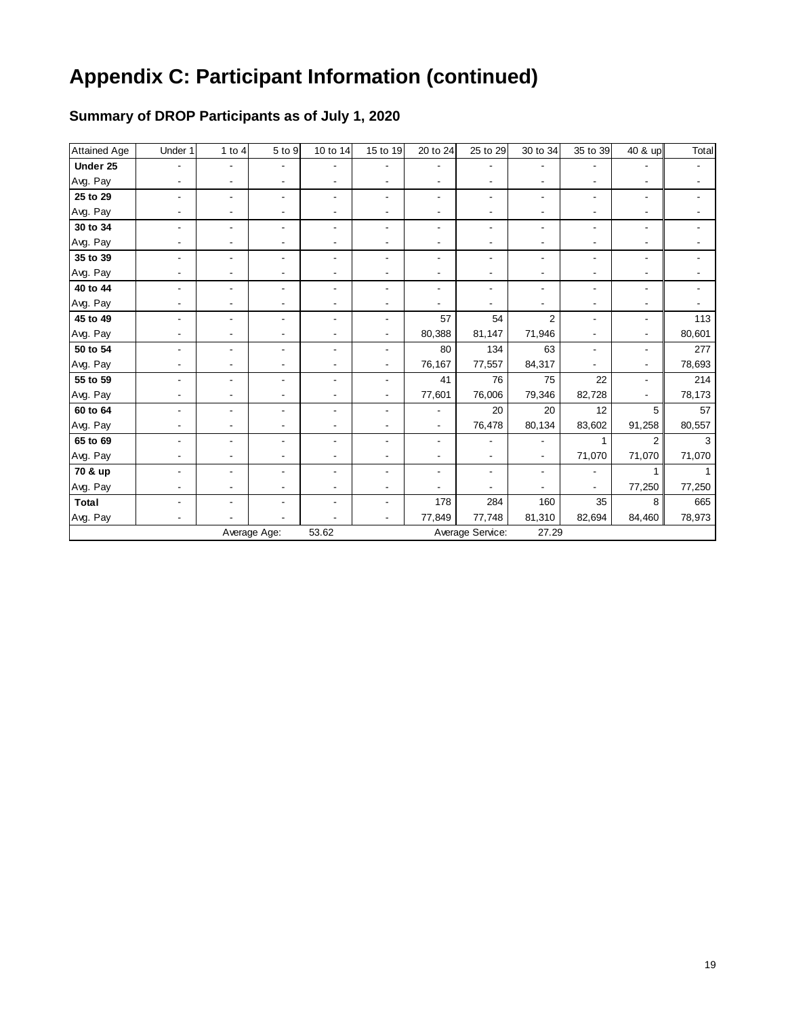### **Summary of DROP Participants as of July 1, 2020**

| <b>Attained Age</b> | Under 1 | 1 to $4$       | 5 to 9         | 10 to 14       | 15 to 19 | 20 to 24                 | 25 to 29         | 30 to 34       | 35 to 39 | $\overline{40}$ & up | Total  |
|---------------------|---------|----------------|----------------|----------------|----------|--------------------------|------------------|----------------|----------|----------------------|--------|
| Under 25            |         |                |                |                |          |                          |                  |                |          |                      |        |
| Avg. Pay            |         |                |                |                |          |                          |                  |                |          |                      |        |
| 25 to 29            |         | $\blacksquare$ |                |                |          |                          |                  |                |          |                      |        |
| Avg. Pay            |         |                |                |                |          |                          |                  |                |          |                      |        |
| 30 to 34            |         | ٠              |                |                |          |                          |                  |                |          |                      |        |
| Avg. Pay            |         |                |                |                |          |                          |                  |                |          |                      |        |
| 35 to 39            |         |                |                |                |          |                          |                  |                |          |                      |        |
| Avg. Pay            |         |                |                |                |          |                          |                  |                |          |                      |        |
| 40 to 44            |         |                |                |                |          |                          |                  |                |          |                      |        |
| Avg. Pay            |         |                |                |                |          |                          |                  |                |          |                      |        |
| 45 to 49            |         |                |                |                |          | 57                       | 54               | $\overline{2}$ |          |                      | 113    |
| Avg. Pay            |         |                |                |                |          | 80,388                   | 81,147           | 71,946         |          |                      | 80,601 |
| 50 to 54            |         |                |                |                |          | 80                       | 134              | 63             |          |                      | 277    |
| Avg. Pay            |         |                |                |                |          | 76,167                   | 77,557           | 84,317         |          |                      | 78,693 |
| 55 to 59            |         | $\blacksquare$ | $\blacksquare$ | $\blacksquare$ |          | 41                       | 76               | 75             | 22       |                      | 214    |
| Avg. Pay            |         |                |                |                |          | 77,601                   | 76,006           | 79,346         | 82,728   |                      | 78,173 |
| 60 to 64            |         | $\blacksquare$ |                |                |          |                          | 20               | 20             | 12       | 5                    | 57     |
| Avg. Pay            |         |                |                |                |          | $\overline{\phantom{a}}$ | 76,478           | 80,134         | 83,602   | 91,258               | 80,557 |
| 65 to 69            |         |                |                |                |          |                          |                  |                |          | 2                    | 3      |
| Avg. Pay            |         |                |                |                |          |                          |                  |                | 71,070   | 71,070               | 71,070 |
| 70 & up             |         |                |                |                |          |                          |                  |                |          |                      |        |
| Avg. Pay            |         |                |                |                |          |                          |                  |                |          | 77,250               | 77,250 |
| Total               |         |                |                |                |          | 178                      | 284              | 160            | 35       | 8                    | 665    |
| Avg. Pay            |         |                |                |                |          | 77,849                   | 77,748           | 81,310         | 82,694   | 84,460               | 78,973 |
|                     |         |                | Average Age:   | 53.62          |          |                          | Average Service: | 27.29          |          |                      |        |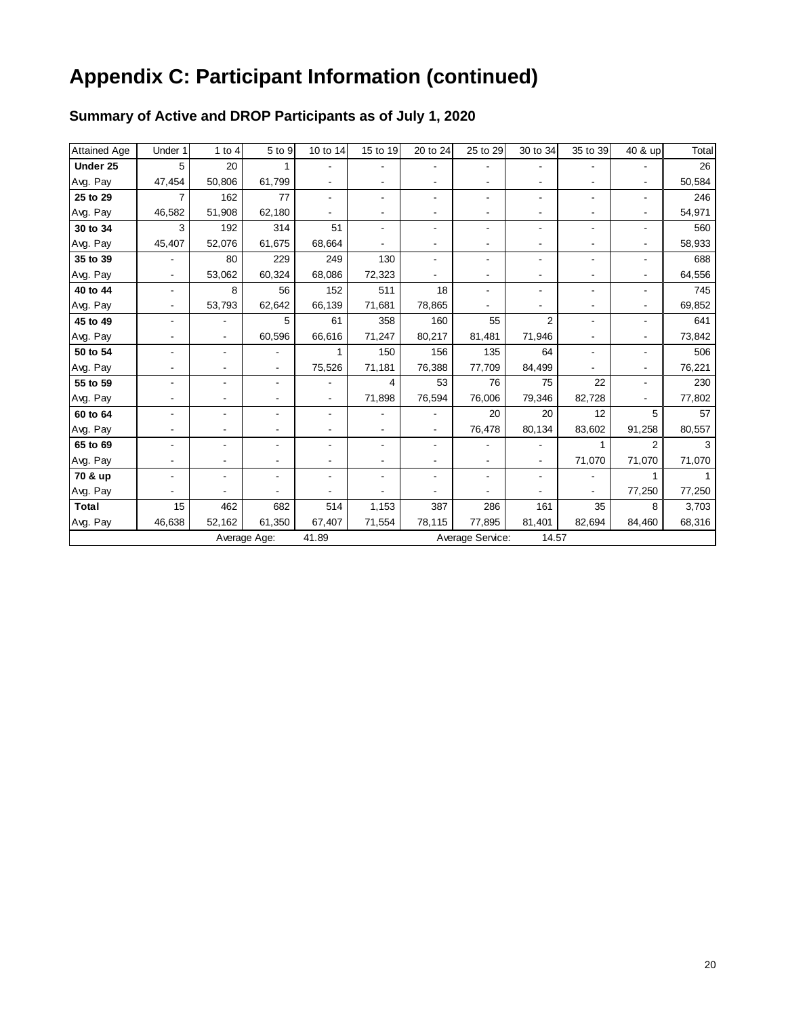### **Summary of Active and DROP Participants as of July 1, 2020**

| <b>Attained Age</b> | Under 1                  | $1$ to $4$     | 5 to 9         | 10 to 14                     | 15 to 19       | 20 to 24                 | 25 to 29         | 30 to 34                 | 35 to 39 | 40 & up        | Total  |
|---------------------|--------------------------|----------------|----------------|------------------------------|----------------|--------------------------|------------------|--------------------------|----------|----------------|--------|
| Under 25            | 5                        | 20             | 1              |                              |                |                          |                  |                          |          |                | 26     |
| Avg. Pay            | 47,454                   | 50.806         | 61,799         |                              | ۰              |                          |                  |                          |          |                | 50,584 |
| 25 to 29            | $\overline{7}$           | 162            | 77             | $\overline{\phantom{0}}$     | ۰              |                          | $\blacksquare$   | ۰                        |          |                | 246    |
| Avg. Pay            | 46,582                   | 51,908         | 62,180         |                              | ۰              |                          |                  |                          |          |                | 54,971 |
| 30 to 34            | 3                        | 192            | 314            | 51                           | ۰              |                          | $\blacksquare$   | ٠                        |          |                | 560    |
| Avg. Pay            | 45,407                   | 52,076         | 61,675         | 68,664                       |                |                          | $\blacksquare$   | ٠                        |          |                | 58,933 |
| 35 to 39            |                          | 80             | 229            | 249                          | 130            |                          | $\blacksquare$   | ۰                        |          |                | 688    |
| Avg. Pay            |                          | 53,062         | 60,324         | 68,086                       | 72,323         |                          |                  |                          |          |                | 64,556 |
| 40 to 44            | $\overline{\phantom{a}}$ | 8              | 56             | 152                          | 511            | 18                       | $\blacksquare$   | ۰                        |          |                | 745    |
| Avg. Pay            | $\overline{\phantom{a}}$ | 53,793         | 62,642         | 66,139                       | 71,681         | 78,865                   |                  |                          |          |                | 69,852 |
| 45 to 49            | $\blacksquare$           |                | 5              | 61                           | 358            | 160                      | 55               | $\overline{2}$           |          |                | 641    |
| Avg. Pay            |                          | $\blacksquare$ | 60,596         | 66,616                       | 71,247         | 80,217                   | 81,481           | 71,946                   |          |                | 73,842 |
| 50 to 54            |                          |                |                |                              | 150            | 156                      | 135              | 64                       |          |                | 506    |
| Avg. Pay            |                          |                | $\blacksquare$ | 75,526                       | 71,181         | 76,388                   | 77,709           | 84,499                   |          |                | 76,221 |
| 55 to 59            |                          |                |                |                              | 4              | 53                       | 76               | 75                       | 22       |                | 230    |
| Avg. Pay            |                          |                |                | $\blacksquare$               | 71,898         | 76,594                   | 76,006           | 79,346                   | 82,728   |                | 77,802 |
| 60 to 64            |                          |                |                | $\overline{\phantom{0}}$     | ۰              | $\overline{\phantom{a}}$ | 20               | 20                       | 12       | 5              | 57     |
| Avg. Pay            |                          |                |                | $\overline{\phantom{a}}$     | $\blacksquare$ | $\overline{\phantom{a}}$ | 76,478           | 80,134                   | 83,602   | 91,258         | 80,557 |
| 65 to 69            |                          |                |                | ۰                            | ۰              |                          |                  | $\overline{\phantom{a}}$ | 1        | $\overline{2}$ | 3      |
| Avg. Pay            |                          |                |                |                              | ٠              |                          |                  | $\overline{\phantom{a}}$ | 71,070   | 71,070         | 71,070 |
| 70 & up             |                          |                |                | $\qquad \qquad \blacksquare$ |                |                          |                  |                          |          |                |        |
| Avg. Pay            |                          |                |                |                              |                |                          |                  |                          |          | 77,250         | 77,250 |
| Total               | 15                       | 462            | 682            | 514                          | 1,153          | 387                      | 286              | 161                      | 35       | 8              | 3,703  |
| Avg. Pay            | 46,638                   | 52,162         | 61,350         | 67,407                       | 71,554         | 78,115                   | 77,895           | 81,401                   | 82,694   | 84,460         | 68,316 |
|                     |                          |                | Average Age:   | 41.89                        |                |                          | Average Service: | 14.57                    |          |                |        |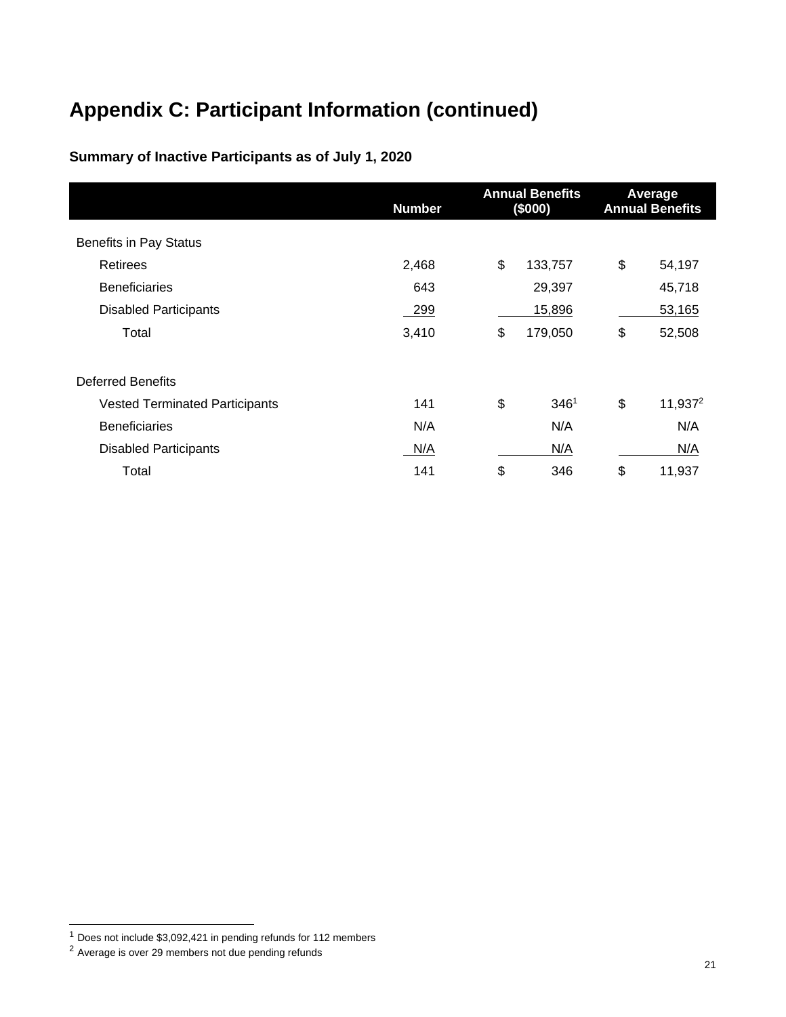### **Summary of Inactive Participants as of July 1, 2020**

|                                       | <b>Number</b> | <b>Annual Benefits</b><br>(\$000) |                  | Average<br><b>Annual Benefits</b> |                     |
|---------------------------------------|---------------|-----------------------------------|------------------|-----------------------------------|---------------------|
| <b>Benefits in Pay Status</b>         |               |                                   |                  |                                   |                     |
| <b>Retirees</b>                       | 2,468         | \$                                | 133,757          | \$                                | 54,197              |
| <b>Beneficiaries</b>                  | 643           |                                   | 29,397           |                                   | 45,718              |
| <b>Disabled Participants</b>          | 299           |                                   | 15,896           |                                   | 53,165              |
| Total                                 | 3,410         | \$                                | 179,050          | \$                                | 52,508              |
| <b>Deferred Benefits</b>              |               |                                   |                  |                                   |                     |
| <b>Vested Terminated Participants</b> | 141           | \$                                | 346 <sup>1</sup> | \$                                | 11,937 <sup>2</sup> |
| <b>Beneficiaries</b>                  | N/A           |                                   | N/A              |                                   | N/A                 |
| <b>Disabled Participants</b>          | N/A           |                                   | N/A              |                                   | N/A                 |
| Total                                 | 141           | \$                                | 346              | \$                                | 11,937              |

 $1$  Does not include \$3,092,421 in pending refunds for 112 members

 $2$  Average is over 29 members not due pending refunds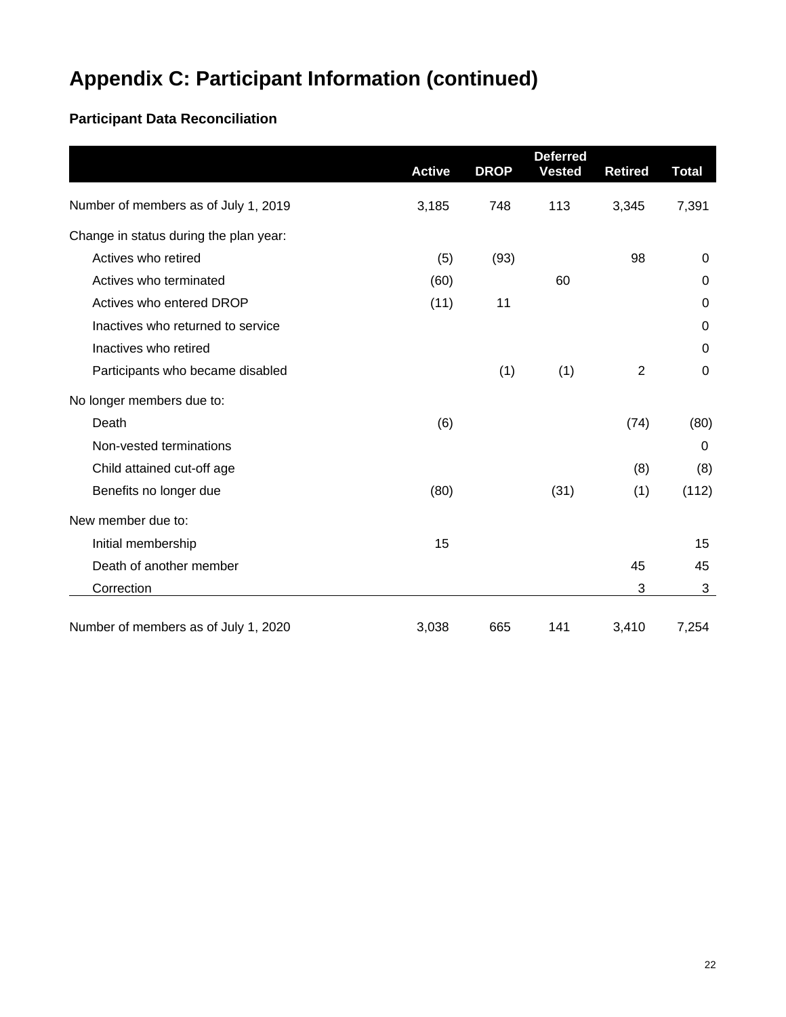### **Participant Data Reconciliation**

|                                        | <b>Active</b> | <b>DROP</b> | <b>Deferred</b><br><b>Vested</b> | <b>Retired</b> | <b>Total</b> |
|----------------------------------------|---------------|-------------|----------------------------------|----------------|--------------|
| Number of members as of July 1, 2019   | 3,185         | 748         | 113                              | 3,345          | 7,391        |
| Change in status during the plan year: |               |             |                                  |                |              |
| Actives who retired                    | (5)           | (93)        |                                  | 98             | 0            |
| Actives who terminated                 | (60)          |             | 60                               |                | $\mathbf 0$  |
| Actives who entered DROP               | (11)          | 11          |                                  |                | $\Omega$     |
| Inactives who returned to service      |               |             |                                  |                | $\mathbf 0$  |
| Inactives who retired                  |               |             |                                  |                | $\mathbf 0$  |
| Participants who became disabled       |               | (1)         | (1)                              | $\overline{2}$ | 0            |
| No longer members due to:              |               |             |                                  |                |              |
| Death                                  | (6)           |             |                                  | (74)           | (80)         |
| Non-vested terminations                |               |             |                                  |                | $\Omega$     |
| Child attained cut-off age             |               |             |                                  | (8)            | (8)          |
| Benefits no longer due                 | (80)          |             | (31)                             | (1)            | (112)        |
| New member due to:                     |               |             |                                  |                |              |
| Initial membership                     | 15            |             |                                  |                | 15           |
| Death of another member                |               |             |                                  | 45             | 45           |
| Correction                             |               |             |                                  | 3              | 3            |
| Number of members as of July 1, 2020   | 3,038         | 665         | 141                              | 3,410          | 7,254        |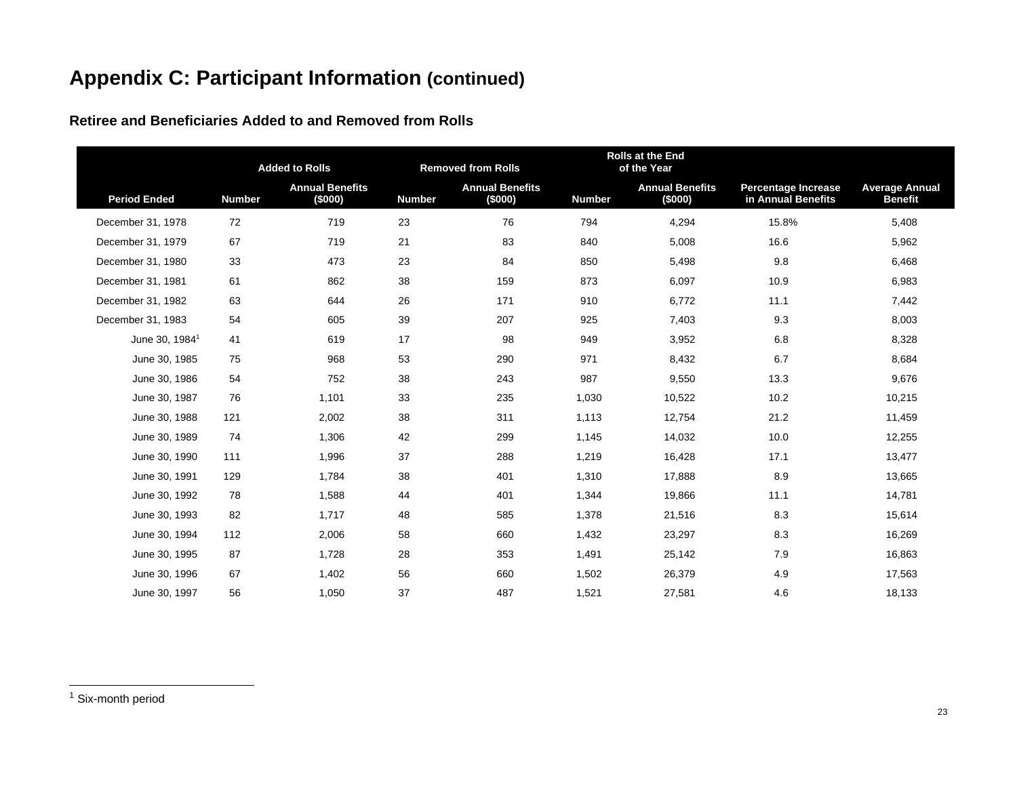**Retiree and Beneficiaries Added to and Removed from Rolls**

|                            |               | <b>Added to Rolls</b>             |               | <b>Rolls at the End</b><br><b>Removed from Rolls</b><br>of the Year |               |                                   |                                                  |                                         |
|----------------------------|---------------|-----------------------------------|---------------|---------------------------------------------------------------------|---------------|-----------------------------------|--------------------------------------------------|-----------------------------------------|
| <b>Period Ended</b>        | <b>Number</b> | <b>Annual Benefits</b><br>(\$000) | <b>Number</b> | <b>Annual Benefits</b><br>(\$000)                                   | <b>Number</b> | <b>Annual Benefits</b><br>(\$000) | <b>Percentage Increase</b><br>in Annual Benefits | <b>Average Annual</b><br><b>Benefit</b> |
| December 31, 1978          | 72            | 719                               | 23            | 76                                                                  | 794           | 4,294                             | 15.8%                                            | 5,408                                   |
| December 31, 1979          | 67            | 719                               | 21            | 83                                                                  | 840           | 5,008                             | 16.6                                             | 5,962                                   |
| December 31, 1980          | 33            | 473                               | 23            | 84                                                                  | 850           | 5,498                             | 9.8                                              | 6,468                                   |
| December 31, 1981          | 61            | 862                               | 38            | 159                                                                 | 873           | 6,097                             | 10.9                                             | 6,983                                   |
| December 31, 1982          | 63            | 644                               | 26            | 171                                                                 | 910           | 6,772                             | 11.1                                             | 7,442                                   |
| December 31, 1983          | 54            | 605                               | 39            | 207                                                                 | 925           | 7,403                             | 9.3                                              | 8,003                                   |
| June 30, 1984 <sup>1</sup> | 41            | 619                               | 17            | 98                                                                  | 949           | 3,952                             | 6.8                                              | 8,328                                   |
| June 30, 1985              | 75            | 968                               | 53            | 290                                                                 | 971           | 8,432                             | 6.7                                              | 8,684                                   |
| June 30, 1986              | 54            | 752                               | 38            | 243                                                                 | 987           | 9,550                             | 13.3                                             | 9,676                                   |
| June 30, 1987              | 76            | 1,101                             | 33            | 235                                                                 | 1,030         | 10,522                            | 10.2                                             | 10,215                                  |
| June 30, 1988              | 121           | 2,002                             | 38            | 311                                                                 | 1,113         | 12,754                            | 21.2                                             | 11,459                                  |
| June 30, 1989              | 74            | 1,306                             | 42            | 299                                                                 | 1,145         | 14,032                            | 10.0                                             | 12,255                                  |
| June 30, 1990              | 111           | 1,996                             | 37            | 288                                                                 | 1,219         | 16,428                            | 17.1                                             | 13,477                                  |
| June 30, 1991              | 129           | 1,784                             | 38            | 401                                                                 | 1,310         | 17,888                            | 8.9                                              | 13,665                                  |
| June 30, 1992              | 78            | 1,588                             | 44            | 401                                                                 | 1,344         | 19,866                            | 11.1                                             | 14,781                                  |
| June 30, 1993              | 82            | 1,717                             | 48            | 585                                                                 | 1,378         | 21,516                            | 8.3                                              | 15,614                                  |
| June 30, 1994              | 112           | 2,006                             | 58            | 660                                                                 | 1,432         | 23,297                            | 8.3                                              | 16,269                                  |
| June 30, 1995              | 87            | 1,728                             | 28            | 353                                                                 | 1,491         | 25,142                            | 7.9                                              | 16,863                                  |
| June 30, 1996              | 67            | 1,402                             | 56            | 660                                                                 | 1,502         | 26,379                            | 4.9                                              | 17,563                                  |
| June 30, 1997              | 56            | 1,050                             | 37            | 487                                                                 | 1,521         | 27,581                            | 4.6                                              | 18,133                                  |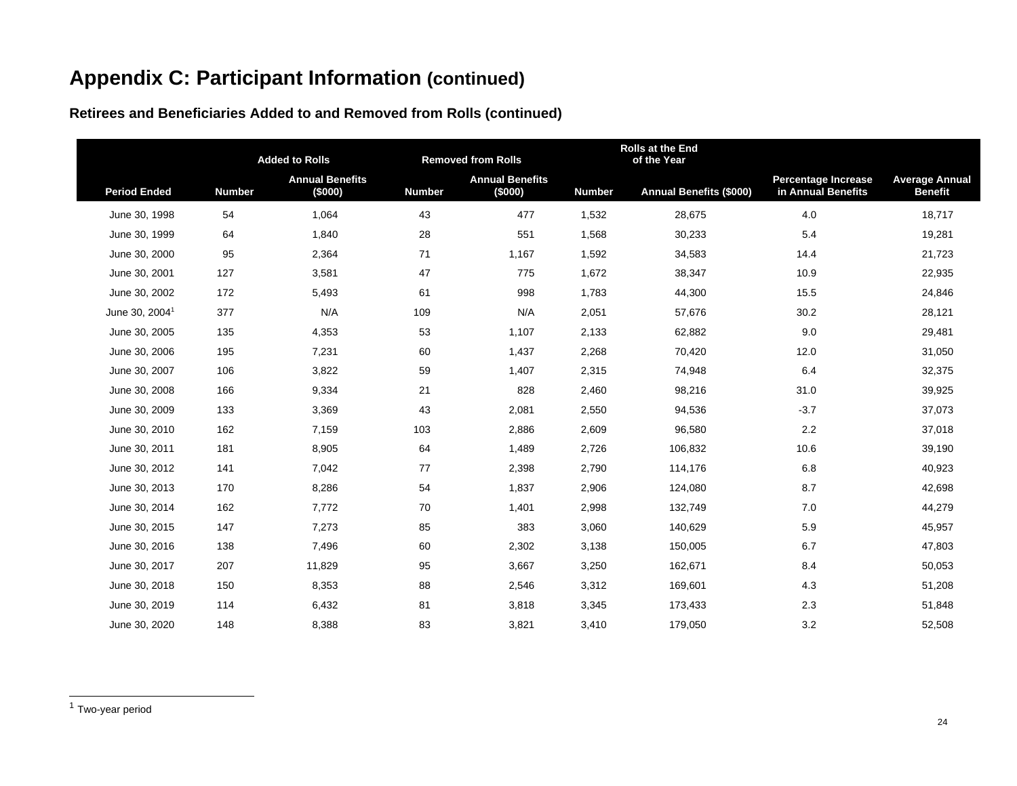|                            |               | <b>Added to Rolls</b>             |               | <b>Removed from Rolls</b>         |               | <b>Rolls at the End</b><br>of the Year |                                                  |                                         |
|----------------------------|---------------|-----------------------------------|---------------|-----------------------------------|---------------|----------------------------------------|--------------------------------------------------|-----------------------------------------|
| <b>Period Ended</b>        | <b>Number</b> | <b>Annual Benefits</b><br>(\$000) | <b>Number</b> | <b>Annual Benefits</b><br>(\$000) | <b>Number</b> | <b>Annual Benefits (\$000)</b>         | <b>Percentage Increase</b><br>in Annual Benefits | <b>Average Annual</b><br><b>Benefit</b> |
| June 30, 1998              | 54            | 1,064                             | 43            | 477                               | 1,532         | 28,675                                 | 4.0                                              | 18,717                                  |
| June 30, 1999              | 64            | 1,840                             | 28            | 551                               | 1,568         | 30,233                                 | 5.4                                              | 19,281                                  |
| June 30, 2000              | 95            | 2,364                             | 71            | 1,167                             | 1,592         | 34,583                                 | 14.4                                             | 21,723                                  |
| June 30, 2001              | 127           | 3,581                             | 47            | 775                               | 1,672         | 38,347                                 | 10.9                                             | 22,935                                  |
| June 30, 2002              | 172           | 5,493                             | 61            | 998                               | 1,783         | 44,300                                 | 15.5                                             | 24,846                                  |
| June 30, 2004 <sup>1</sup> | 377           | N/A                               | 109           | N/A                               | 2,051         | 57,676                                 | 30.2                                             | 28,121                                  |
| June 30, 2005              | 135           | 4,353                             | 53            | 1,107                             | 2,133         | 62,882                                 | 9.0                                              | 29,481                                  |
| June 30, 2006              | 195           | 7,231                             | 60            | 1,437                             | 2,268         | 70,420                                 | 12.0                                             | 31,050                                  |
| June 30, 2007              | 106           | 3,822                             | 59            | 1,407                             | 2,315         | 74,948                                 | 6.4                                              | 32,375                                  |
| June 30, 2008              | 166           | 9,334                             | 21            | 828                               | 2,460         | 98,216                                 | 31.0                                             | 39,925                                  |
| June 30, 2009              | 133           | 3,369                             | 43            | 2,081                             | 2,550         | 94,536                                 | $-3.7$                                           | 37,073                                  |
| June 30, 2010              | 162           | 7,159                             | 103           | 2,886                             | 2,609         | 96,580                                 | 2.2                                              | 37,018                                  |
| June 30, 2011              | 181           | 8,905                             | 64            | 1,489                             | 2,726         | 106,832                                | 10.6                                             | 39,190                                  |
| June 30, 2012              | 141           | 7,042                             | 77            | 2,398                             | 2,790         | 114,176                                | 6.8                                              | 40,923                                  |
| June 30, 2013              | 170           | 8,286                             | 54            | 1,837                             | 2,906         | 124,080                                | 8.7                                              | 42,698                                  |
| June 30, 2014              | 162           | 7,772                             | 70            | 1,401                             | 2,998         | 132,749                                | 7.0                                              | 44,279                                  |
| June 30, 2015              | 147           | 7,273                             | 85            | 383                               | 3,060         | 140,629                                | 5.9                                              | 45,957                                  |
| June 30, 2016              | 138           | 7,496                             | 60            | 2,302                             | 3,138         | 150,005                                | 6.7                                              | 47,803                                  |
| June 30, 2017              | 207           | 11,829                            | 95            | 3,667                             | 3,250         | 162,671                                | 8.4                                              | 50,053                                  |
| June 30, 2018              | 150           | 8,353                             | 88            | 2,546                             | 3,312         | 169,601                                | 4.3                                              | 51,208                                  |
| June 30, 2019              | 114           | 6,432                             | 81            | 3,818                             | 3,345         | 173,433                                | 2.3                                              | 51,848                                  |
| June 30, 2020              | 148           | 8,388                             | 83            | 3,821                             | 3,410         | 179,050                                | 3.2                                              | 52,508                                  |

**Retirees and Beneficiaries Added to and Removed from Rolls (continued)**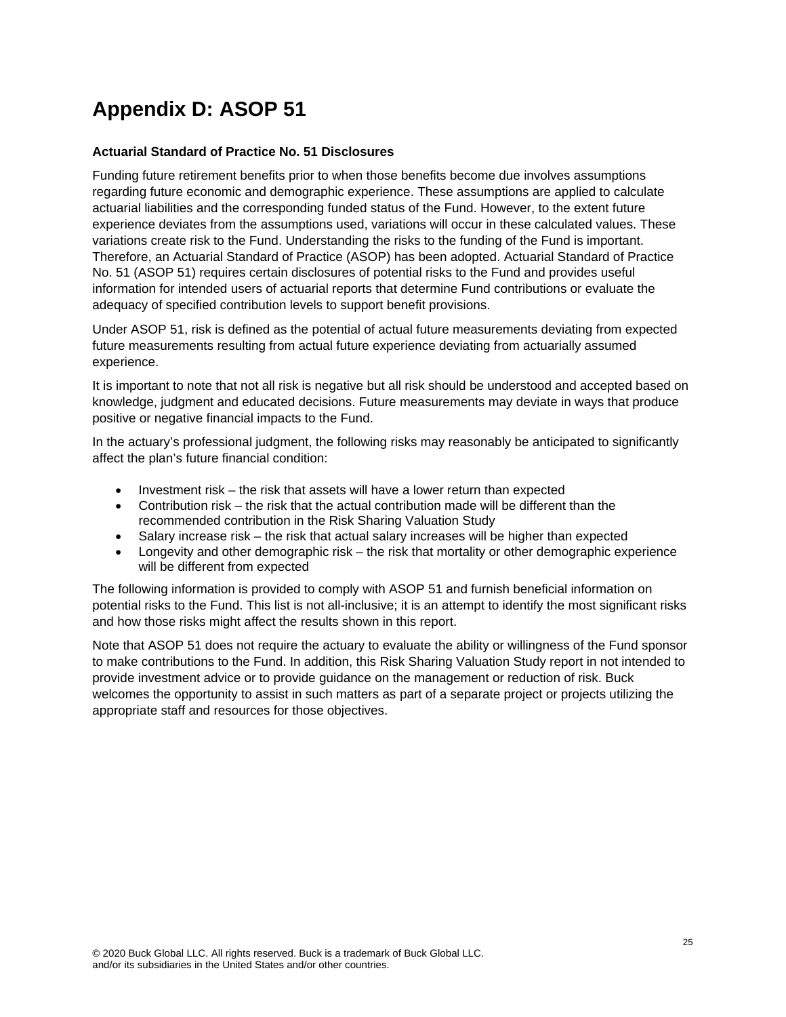## **Appendix D: ASOP 51**

#### **Actuarial Standard of Practice No. 51 Disclosures**

Funding future retirement benefits prior to when those benefits become due involves assumptions regarding future economic and demographic experience. These assumptions are applied to calculate actuarial liabilities and the corresponding funded status of the Fund. However, to the extent future experience deviates from the assumptions used, variations will occur in these calculated values. These variations create risk to the Fund. Understanding the risks to the funding of the Fund is important. Therefore, an Actuarial Standard of Practice (ASOP) has been adopted. Actuarial Standard of Practice No. 51 (ASOP 51) requires certain disclosures of potential risks to the Fund and provides useful information for intended users of actuarial reports that determine Fund contributions or evaluate the adequacy of specified contribution levels to support benefit provisions.

Under ASOP 51, risk is defined as the potential of actual future measurements deviating from expected future measurements resulting from actual future experience deviating from actuarially assumed experience.

It is important to note that not all risk is negative but all risk should be understood and accepted based on knowledge, judgment and educated decisions. Future measurements may deviate in ways that produce positive or negative financial impacts to the Fund.

In the actuary's professional judgment, the following risks may reasonably be anticipated to significantly affect the plan's future financial condition:

- Investment risk the risk that assets will have a lower return than expected
- Contribution risk the risk that the actual contribution made will be different than the recommended contribution in the Risk Sharing Valuation Study
- Salary increase risk the risk that actual salary increases will be higher than expected
- Longevity and other demographic risk the risk that mortality or other demographic experience will be different from expected

The following information is provided to comply with ASOP 51 and furnish beneficial information on potential risks to the Fund. This list is not all-inclusive; it is an attempt to identify the most significant risks and how those risks might affect the results shown in this report.

Note that ASOP 51 does not require the actuary to evaluate the ability or willingness of the Fund sponsor to make contributions to the Fund. In addition, this Risk Sharing Valuation Study report in not intended to provide investment advice or to provide guidance on the management or reduction of risk. Buck welcomes the opportunity to assist in such matters as part of a separate project or projects utilizing the appropriate staff and resources for those objectives.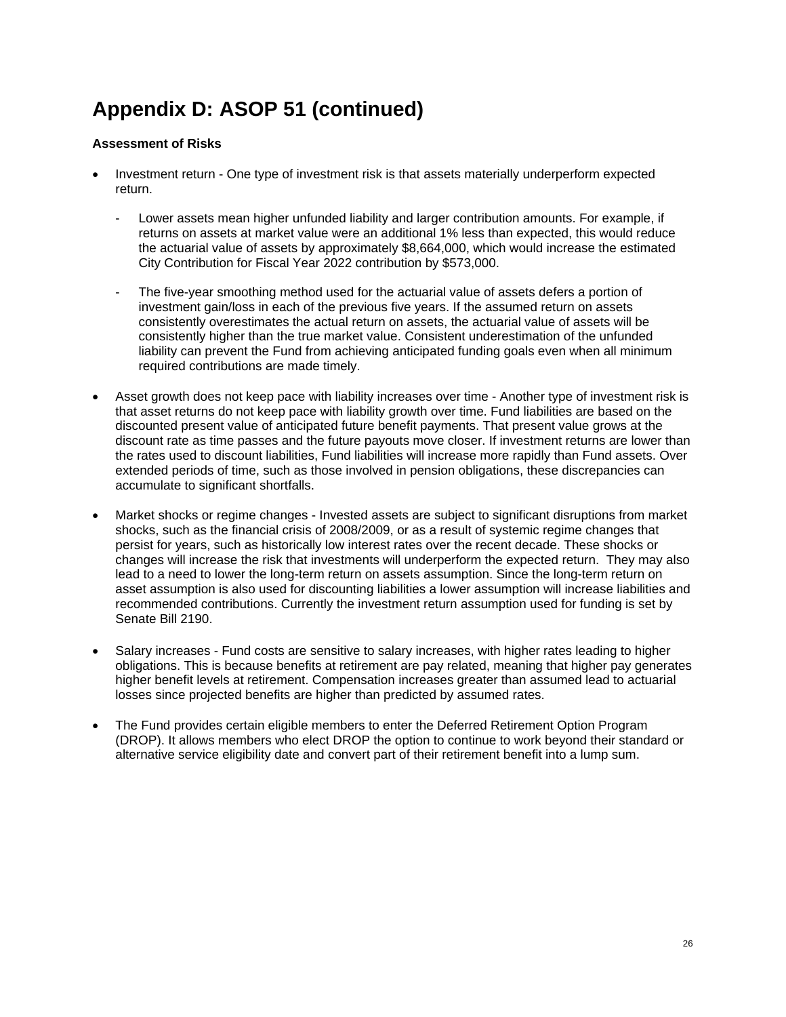#### **Assessment of Risks**

- Investment return One type of investment risk is that assets materially underperform expected return.
	- Lower assets mean higher unfunded liability and larger contribution amounts. For example, if returns on assets at market value were an additional 1% less than expected, this would reduce the actuarial value of assets by approximately \$8,664,000, which would increase the estimated City Contribution for Fiscal Year 2022 contribution by \$573,000.
	- The five-year smoothing method used for the actuarial value of assets defers a portion of investment gain/loss in each of the previous five years. If the assumed return on assets consistently overestimates the actual return on assets, the actuarial value of assets will be consistently higher than the true market value. Consistent underestimation of the unfunded liability can prevent the Fund from achieving anticipated funding goals even when all minimum required contributions are made timely.
- Asset growth does not keep pace with liability increases over time Another type of investment risk is that asset returns do not keep pace with liability growth over time. Fund liabilities are based on the discounted present value of anticipated future benefit payments. That present value grows at the discount rate as time passes and the future payouts move closer. If investment returns are lower than the rates used to discount liabilities, Fund liabilities will increase more rapidly than Fund assets. Over extended periods of time, such as those involved in pension obligations, these discrepancies can accumulate to significant shortfalls.
- Market shocks or regime changes Invested assets are subject to significant disruptions from market shocks, such as the financial crisis of 2008/2009, or as a result of systemic regime changes that persist for years, such as historically low interest rates over the recent decade. These shocks or changes will increase the risk that investments will underperform the expected return. They may also lead to a need to lower the long-term return on assets assumption. Since the long-term return on asset assumption is also used for discounting liabilities a lower assumption will increase liabilities and recommended contributions. Currently the investment return assumption used for funding is set by Senate Bill 2190.
- Salary increases Fund costs are sensitive to salary increases, with higher rates leading to higher obligations. This is because benefits at retirement are pay related, meaning that higher pay generates higher benefit levels at retirement. Compensation increases greater than assumed lead to actuarial losses since projected benefits are higher than predicted by assumed rates.
- The Fund provides certain eligible members to enter the Deferred Retirement Option Program (DROP). It allows members who elect DROP the option to continue to work beyond their standard or alternative service eligibility date and convert part of their retirement benefit into a lump sum.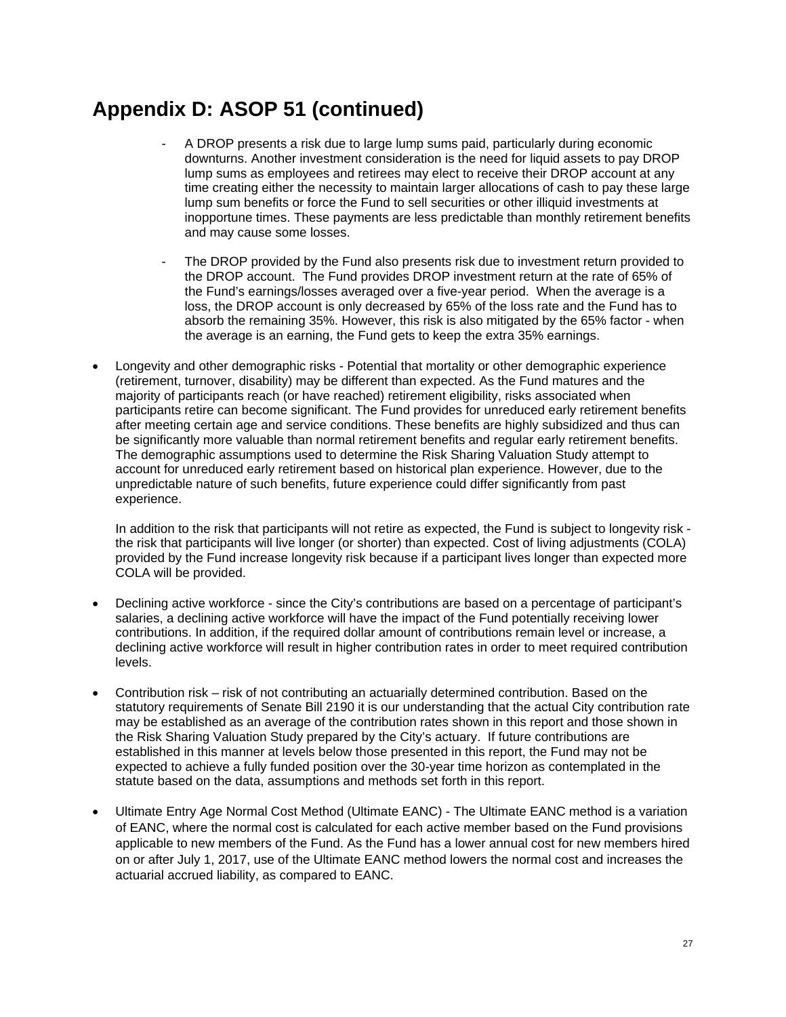- A DROP presents a risk due to large lump sums paid, particularly during economic downturns. Another investment consideration is the need for liquid assets to pay DROP lump sums as employees and retirees may elect to receive their DROP account at any time creating either the necessity to maintain larger allocations of cash to pay these large lump sum benefits or force the Fund to sell securities or other illiquid investments at inopportune times. These payments are less predictable than monthly retirement benefits and may cause some losses.
- The DROP provided by the Fund also presents risk due to investment return provided to the DROP account. The Fund provides DROP investment return at the rate of 65% of the Fund's earnings/losses averaged over a five-year period. When the average is a loss, the DROP account is only decreased by 65% of the loss rate and the Fund has to absorb the remaining 35%. However, this risk is also mitigated by the 65% factor - when the average is an earning, the Fund gets to keep the extra 35% earnings.
- Longevity and other demographic risks Potential that mortality or other demographic experience (retirement, turnover, disability) may be different than expected. As the Fund matures and the majority of participants reach (or have reached) retirement eligibility, risks associated when participants retire can become significant. The Fund provides for unreduced early retirement benefits after meeting certain age and service conditions. These benefits are highly subsidized and thus can be significantly more valuable than normal retirement benefits and regular early retirement benefits. The demographic assumptions used to determine the Risk Sharing Valuation Study attempt to account for unreduced early retirement based on historical plan experience. However, due to the unpredictable nature of such benefits, future experience could differ significantly from past experience.

In addition to the risk that participants will not retire as expected, the Fund is subject to longevity risk the risk that participants will live longer (or shorter) than expected. Cost of living adjustments (COLA) provided by the Fund increase longevity risk because if a participant lives longer than expected more COLA will be provided.

- Declining active workforce since the City's contributions are based on a percentage of participant's salaries, a declining active workforce will have the impact of the Fund potentially receiving lower contributions. In addition, if the required dollar amount of contributions remain level or increase, a declining active workforce will result in higher contribution rates in order to meet required contribution levels.
- Contribution risk risk of not contributing an actuarially determined contribution. Based on the statutory requirements of Senate Bill 2190 it is our understanding that the actual City contribution rate may be established as an average of the contribution rates shown in this report and those shown in the Risk Sharing Valuation Study prepared by the City's actuary. If future contributions are established in this manner at levels below those presented in this report, the Fund may not be expected to achieve a fully funded position over the 30-year time horizon as contemplated in the statute based on the data, assumptions and methods set forth in this report.
- Ultimate Entry Age Normal Cost Method (Ultimate EANC) The Ultimate EANC method is a variation of EANC, where the normal cost is calculated for each active member based on the Fund provisions applicable to new members of the Fund. As the Fund has a lower annual cost for new members hired on or after July 1, 2017, use of the Ultimate EANC method lowers the normal cost and increases the actuarial accrued liability, as compared to EANC.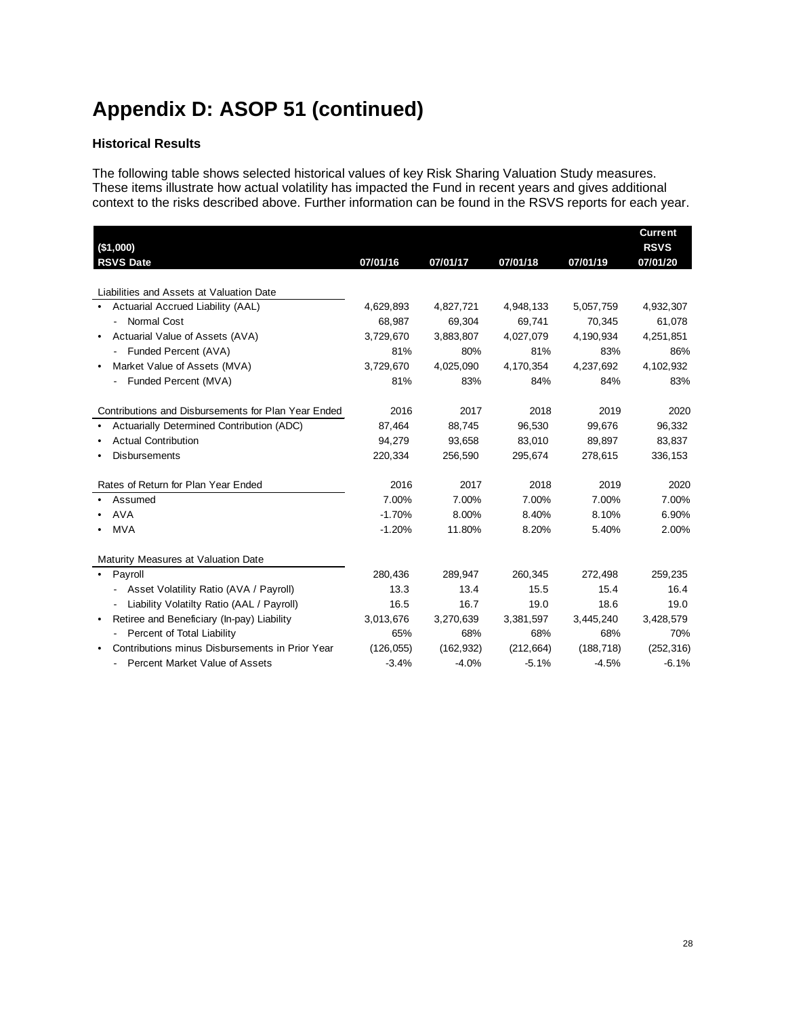#### **Historical Results**

The following table shows selected historical values of key Risk Sharing Valuation Study measures. These items illustrate how actual volatility has impacted the Fund in recent years and gives additional context to the risks described above. Further information can be found in the RSVS reports for each year.

| (\$1,000)                                           |            |            |            |            | <b>Current</b><br><b>RSVS</b> |
|-----------------------------------------------------|------------|------------|------------|------------|-------------------------------|
| <b>RSVS Date</b>                                    | 07/01/16   | 07/01/17   | 07/01/18   | 07/01/19   | 07/01/20                      |
|                                                     |            |            |            |            |                               |
| Liabilities and Assets at Valuation Date            |            |            |            |            |                               |
| • Actuarial Accrued Liability (AAL)                 | 4,629,893  | 4,827,721  | 4,948,133  | 5,057,759  | 4,932,307                     |
| Normal Cost                                         | 68,987     | 69,304     | 69,741     | 70,345     | 61,078                        |
| Actuarial Value of Assets (AVA)                     | 3,729,670  | 3,883,807  | 4,027,079  | 4,190,934  | 4,251,851                     |
| Funded Percent (AVA)                                | 81%        | 80%        | 81%        | 83%        | 86%                           |
| Market Value of Assets (MVA)                        | 3,729,670  | 4,025,090  | 4,170,354  | 4,237,692  | 4,102,932                     |
| Funded Percent (MVA)                                | 81%        | 83%        | 84%        | 84%        | 83%                           |
| Contributions and Disbursements for Plan Year Ended | 2016       | 2017       | 2018       | 2019       | 2020                          |
| Actuarially Determined Contribution (ADC)           | 87,464     | 88,745     | 96,530     | 99,676     | 96,332                        |
| <b>Actual Contribution</b>                          | 94,279     | 93,658     | 83,010     | 89,897     | 83,837                        |
| <b>Disbursements</b>                                | 220,334    | 256,590    | 295,674    | 278,615    | 336,153                       |
| Rates of Return for Plan Year Ended                 | 2016       | 2017       | 2018       | 2019       | 2020                          |
| Assumed                                             | 7.00%      | 7.00%      | 7.00%      | 7.00%      | 7.00%                         |
| <b>AVA</b>                                          | $-1.70%$   | 8.00%      | 8.40%      | 8.10%      | 6.90%                         |
| <b>MVA</b>                                          | $-1.20%$   | 11.80%     | 8.20%      | 5.40%      | 2.00%                         |
| Maturity Measures at Valuation Date                 |            |            |            |            |                               |
| • Payroll                                           | 280,436    | 289,947    | 260,345    | 272,498    | 259,235                       |
| Asset Volatility Ratio (AVA / Payroll)              | 13.3       | 13.4       | 15.5       | 15.4       | 16.4                          |
| Liability Volatilty Ratio (AAL / Payroll)           | 16.5       | 16.7       | 19.0       | 18.6       | 19.0                          |
| Retiree and Beneficiary (In-pay) Liability          | 3,013,676  | 3,270,639  | 3,381,597  | 3,445,240  | 3,428,579                     |
| Percent of Total Liability                          | 65%        | 68%        | 68%        | 68%        | 70%                           |
| Contributions minus Disbursements in Prior Year     | (126, 055) | (162, 932) | (212, 664) | (188, 718) | (252, 316)                    |
| Percent Market Value of Assets                      | $-3.4%$    | $-4.0%$    | $-5.1%$    | $-4.5%$    | $-6.1%$                       |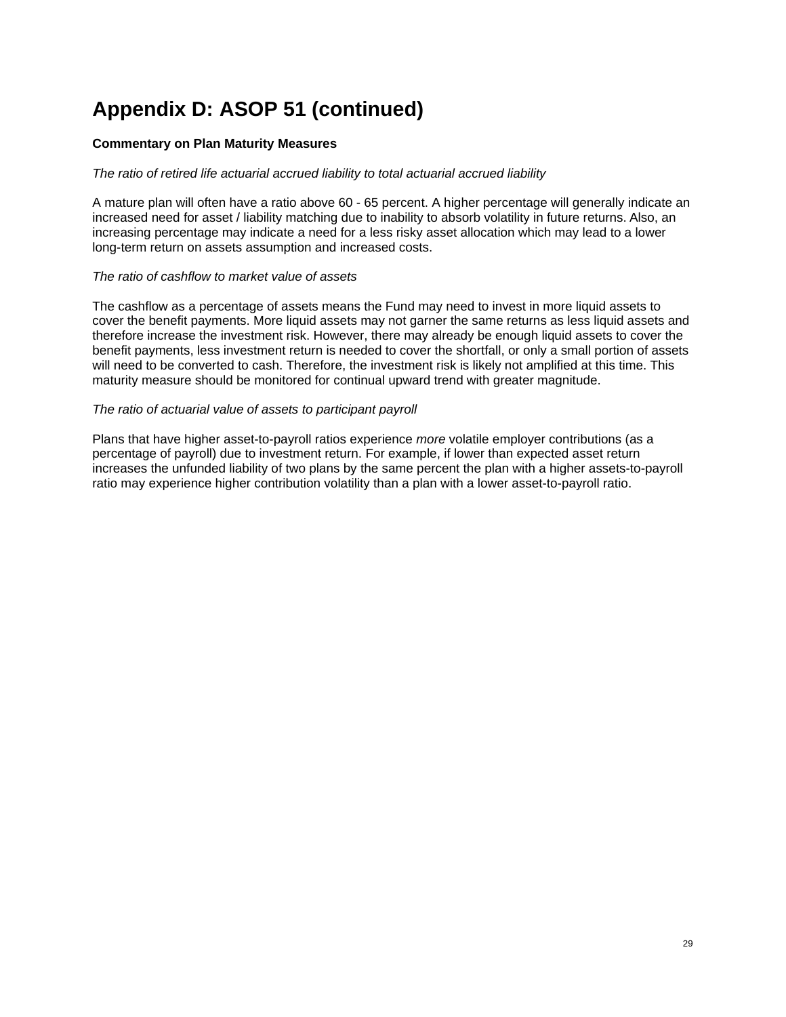#### **Commentary on Plan Maturity Measures**

#### *The ratio of retired life actuarial accrued liability to total actuarial accrued liability*

A mature plan will often have a ratio above 60 - 65 percent. A higher percentage will generally indicate an increased need for asset / liability matching due to inability to absorb volatility in future returns. Also, an increasing percentage may indicate a need for a less risky asset allocation which may lead to a lower long-term return on assets assumption and increased costs.

#### *The ratio of cashflow to market value of assets*

The cashflow as a percentage of assets means the Fund may need to invest in more liquid assets to cover the benefit payments. More liquid assets may not garner the same returns as less liquid assets and therefore increase the investment risk. However, there may already be enough liquid assets to cover the benefit payments, less investment return is needed to cover the shortfall, or only a small portion of assets will need to be converted to cash. Therefore, the investment risk is likely not amplified at this time. This maturity measure should be monitored for continual upward trend with greater magnitude.

#### *The ratio of actuarial value of assets to participant payroll*

Plans that have higher asset-to-payroll ratios experience *more* volatile employer contributions (as a percentage of payroll) due to investment return. For example, if lower than expected asset return increases the unfunded liability of two plans by the same percent the plan with a higher assets-to-payroll ratio may experience higher contribution volatility than a plan with a lower asset-to-payroll ratio.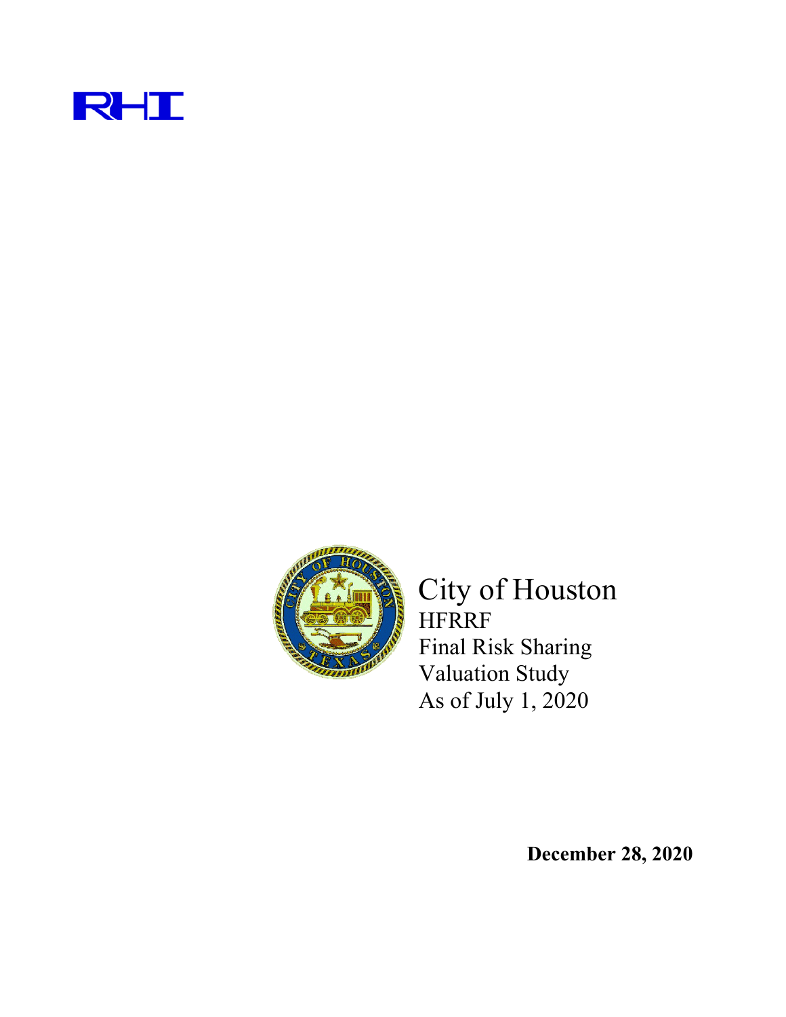



City of Houston HFRRF Final Risk Sharing Valuation Study As of July 1, 2020

**December 28, 2020**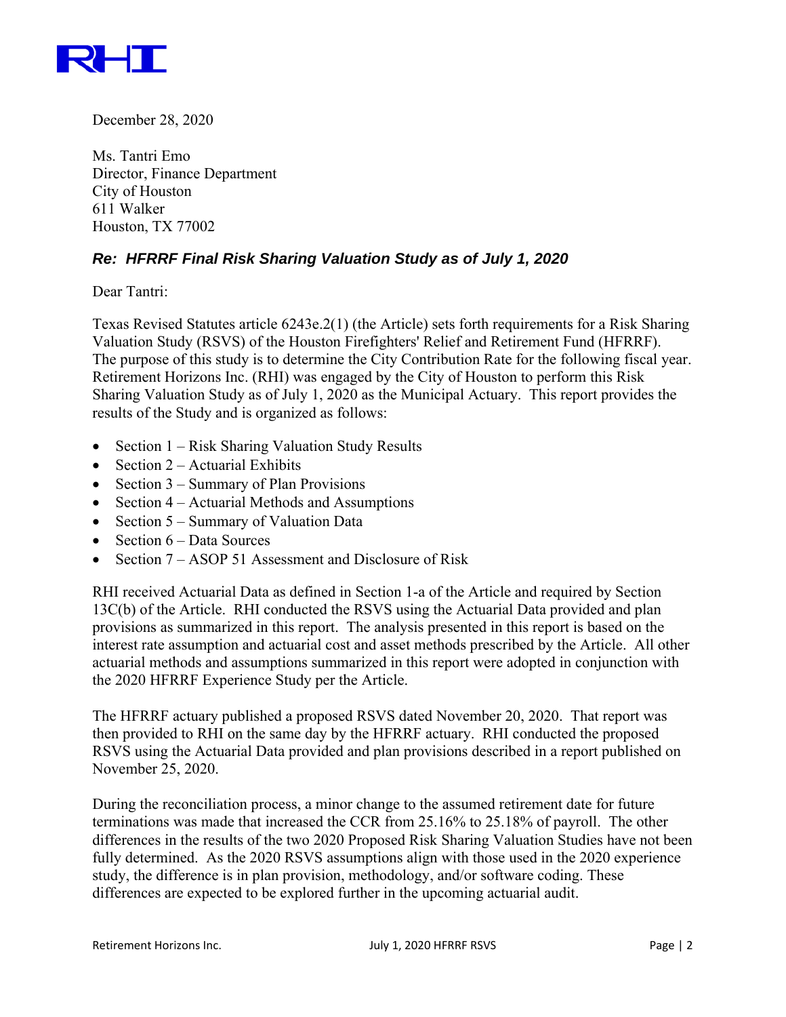

December 28, 2020

Ms. Tantri Emo Director, Finance Department City of Houston 611 Walker Houston, TX 77002

### *Re: HFRRF Final Risk Sharing Valuation Study as of July 1, 2020*

Dear Tantri:

Texas Revised Statutes article 6243e.2(1) (the Article) sets forth requirements for a Risk Sharing Valuation Study (RSVS) of the Houston Firefighters' Relief and Retirement Fund (HFRRF). The purpose of this study is to determine the City Contribution Rate for the following fiscal year. Retirement Horizons Inc. (RHI) was engaged by the City of Houston to perform this Risk Sharing Valuation Study as of July 1, 2020 as the Municipal Actuary. This report provides the results of the Study and is organized as follows:

- Section  $1 Risk Sharing Valuation Study Results$
- Section  $2 -$  Actuarial Exhibits
- Section  $3$  Summary of Plan Provisions
- Section  $4 -$  Actuarial Methods and Assumptions
- Section  $5 -$  Summary of Valuation Data
- $\bullet$  Section 6 Data Sources
- Section 7 ASOP 51 Assessment and Disclosure of Risk

RHI received Actuarial Data as defined in Section 1-a of the Article and required by Section 13C(b) of the Article. RHI conducted the RSVS using the Actuarial Data provided and plan provisions as summarized in this report. The analysis presented in this report is based on the interest rate assumption and actuarial cost and asset methods prescribed by the Article. All other actuarial methods and assumptions summarized in this report were adopted in conjunction with the 2020 HFRRF Experience Study per the Article.

The HFRRF actuary published a proposed RSVS dated November 20, 2020. That report was then provided to RHI on the same day by the HFRRF actuary. RHI conducted the proposed RSVS using the Actuarial Data provided and plan provisions described in a report published on November 25, 2020.

During the reconciliation process, a minor change to the assumed retirement date for future terminations was made that increased the CCR from 25.16% to 25.18% of payroll. The other differences in the results of the two 2020 Proposed Risk Sharing Valuation Studies have not been fully determined. As the 2020 RSVS assumptions align with those used in the 2020 experience study, the difference is in plan provision, methodology, and/or software coding. These differences are expected to be explored further in the upcoming actuarial audit.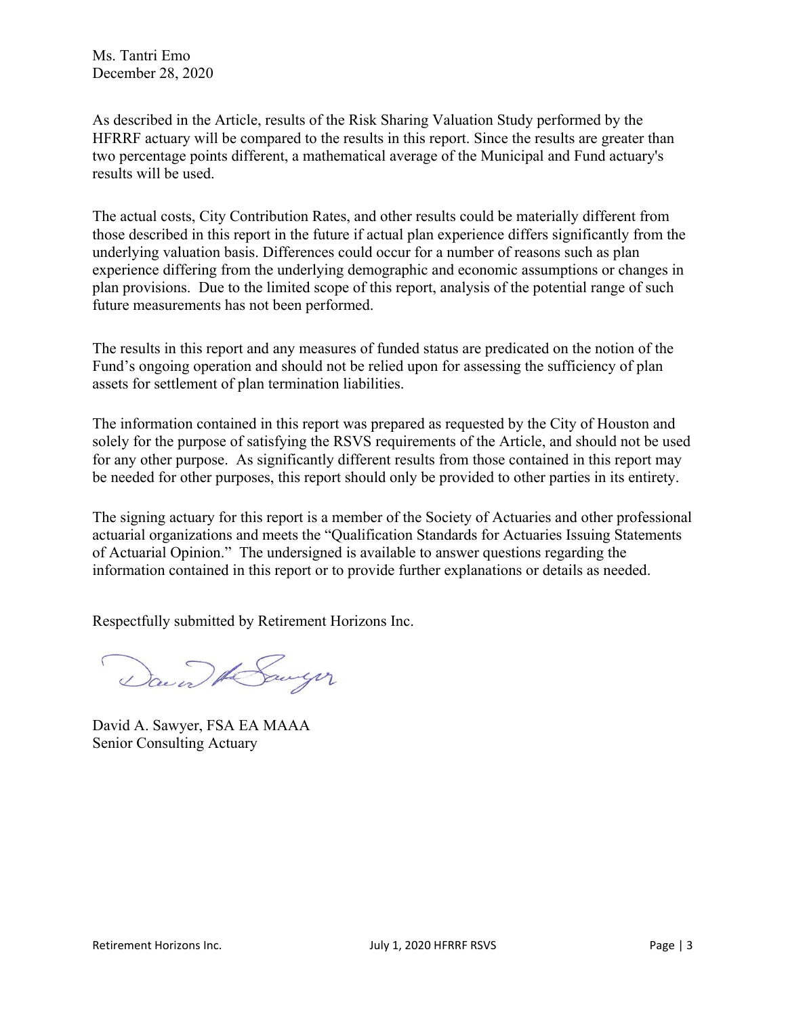As described in the Article, results of the Risk Sharing Valuation Study performed by the HFRRF actuary will be compared to the results in this report. Since the results are greater than two percentage points different, a mathematical average of the Municipal and Fund actuary's results will be used.

The actual costs, City Contribution Rates, and other results could be materially different from those described in this report in the future if actual plan experience differs significantly from the underlying valuation basis. Differences could occur for a number of reasons such as plan experience differing from the underlying demographic and economic assumptions or changes in plan provisions. Due to the limited scope of this report, analysis of the potential range of such future measurements has not been performed.

The results in this report and any measures of funded status are predicated on the notion of the Fund's ongoing operation and should not be relied upon for assessing the sufficiency of plan assets for settlement of plan termination liabilities.

The information contained in this report was prepared as requested by the City of Houston and solely for the purpose of satisfying the RSVS requirements of the Article, and should not be used for any other purpose. As significantly different results from those contained in this report may be needed for other purposes, this report should only be provided to other parties in its entirety.

The signing actuary for this report is a member of the Society of Actuaries and other professional actuarial organizations and meets the "Qualification Standards for Actuaries Issuing Statements of Actuarial Opinion." The undersigned is available to answer questions regarding the information contained in this report or to provide further explanations or details as needed.

Respectfully submitted by Retirement Horizons Inc.

David A Sawyer

David A. Sawyer, FSA EA MAAA Senior Consulting Actuary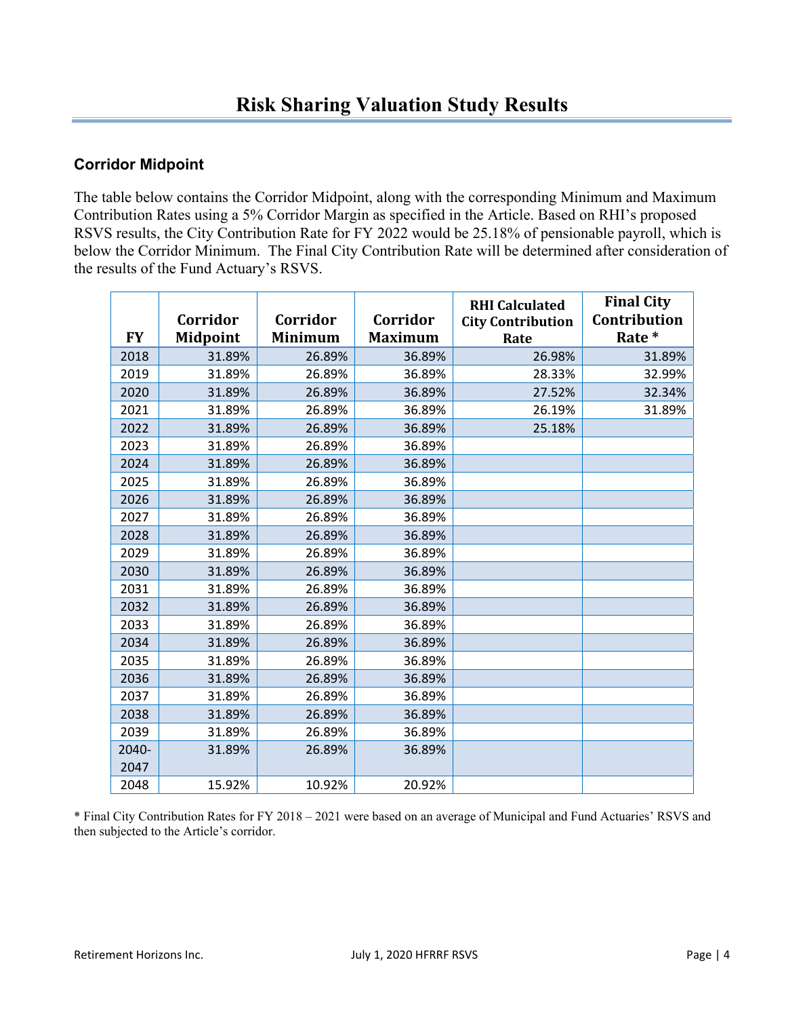### **Corridor Midpoint**

The table below contains the Corridor Midpoint, along with the corresponding Minimum and Maximum Contribution Rates using a 5% Corridor Margin as specified in the Article. Based on RHI's proposed RSVS results, the City Contribution Rate for FY 2022 would be 25.18% of pensionable payroll, which is below the Corridor Minimum. The Final City Contribution Rate will be determined after consideration of the results of the Fund Actuary's RSVS.

| <b>FY</b> | Corridor<br>Midpoint | Corridor<br>Minimum | Corridor<br><b>Maximum</b> | <b>RHI Calculated</b><br><b>City Contribution</b><br>Rate | <b>Final City</b><br>Contribution<br>Rate * |
|-----------|----------------------|---------------------|----------------------------|-----------------------------------------------------------|---------------------------------------------|
| 2018      | 31.89%               | 26.89%              | 36.89%                     | 26.98%                                                    | 31.89%                                      |
| 2019      | 31.89%               | 26.89%              | 36.89%                     | 28.33%                                                    | 32.99%                                      |
| 2020      | 31.89%               | 26.89%              | 36.89%                     | 27.52%                                                    | 32.34%                                      |
| 2021      | 31.89%               | 26.89%              | 36.89%                     | 26.19%                                                    | 31.89%                                      |
| 2022      | 31.89%               | 26.89%              | 36.89%                     | 25.18%                                                    |                                             |
| 2023      | 31.89%               | 26.89%              | 36.89%                     |                                                           |                                             |
| 2024      | 31.89%               | 26.89%              | 36.89%                     |                                                           |                                             |
| 2025      | 31.89%               | 26.89%              | 36.89%                     |                                                           |                                             |
| 2026      | 31.89%               | 26.89%              | 36.89%                     |                                                           |                                             |
| 2027      | 31.89%               | 26.89%              | 36.89%                     |                                                           |                                             |
| 2028      | 31.89%               | 26.89%              | 36.89%                     |                                                           |                                             |
| 2029      | 31.89%               | 26.89%              | 36.89%                     |                                                           |                                             |
| 2030      | 31.89%               | 26.89%              | 36.89%                     |                                                           |                                             |
| 2031      | 31.89%               | 26.89%              | 36.89%                     |                                                           |                                             |
| 2032      | 31.89%               | 26.89%              | 36.89%                     |                                                           |                                             |
| 2033      | 31.89%               | 26.89%              | 36.89%                     |                                                           |                                             |
| 2034      | 31.89%               | 26.89%              | 36.89%                     |                                                           |                                             |
| 2035      | 31.89%               | 26.89%              | 36.89%                     |                                                           |                                             |
| 2036      | 31.89%               | 26.89%              | 36.89%                     |                                                           |                                             |
| 2037      | 31.89%               | 26.89%              | 36.89%                     |                                                           |                                             |
| 2038      | 31.89%               | 26.89%              | 36.89%                     |                                                           |                                             |
| 2039      | 31.89%               | 26.89%              | 36.89%                     |                                                           |                                             |
| 2040-     | 31.89%               | 26.89%              | 36.89%                     |                                                           |                                             |
| 2047      |                      |                     |                            |                                                           |                                             |
| 2048      | 15.92%               | 10.92%              | 20.92%                     |                                                           |                                             |

\* Final City Contribution Rates for FY 2018 – 2021 were based on an average of Municipal and Fund Actuaries' RSVS and then subjected to the Article's corridor.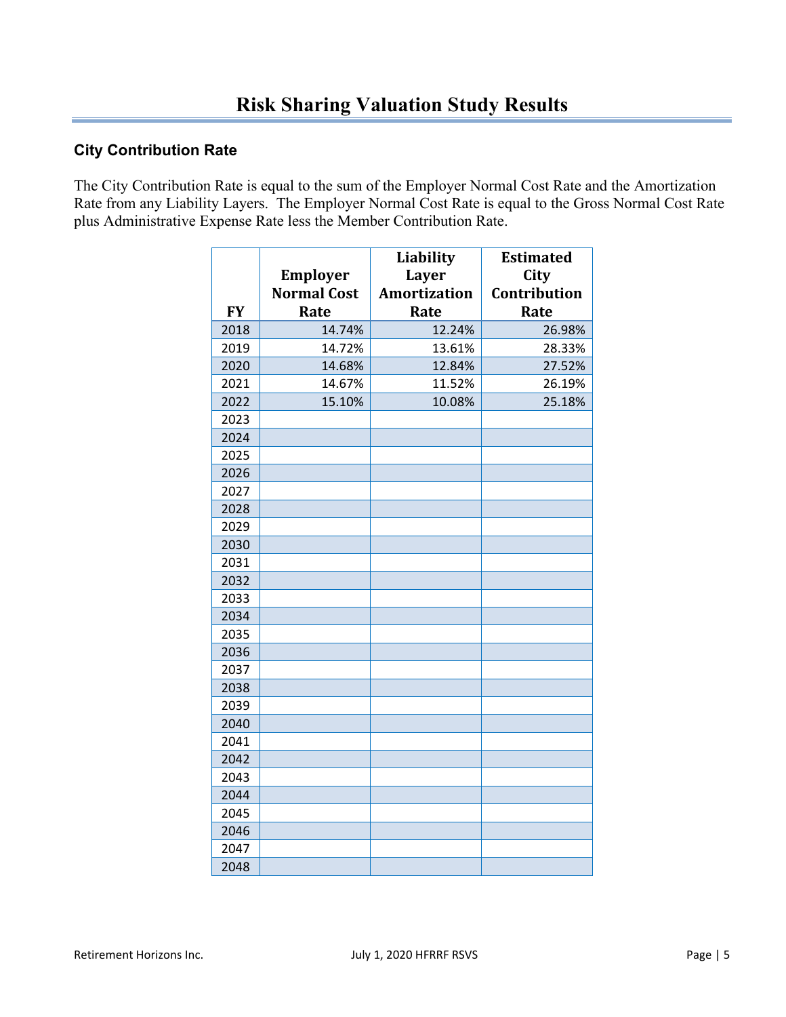### **City Contribution Rate**

The City Contribution Rate is equal to the sum of the Employer Normal Cost Rate and the Amortization Rate from any Liability Layers. The Employer Normal Cost Rate is equal to the Gross Normal Cost Rate plus Administrative Expense Rate less the Member Contribution Rate.

|           |                    | Liability           | <b>Estimated</b> |
|-----------|--------------------|---------------------|------------------|
|           | Employer           | <b>Layer</b>        | City             |
|           | <b>Normal Cost</b> | <b>Amortization</b> | Contribution     |
| <b>FY</b> | Rate               | Rate                | Rate             |
| 2018      | 14.74%             | 12.24%              | 26.98%           |
| 2019      | 14.72%             | 13.61%              | 28.33%           |
| 2020      | 14.68%             | 12.84%              | 27.52%           |
| 2021      | 14.67%             | 11.52%              | 26.19%           |
| 2022      | 15.10%             | 10.08%              | 25.18%           |
| 2023      |                    |                     |                  |
| 2024      |                    |                     |                  |
| 2025      |                    |                     |                  |
| 2026      |                    |                     |                  |
| 2027      |                    |                     |                  |
| 2028      |                    |                     |                  |
| 2029      |                    |                     |                  |
| 2030      |                    |                     |                  |
| 2031      |                    |                     |                  |
| 2032      |                    |                     |                  |
| 2033      |                    |                     |                  |
| 2034      |                    |                     |                  |
| 2035      |                    |                     |                  |
| 2036      |                    |                     |                  |
| 2037      |                    |                     |                  |
| 2038      |                    |                     |                  |
| 2039      |                    |                     |                  |
| 2040      |                    |                     |                  |
| 2041      |                    |                     |                  |
| 2042      |                    |                     |                  |
| 2043      |                    |                     |                  |
| 2044      |                    |                     |                  |
| 2045      |                    |                     |                  |
| 2046      |                    |                     |                  |
| 2047      |                    |                     |                  |
| 2048      |                    |                     |                  |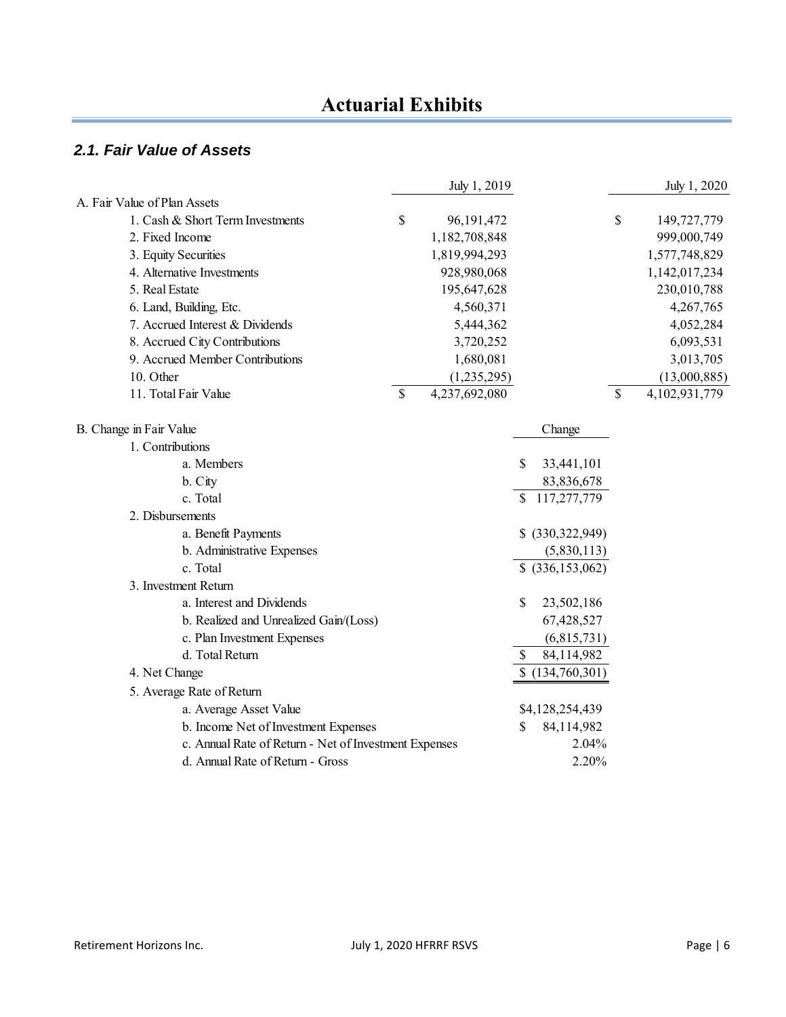### *2.1. Fair Value of Assets*

|                                                                                               |               | July 1, 2019  |                                     | July 1, 2020        |
|-----------------------------------------------------------------------------------------------|---------------|---------------|-------------------------------------|---------------------|
| A. Fair Value of Plan Assets                                                                  |               |               |                                     |                     |
| 1. Cash & Short Term Investments                                                              | \$            | 96,191,472    |                                     | \$<br>149,727,779   |
| 2. Fixed Income                                                                               |               | 1,182,708,848 |                                     | 999,000,749         |
| 3. Equity Securities                                                                          |               | 1,819,994,293 |                                     | 1,577,748,829       |
| 4. Alternative Investments                                                                    |               | 928,980,068   |                                     | 1,142,017,234       |
| 5. Real Estate                                                                                |               | 195,647,628   |                                     | 230,010,788         |
| 6. Land, Building, Etc.                                                                       |               | 4,560,371     |                                     | 4,267,765           |
| 7. Accrued Interest & Dividends                                                               |               | 5,444,362     |                                     | 4,052,284           |
| 8. Accrued City Contributions                                                                 |               | 3,720,252     |                                     | 6,093,531           |
| 9. Accrued Member Contributions                                                               |               | 1,680,081     |                                     | 3,013,705           |
| 10. Other                                                                                     |               | (1,235,295)   |                                     | (13,000,885)        |
| 11. Total Fair Value                                                                          | $\mathcal{S}$ | 4,237,692,080 |                                     | \$<br>4,102,931,779 |
|                                                                                               |               |               |                                     |                     |
| B. Change in Fair Value<br>1. Contributions                                                   |               |               | Change                              |                     |
| a. Members                                                                                    |               |               | \$<br>33,441,101                    |                     |
| b. City                                                                                       |               |               | 83,836,678                          |                     |
| c. Total                                                                                      |               |               | \$117,277,779                       |                     |
| 2. Disbursements                                                                              |               |               |                                     |                     |
| a. Benefit Payments                                                                           |               |               | \$ (330,322,949)                    |                     |
| b. Administrative Expenses                                                                    |               |               | (5,830,113)                         |                     |
| c. Total                                                                                      |               |               | \$ (336, 153, 062)                  |                     |
| 3. Investment Return                                                                          |               |               |                                     |                     |
| a. Interest and Dividends                                                                     |               |               | \$<br>23,502,186                    |                     |
| b. Realized and Unrealized Gain/(Loss)                                                        |               |               | 67,428,527                          |                     |
| c. Plan Investment Expenses                                                                   |               |               | (6,815,731)                         |                     |
| d. Total Return                                                                               |               |               | 84,114,982<br>\$                    |                     |
| 4. Net Change                                                                                 |               |               | \$(134,760,301)                     |                     |
| 5. Average Rate of Return                                                                     |               |               |                                     |                     |
| a. Average Asset Value                                                                        |               |               |                                     |                     |
|                                                                                               |               |               | \$4,128,254,439<br>84,114,982<br>\$ |                     |
| b. Income Net of Investment Expenses<br>c. Annual Rate of Return - Net of Investment Expenses |               |               | 2.04%                               |                     |
| d. Annual Rate of Return - Gross                                                              |               |               |                                     |                     |
|                                                                                               |               |               | 2.20%                               |                     |

L,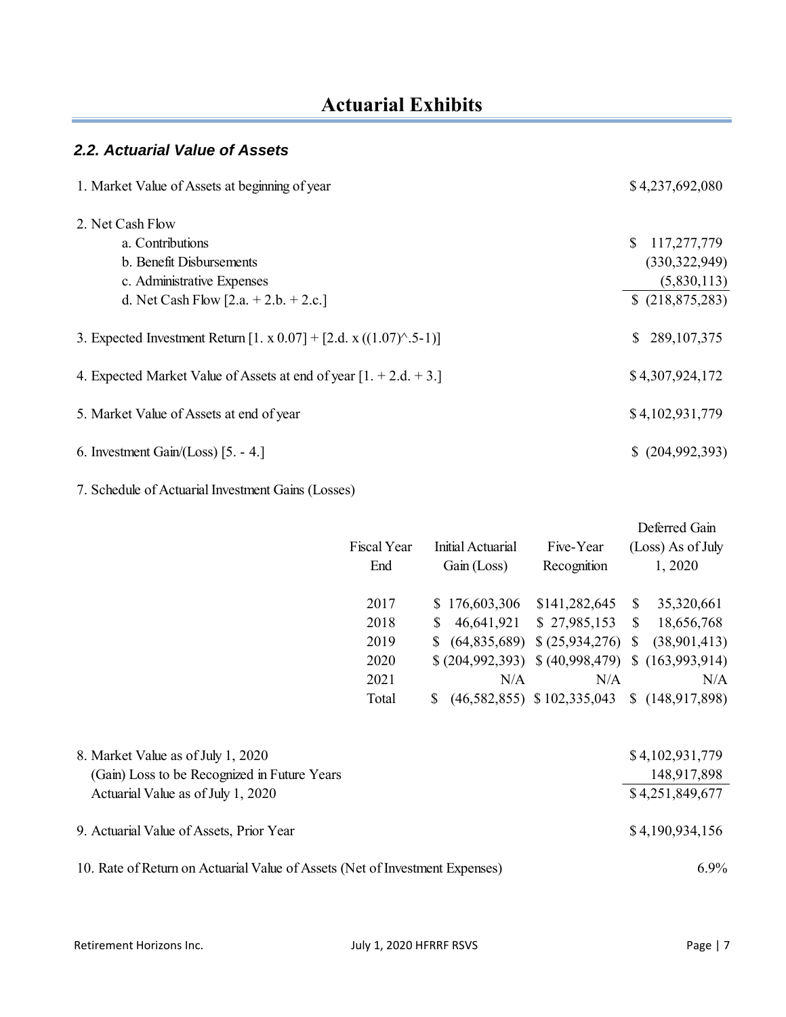### *2.2. Actuarial Value of Assets*

| 1. Market Value of Assets at beginning of year                       | \$4,237,692,080     |
|----------------------------------------------------------------------|---------------------|
| 2. Net Cash Flow                                                     |                     |
| a. Contributions                                                     | 117,277,779<br>S.   |
| b. Benefit Disbursements                                             | (330, 322, 949)     |
| c. Administrative Expenses                                           | (5,830,113)         |
| d. Net Cash Flow [2.a. $+ 2.b. + 2.c.$ ]                             | \$(218,875,283)     |
| 3. Expected Investment Return [1. x 0.07] + [2.d. x ((1.07)^.5-1)]   | 289, 107, 375<br>S. |
| 4. Expected Market Value of Assets at end of year $[1. + 2.d. + 3.]$ | \$4,307,924,172     |
| 5. Market Value of Assets at end of year                             | \$4,102,931,779     |
| 6. Investment Gain/(Loss) $[5. -4.]$                                 | $$^{(204,992,393)}$ |

7. Schedule of Actuarial Investment Gains (Losses)

|                                                                              |             |                |                   |                                                |              | Deferred Gain     |
|------------------------------------------------------------------------------|-------------|----------------|-------------------|------------------------------------------------|--------------|-------------------|
|                                                                              | Fiscal Year |                | Initial Actuarial | Five-Year                                      |              | (Loss) As of July |
|                                                                              | End         |                | Gain (Loss)       | Recognition                                    |              | 1,2020            |
|                                                                              | 2017        |                | \$176,603,306     | \$141,282,645                                  | $\mathbb{S}$ | 35,320,661        |
|                                                                              | 2018        | \$             | 46,641,921        | \$27,985,153                                   | $\mathbb{S}$ | 18,656,768        |
|                                                                              | 2019        | $\mathbb{S}^-$ |                   | $(64,835,689)$ \$ $(25,934,276)$ \$            |              | (38,901,413)      |
|                                                                              | 2020        |                |                   | $(204,992,393)$ $(40,998,479)$ $(163,993,914)$ |              |                   |
|                                                                              | 2021        |                | N/A               | N/A                                            |              | N/A               |
|                                                                              | Total       | S.             |                   | $(46,582,855)$ \$102,335,043                   |              | \$(148,917,898)   |
|                                                                              |             |                |                   |                                                |              |                   |
| 8. Market Value as of July 1, 2020                                           |             |                |                   |                                                |              | \$4,102,931,779   |
| (Gain) Loss to be Recognized in Future Years                                 |             |                |                   |                                                |              | 148,917,898       |
| Actuarial Value as of July 1, 2020                                           |             |                |                   |                                                |              | \$4,251,849,677   |
| 9. Actuarial Value of Assets, Prior Year                                     |             |                |                   |                                                |              | \$4,190,934,156   |
| 10. Rate of Return on Actuarial Value of Assets (Net of Investment Expenses) |             |                |                   |                                                |              | $6.9\%$           |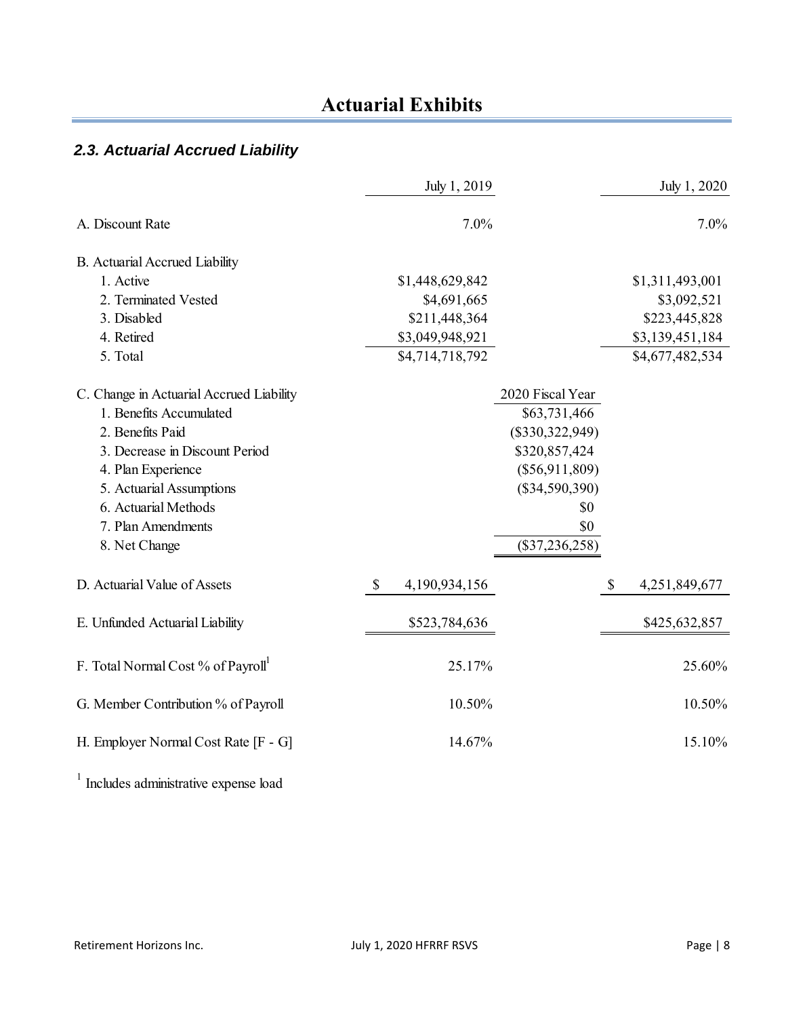### *2.3. Actuarial Accrued Liability*

|                                          | July 1, 2019                   |                   | July 1, 2020        |
|------------------------------------------|--------------------------------|-------------------|---------------------|
| A. Discount Rate                         | 7.0%                           |                   | 7.0%                |
| B. Actuarial Accrued Liability           |                                |                   |                     |
| 1. Active                                | \$1,448,629,842                |                   | \$1,311,493,001     |
| 2. Terminated Vested                     | \$4,691,665                    |                   | \$3,092,521         |
| 3. Disabled                              | \$211,448,364                  |                   | \$223,445,828       |
| 4. Retired                               | \$3,049,948,921                |                   | \$3,139,451,184     |
| 5. Total                                 | \$4,714,718,792                |                   | \$4,677,482,534     |
| C. Change in Actuarial Accrued Liability |                                | 2020 Fiscal Year  |                     |
| 1. Benefits Accumulated                  |                                | \$63,731,466      |                     |
| 2. Benefits Paid                         |                                | $(\$330,322,949)$ |                     |
| 3. Decrease in Discount Period           |                                | \$320,857,424     |                     |
| 4. Plan Experience                       |                                | $(\$56,911,809)$  |                     |
| 5. Actuarial Assumptions                 |                                | $(\$34,590,390)$  |                     |
| 6. Actuarial Methods                     |                                | \$0               |                     |
| 7. Plan Amendments                       |                                | \$0               |                     |
| 8. Net Change                            |                                | $(\$37,236,258)$  |                     |
| D. Actuarial Value of Assets             | $\mathcal{S}$<br>4,190,934,156 |                   | \$<br>4,251,849,677 |
| E. Unfunded Actuarial Liability          | \$523,784,636                  |                   | \$425,632,857       |
| F. Total Normal Cost % of Payroll        | 25.17%                         |                   | 25.60%              |
| G. Member Contribution % of Payroll      | 10.50%                         |                   | 10.50%              |
| H. Employer Normal Cost Rate [F - G]     | 14.67%                         |                   | 15.10%              |
|                                          |                                |                   |                     |

<sup>1</sup> Includes administrative expense load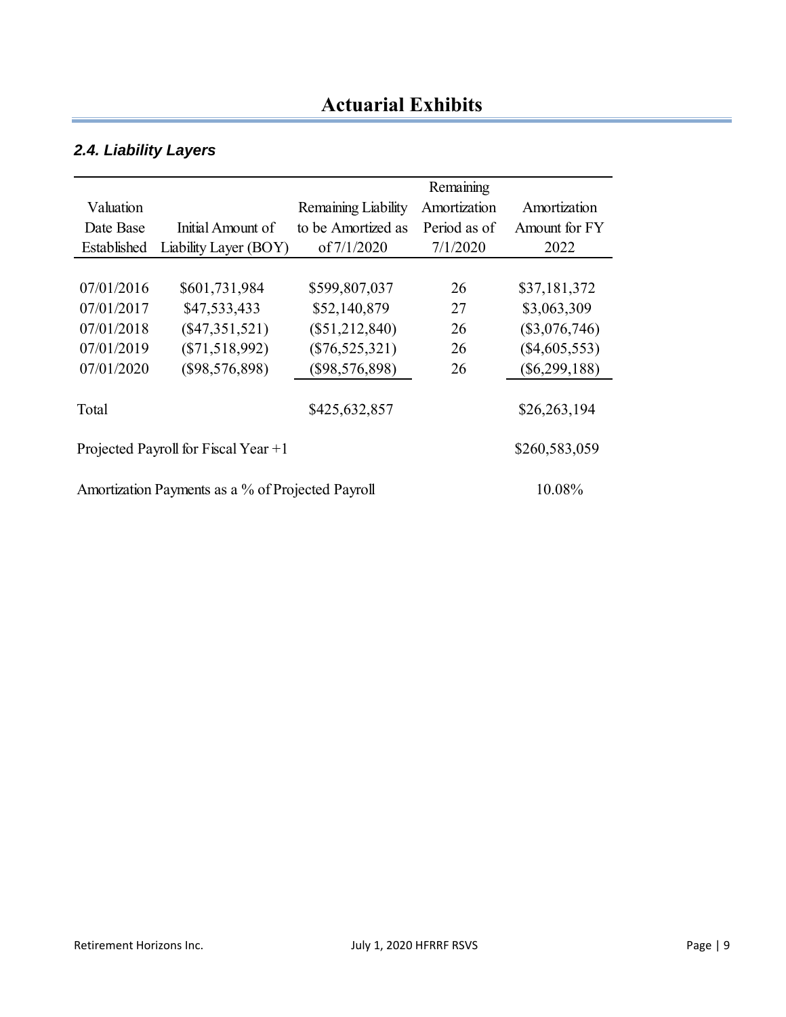### *2.4. Liability Layers*

|                                                             |                       |                     | Remaining    |                 |
|-------------------------------------------------------------|-----------------------|---------------------|--------------|-----------------|
| Valuation                                                   |                       | Remaining Liability | Amortization | Amortization    |
| Date Base                                                   | Initial Amount of     | to be Amortized as  | Period as of | Amount for FY   |
| Established                                                 | Liability Layer (BOY) | of 7/1/2020         | 7/1/2020     | 2022            |
|                                                             |                       |                     |              |                 |
| 07/01/2016                                                  | \$601,731,984         | \$599,807,037       | 26           | \$37,181,372    |
| 07/01/2017                                                  | \$47,533,433          | \$52,140,879        | 27           | \$3,063,309     |
| 07/01/2018                                                  | $(\$47,351,521)$      | $(\$51,212,840)$    | 26           | $(\$3,076,746)$ |
| 07/01/2019                                                  | $(\$71,518,992)$      | $(\$76,525,321)$    | 26           | $(\$4,605,553)$ |
| 07/01/2020                                                  | (\$98,576,898)        | $(\$98,576,898)$    | 26           | $(\$6,299,188)$ |
|                                                             |                       |                     |              |                 |
| Total                                                       |                       | \$425,632,857       |              | \$26,263,194    |
|                                                             |                       |                     |              |                 |
| \$260,583,059<br>Projected Payroll for Fiscal Year $+1$     |                       |                     |              |                 |
|                                                             |                       |                     |              |                 |
| Amortization Payments as a % of Projected Payroll<br>10.08% |                       |                     |              |                 |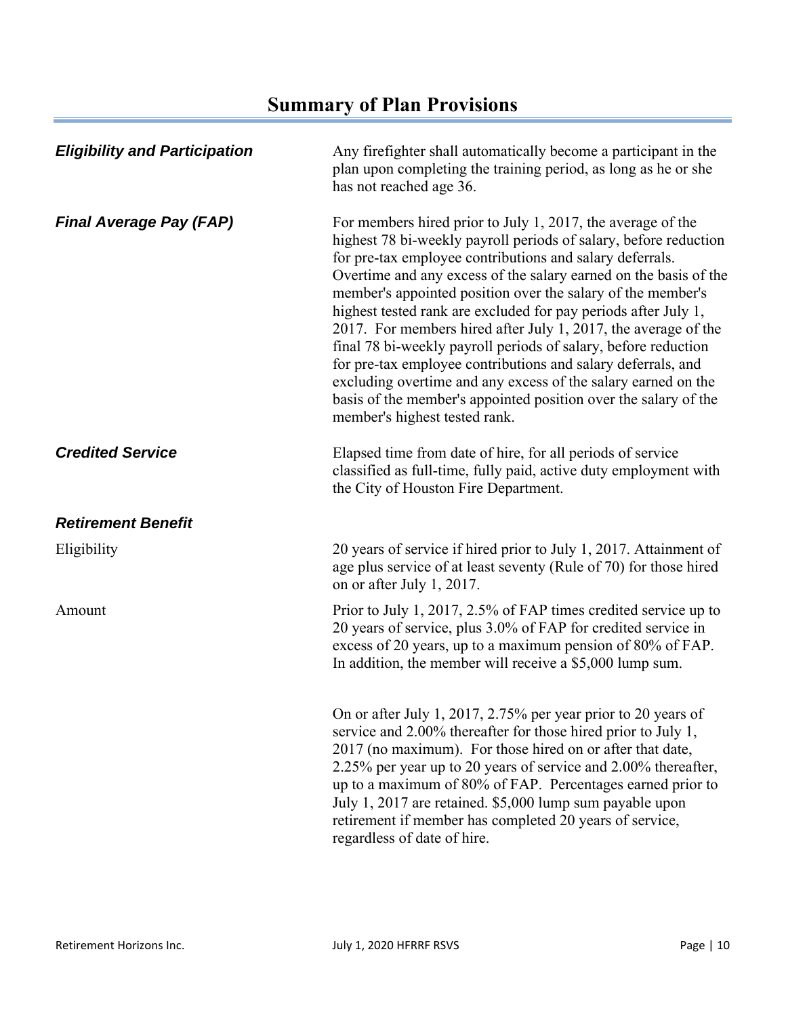| <b>Eligibility and Participation</b> | Any firefighter shall automatically become a participant in the<br>plan upon completing the training period, as long as he or she<br>has not reached age 36.                                                                                                                                                                                                                                                                                                                                                                                                                                                                                                                                                                                                              |
|--------------------------------------|---------------------------------------------------------------------------------------------------------------------------------------------------------------------------------------------------------------------------------------------------------------------------------------------------------------------------------------------------------------------------------------------------------------------------------------------------------------------------------------------------------------------------------------------------------------------------------------------------------------------------------------------------------------------------------------------------------------------------------------------------------------------------|
| <b>Final Average Pay (FAP)</b>       | For members hired prior to July 1, 2017, the average of the<br>highest 78 bi-weekly payroll periods of salary, before reduction<br>for pre-tax employee contributions and salary deferrals.<br>Overtime and any excess of the salary earned on the basis of the<br>member's appointed position over the salary of the member's<br>highest tested rank are excluded for pay periods after July 1,<br>2017. For members hired after July 1, 2017, the average of the<br>final 78 bi-weekly payroll periods of salary, before reduction<br>for pre-tax employee contributions and salary deferrals, and<br>excluding overtime and any excess of the salary earned on the<br>basis of the member's appointed position over the salary of the<br>member's highest tested rank. |
| <b>Credited Service</b>              | Elapsed time from date of hire, for all periods of service<br>classified as full-time, fully paid, active duty employment with<br>the City of Houston Fire Department.                                                                                                                                                                                                                                                                                                                                                                                                                                                                                                                                                                                                    |
| <b>Retirement Benefit</b>            |                                                                                                                                                                                                                                                                                                                                                                                                                                                                                                                                                                                                                                                                                                                                                                           |
| Eligibility                          | 20 years of service if hired prior to July 1, 2017. Attainment of<br>age plus service of at least seventy (Rule of 70) for those hired<br>on or after July 1, 2017.                                                                                                                                                                                                                                                                                                                                                                                                                                                                                                                                                                                                       |
| Amount                               | Prior to July 1, 2017, 2.5% of FAP times credited service up to<br>20 years of service, plus 3.0% of FAP for credited service in<br>excess of 20 years, up to a maximum pension of 80% of FAP.<br>In addition, the member will receive a \$5,000 lump sum.                                                                                                                                                                                                                                                                                                                                                                                                                                                                                                                |
|                                      | On or after July 1, 2017, 2.75% per year prior to 20 years of<br>service and 2.00% thereafter for those hired prior to July 1,<br>2017 (no maximum). For those hired on or after that date,<br>2.25% per year up to 20 years of service and 2.00% thereafter,<br>up to a maximum of 80% of FAP. Percentages earned prior to<br>July 1, 2017 are retained. \$5,000 lump sum payable upon<br>retirement if member has completed 20 years of service,<br>regardless of date of hire.                                                                                                                                                                                                                                                                                         |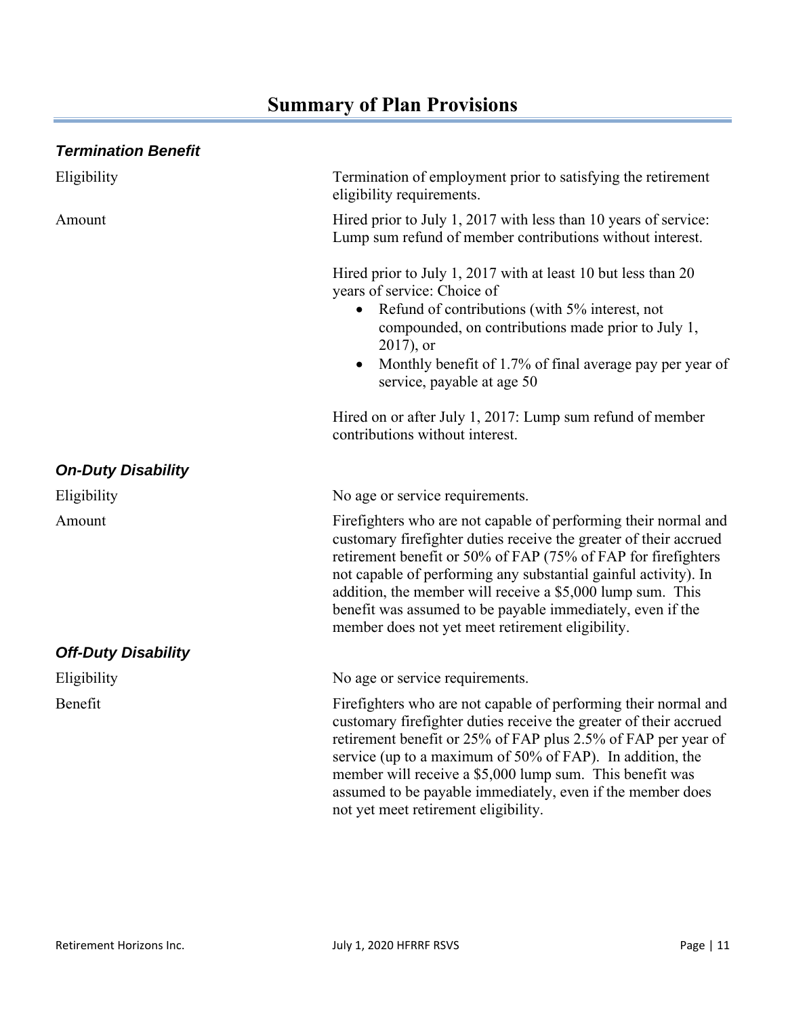| Termination of employment prior to satisfying the retirement<br>eligibility requirements.                                                                                                                                                                                                                                                                                                                                                                |
|----------------------------------------------------------------------------------------------------------------------------------------------------------------------------------------------------------------------------------------------------------------------------------------------------------------------------------------------------------------------------------------------------------------------------------------------------------|
| Hired prior to July 1, 2017 with less than 10 years of service:<br>Lump sum refund of member contributions without interest.                                                                                                                                                                                                                                                                                                                             |
| Hired prior to July 1, 2017 with at least 10 but less than 20<br>years of service: Choice of<br>• Refund of contributions (with 5% interest, not<br>compounded, on contributions made prior to July 1,<br>$2017$ , or<br>Monthly benefit of 1.7% of final average pay per year of<br>$\bullet$<br>service, payable at age 50                                                                                                                             |
| Hired on or after July 1, 2017: Lump sum refund of member<br>contributions without interest.                                                                                                                                                                                                                                                                                                                                                             |
|                                                                                                                                                                                                                                                                                                                                                                                                                                                          |
| No age or service requirements.                                                                                                                                                                                                                                                                                                                                                                                                                          |
| Firefighters who are not capable of performing their normal and<br>customary firefighter duties receive the greater of their accrued<br>retirement benefit or 50% of FAP (75% of FAP for firefighters<br>not capable of performing any substantial gainful activity). In<br>addition, the member will receive a \$5,000 lump sum. This<br>benefit was assumed to be payable immediately, even if the<br>member does not yet meet retirement eligibility. |
|                                                                                                                                                                                                                                                                                                                                                                                                                                                          |
| No age or service requirements.                                                                                                                                                                                                                                                                                                                                                                                                                          |
| Firefighters who are not capable of performing their normal and<br>customary firefighter duties receive the greater of their accrued<br>retirement benefit or 25% of FAP plus 2.5% of FAP per year of<br>service (up to a maximum of 50% of FAP). In addition, the<br>member will receive a \$5,000 lump sum. This benefit was<br>assumed to be payable immediately, even if the member does<br>not yet meet retirement eligibility.                     |
|                                                                                                                                                                                                                                                                                                                                                                                                                                                          |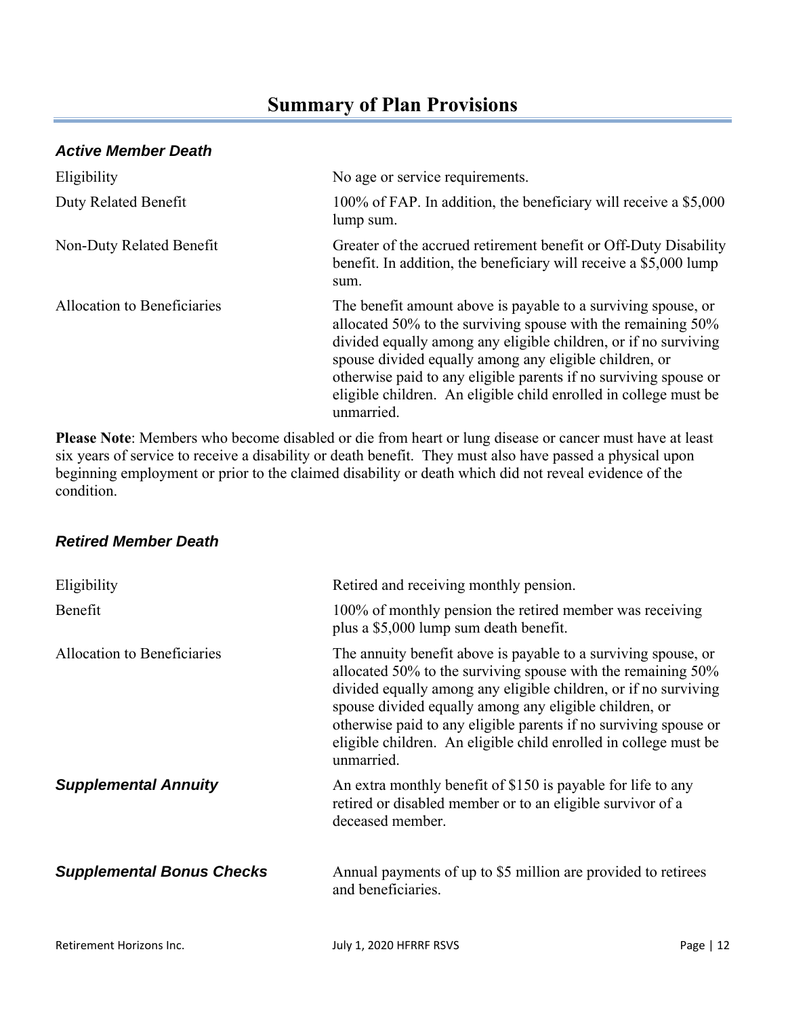### *Active Member Death*

| Eligibility                 | No age or service requirements.                                                                                                                                                                                                                                                                                                                                                                                  |
|-----------------------------|------------------------------------------------------------------------------------------------------------------------------------------------------------------------------------------------------------------------------------------------------------------------------------------------------------------------------------------------------------------------------------------------------------------|
| Duty Related Benefit        | 100% of FAP. In addition, the beneficiary will receive a \$5,000<br>lump sum.                                                                                                                                                                                                                                                                                                                                    |
| Non-Duty Related Benefit    | Greater of the accrued retirement benefit or Off-Duty Disability<br>benefit. In addition, the beneficiary will receive a \$5,000 lump<br>sum.                                                                                                                                                                                                                                                                    |
| Allocation to Beneficiaries | The benefit amount above is payable to a surviving spouse, or<br>allocated 50% to the surviving spouse with the remaining 50%<br>divided equally among any eligible children, or if no surviving<br>spouse divided equally among any eligible children, or<br>otherwise paid to any eligible parents if no surviving spouse or<br>eligible children. An eligible child enrolled in college must be<br>unmarried. |

**Please Note**: Members who become disabled or die from heart or lung disease or cancer must have at least six years of service to receive a disability or death benefit. They must also have passed a physical upon beginning employment or prior to the claimed disability or death which did not reveal evidence of the condition.

#### *Retired Member Death*

| Eligibility                      | Retired and receiving monthly pension.                                                                                                                                                                                                                                                                                                                                                                            |
|----------------------------------|-------------------------------------------------------------------------------------------------------------------------------------------------------------------------------------------------------------------------------------------------------------------------------------------------------------------------------------------------------------------------------------------------------------------|
| Benefit                          | 100% of monthly pension the retired member was receiving<br>plus a \$5,000 lump sum death benefit.                                                                                                                                                                                                                                                                                                                |
| Allocation to Beneficiaries      | The annuity benefit above is payable to a surviving spouse, or<br>allocated 50% to the surviving spouse with the remaining 50%<br>divided equally among any eligible children, or if no surviving<br>spouse divided equally among any eligible children, or<br>otherwise paid to any eligible parents if no surviving spouse or<br>eligible children. An eligible child enrolled in college must be<br>unmarried. |
| <b>Supplemental Annuity</b>      | An extra monthly benefit of \$150 is payable for life to any<br>retired or disabled member or to an eligible survivor of a<br>deceased member.                                                                                                                                                                                                                                                                    |
| <b>Supplemental Bonus Checks</b> | Annual payments of up to \$5 million are provided to retirees<br>and beneficiaries.                                                                                                                                                                                                                                                                                                                               |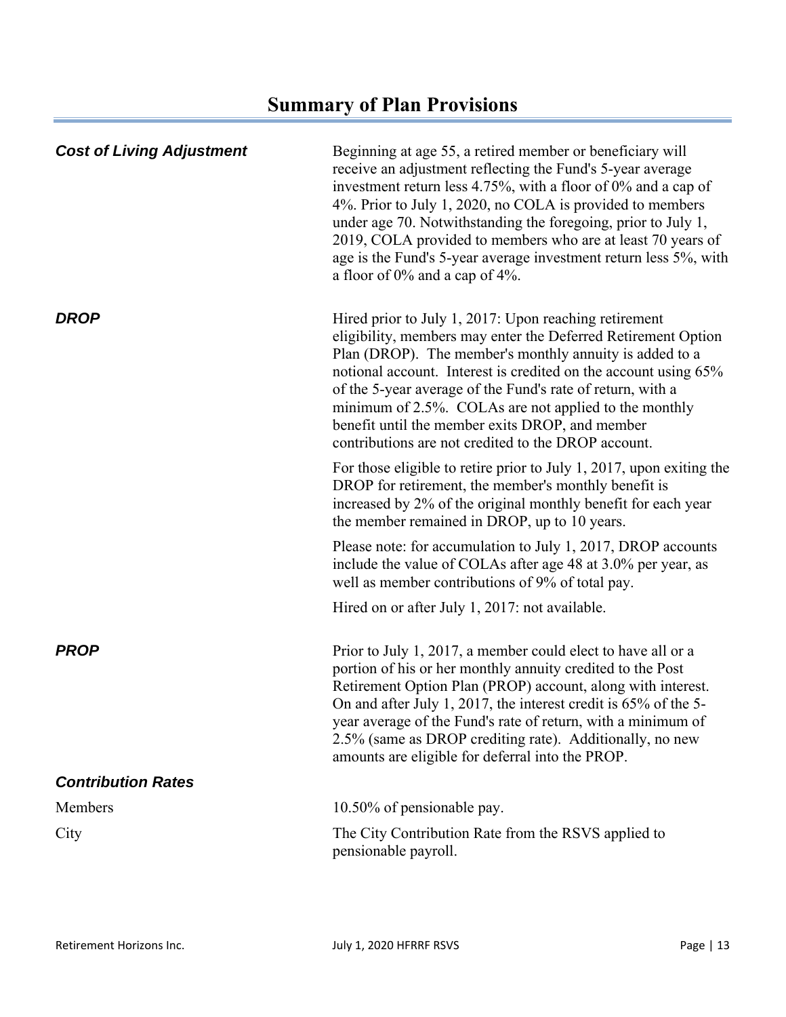| <b>Cost of Living Adjustment</b> | Beginning at age 55, a retired member or beneficiary will<br>receive an adjustment reflecting the Fund's 5-year average<br>investment return less 4.75%, with a floor of 0% and a cap of<br>4%. Prior to July 1, 2020, no COLA is provided to members<br>under age 70. Notwithstanding the foregoing, prior to July 1,<br>2019, COLA provided to members who are at least 70 years of<br>age is the Fund's 5-year average investment return less 5%, with<br>a floor of $0\%$ and a cap of $4\%$ . |
|----------------------------------|----------------------------------------------------------------------------------------------------------------------------------------------------------------------------------------------------------------------------------------------------------------------------------------------------------------------------------------------------------------------------------------------------------------------------------------------------------------------------------------------------|
| <b>DROP</b>                      | Hired prior to July 1, 2017: Upon reaching retirement<br>eligibility, members may enter the Deferred Retirement Option<br>Plan (DROP). The member's monthly annuity is added to a<br>notional account. Interest is credited on the account using 65%<br>of the 5-year average of the Fund's rate of return, with a<br>minimum of 2.5%. COLAs are not applied to the monthly<br>benefit until the member exits DROP, and member<br>contributions are not credited to the DROP account.              |
|                                  | For those eligible to retire prior to July 1, 2017, upon exiting the<br>DROP for retirement, the member's monthly benefit is<br>increased by 2% of the original monthly benefit for each year<br>the member remained in DROP, up to 10 years.                                                                                                                                                                                                                                                      |
|                                  | Please note: for accumulation to July 1, 2017, DROP accounts<br>include the value of COLAs after age 48 at 3.0% per year, as<br>well as member contributions of 9% of total pay.                                                                                                                                                                                                                                                                                                                   |
|                                  | Hired on or after July 1, 2017: not available.                                                                                                                                                                                                                                                                                                                                                                                                                                                     |
| <b>PROP</b>                      | Prior to July 1, 2017, a member could elect to have all or a<br>portion of his or her monthly annuity credited to the Post<br>Retirement Option Plan (PROP) account, along with interest.<br>On and after July 1, 2017, the interest credit is 65% of the 5-<br>year average of the Fund's rate of return, with a minimum of<br>2.5% (same as DROP crediting rate). Additionally, no new<br>amounts are eligible for deferral into the PROP.                                                       |
| <b>Contribution Rates</b>        |                                                                                                                                                                                                                                                                                                                                                                                                                                                                                                    |
| Members                          | 10.50% of pensionable pay.                                                                                                                                                                                                                                                                                                                                                                                                                                                                         |
| City                             | The City Contribution Rate from the RSVS applied to<br>pensionable payroll.                                                                                                                                                                                                                                                                                                                                                                                                                        |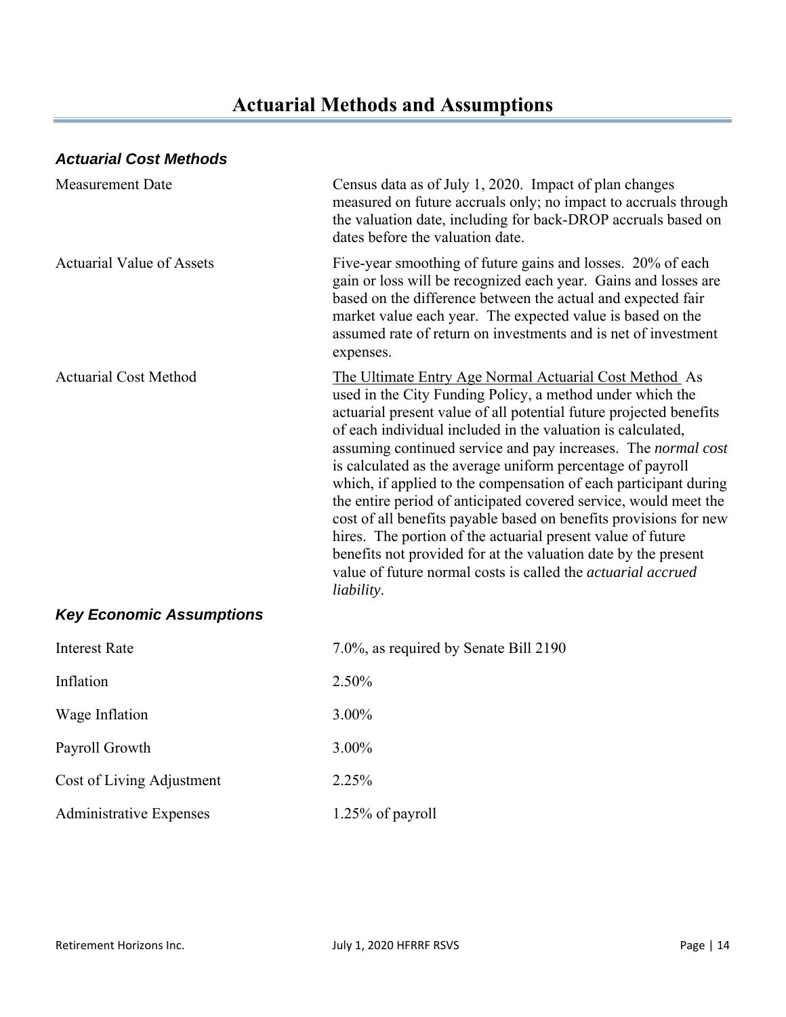## **Actuarial Methods and Assumptions**

### *Actuarial Cost Methods*

| Measurement Date                 | Census data as of July 1, 2020. Impact of plan changes<br>measured on future accruals only; no impact to accruals through<br>the valuation date, including for back-DROP accruals based on<br>dates before the valuation date.                                                                                                                                                                                                                                                                                                                                                                                                                                                                                                                                                                                             |
|----------------------------------|----------------------------------------------------------------------------------------------------------------------------------------------------------------------------------------------------------------------------------------------------------------------------------------------------------------------------------------------------------------------------------------------------------------------------------------------------------------------------------------------------------------------------------------------------------------------------------------------------------------------------------------------------------------------------------------------------------------------------------------------------------------------------------------------------------------------------|
| <b>Actuarial Value of Assets</b> | Five-year smoothing of future gains and losses. 20% of each<br>gain or loss will be recognized each year. Gains and losses are<br>based on the difference between the actual and expected fair<br>market value each year. The expected value is based on the<br>assumed rate of return on investments and is net of investment<br>expenses.                                                                                                                                                                                                                                                                                                                                                                                                                                                                                |
| <b>Actuarial Cost Method</b>     | The Ultimate Entry Age Normal Actuarial Cost Method As<br>used in the City Funding Policy, a method under which the<br>actuarial present value of all potential future projected benefits<br>of each individual included in the valuation is calculated,<br>assuming continued service and pay increases. The normal cost<br>is calculated as the average uniform percentage of payroll<br>which, if applied to the compensation of each participant during<br>the entire period of anticipated covered service, would meet the<br>cost of all benefits payable based on benefits provisions for new<br>hires. The portion of the actuarial present value of future<br>benefits not provided for at the valuation date by the present<br>value of future normal costs is called the <i>actuarial accrued</i><br>liability. |
| <b>Key Economic Assumptions</b>  |                                                                                                                                                                                                                                                                                                                                                                                                                                                                                                                                                                                                                                                                                                                                                                                                                            |
| <b>Interest Rate</b>             | 7.0%, as required by Senate Bill 2190                                                                                                                                                                                                                                                                                                                                                                                                                                                                                                                                                                                                                                                                                                                                                                                      |
| Inflation                        | 2.50%                                                                                                                                                                                                                                                                                                                                                                                                                                                                                                                                                                                                                                                                                                                                                                                                                      |
| Wage Inflation                   | 3.00%                                                                                                                                                                                                                                                                                                                                                                                                                                                                                                                                                                                                                                                                                                                                                                                                                      |
| Payroll Growth                   | 3.00%                                                                                                                                                                                                                                                                                                                                                                                                                                                                                                                                                                                                                                                                                                                                                                                                                      |
| Cost of Living Adjustment        | 2.25%                                                                                                                                                                                                                                                                                                                                                                                                                                                                                                                                                                                                                                                                                                                                                                                                                      |

Administrative Expenses 1.25% of payroll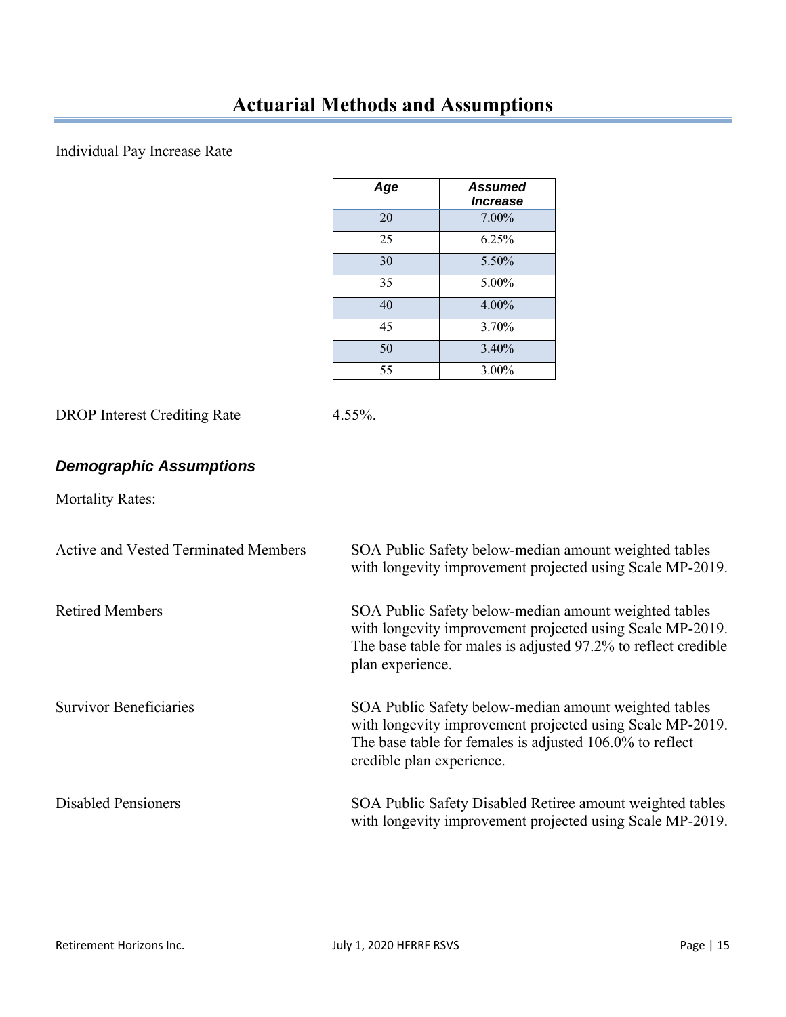### Individual Pay Increase Rate

| Age | Assumed<br><i><b>Increase</b></i> |
|-----|-----------------------------------|
| 20  | $7.00\%$                          |
| 25  | 6.25%                             |
| 30  | 5.50%                             |
| 35  | 5.00%                             |
| 40  | 4.00%                             |
| 45  | 3.70%                             |
| 50  | 3.40%                             |
| 55  | 3.00%                             |

DROP Interest Crediting Rate 4.55%.

### *Demographic Assumptions*

Mortality Rates:

| <b>Active and Vested Terminated Members</b> | SOA Public Safety below-median amount weighted tables<br>with longevity improvement projected using Scale MP-2019.                                                                                          |
|---------------------------------------------|-------------------------------------------------------------------------------------------------------------------------------------------------------------------------------------------------------------|
| <b>Retired Members</b>                      | SOA Public Safety below-median amount weighted tables<br>with longevity improvement projected using Scale MP-2019.<br>The base table for males is adjusted 97.2% to reflect credible<br>plan experience.    |
| <b>Survivor Beneficiaries</b>               | SOA Public Safety below-median amount weighted tables<br>with longevity improvement projected using Scale MP-2019.<br>The base table for females is adjusted 106.0% to reflect<br>credible plan experience. |
| <b>Disabled Pensioners</b>                  | SOA Public Safety Disabled Retiree amount weighted tables<br>with longevity improvement projected using Scale MP-2019.                                                                                      |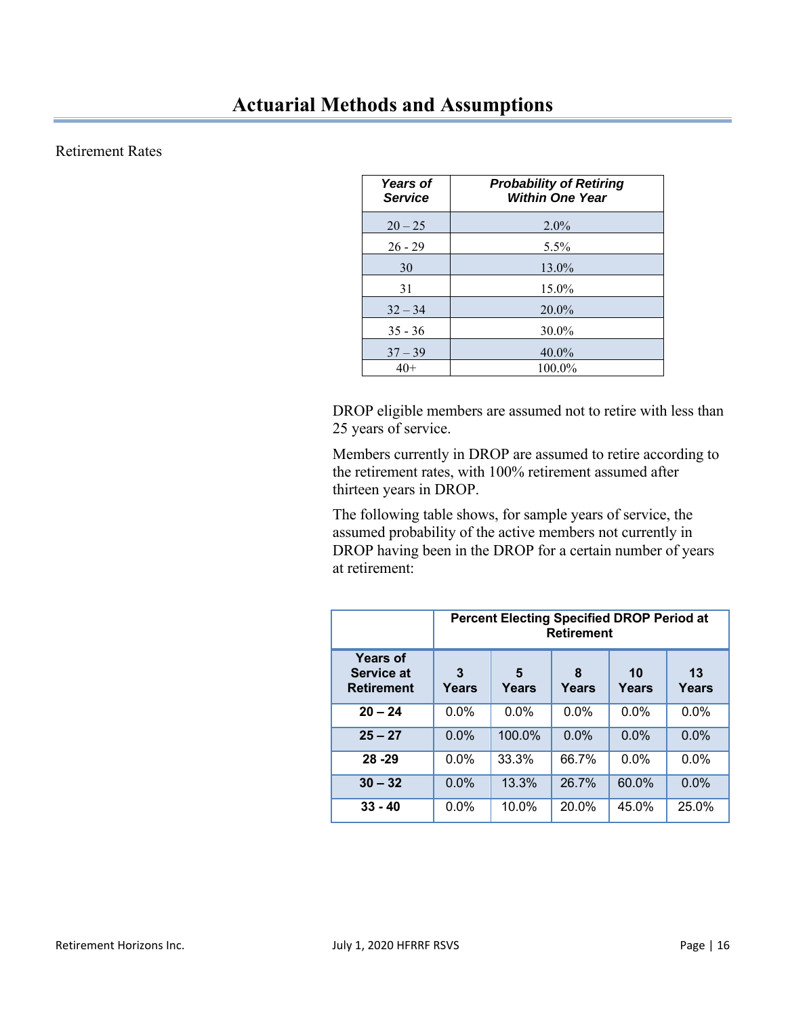### Retirement Rates

| <b>Years of</b><br><b>Service</b> | <b>Probability of Retiring</b><br><b>Within One Year</b> |
|-----------------------------------|----------------------------------------------------------|
| $20 - 25$                         | $2.0\%$                                                  |
| $26 - 29$                         | $5.5\%$                                                  |
| 30                                | 13.0%                                                    |
| 31                                | 15.0%                                                    |
| $32 - 34$                         | $20.0\%$                                                 |
| $35 - 36$                         | 30.0%                                                    |
| $37 - 39$                         | $40.0\%$                                                 |
| $40+$                             | 100.0%                                                   |

DROP eligible members are assumed not to retire with less than 25 years of service.

Members currently in DROP are assumed to retire according to the retirement rates, with 100% retirement assumed after thirteen years in DROP.

 The following table shows, for sample years of service, the assumed probability of the active members not currently in DROP having been in the DROP for a certain number of years at retirement:

|                                                           | <b>Percent Electing Specified DROP Period at</b><br><b>Retirement</b> |             |       |         |         |
|-----------------------------------------------------------|-----------------------------------------------------------------------|-------------|-------|---------|---------|
| <b>Years of</b><br><b>Service at</b><br><b>Retirement</b> | 3<br>Years                                                            | 13<br>Years |       |         |         |
| $20 - 24$                                                 | 0.0%                                                                  | $0.0\%$     | 0.0%  | 0.0%    | 0.0%    |
| $25 - 27$                                                 | $0.0\%$                                                               | 100.0%      | 0.0%  | 0.0%    | 0.0%    |
| $28 - 29$                                                 | $0.0\%$                                                               | 33.3%       | 66.7% | $0.0\%$ | $0.0\%$ |
| $30 - 32$                                                 | $0.0\%$                                                               | 13.3%       | 26.7% | 60.0%   | $0.0\%$ |
| $33 - 40$                                                 | $0.0\%$                                                               | 10.0%       | 20.0% | 45.0%   | 25.0%   |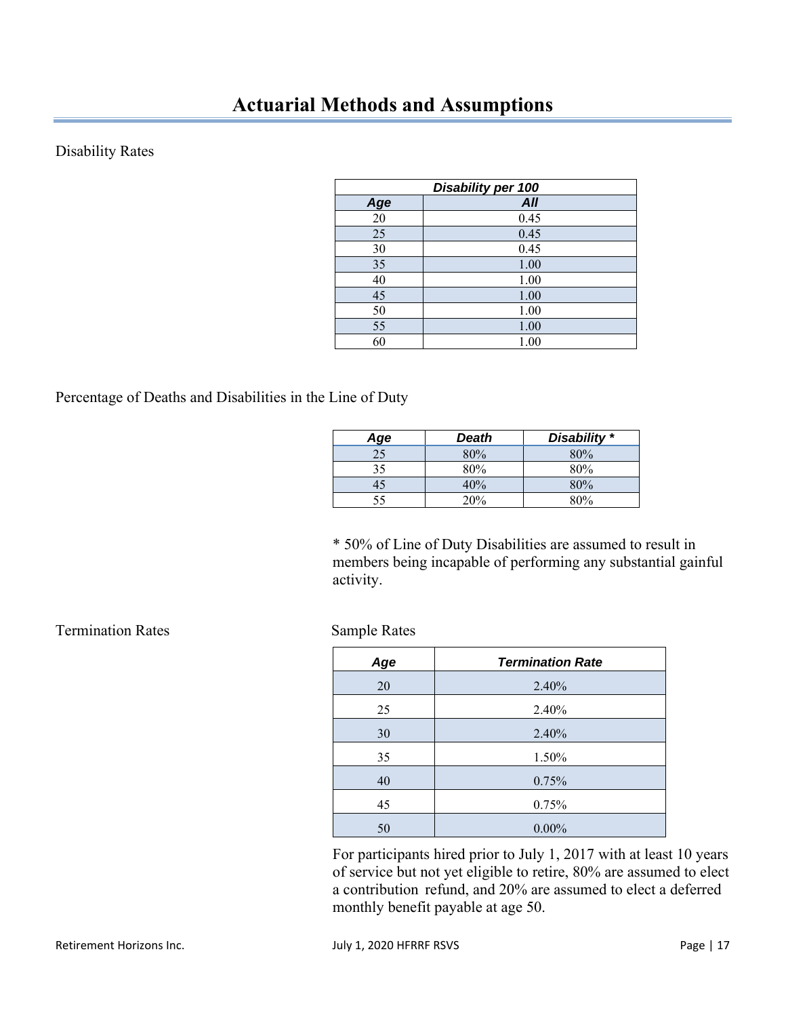### Disability Rates

| Disability per 100 |            |  |  |  |
|--------------------|------------|--|--|--|
| Age                | <b>All</b> |  |  |  |
| 20                 | 0.45       |  |  |  |
| 25                 | 0.45       |  |  |  |
| 30                 | 0.45       |  |  |  |
| 35                 | 1.00       |  |  |  |
| 40                 | 1.00       |  |  |  |
| 45                 | 1.00       |  |  |  |
| 50                 | 1.00       |  |  |  |
| 55                 | 1.00       |  |  |  |
| 60                 | 1.00       |  |  |  |

#### Percentage of Deaths and Disabilities in the Line of Duty

| Age | Death | Disability * |
|-----|-------|--------------|
| 25  | 80%   | 80%          |
| 35  | 80%   | 80%          |
| 45  | 40%   | 80%          |
| 55  | 20%   | 80%          |

\* 50% of Line of Duty Disabilities are assumed to result in members being incapable of performing any substantial gainful activity.

| Age | <b>Termination Rate</b> |
|-----|-------------------------|
| 20  | 2.40%                   |
| 25  | 2.40%                   |
| 30  | 2.40%                   |
| 35  | 1.50%                   |
| 40  | 0.75%                   |
| 45  | 0.75%                   |
| 50  | $0.00\%$                |

 For participants hired prior to July 1, 2017 with at least 10 years of service but not yet eligible to retire, 80% are assumed to elect a contribution refund, and 20% are assumed to elect a deferred monthly benefit payable at age 50.

**Termination Rates Sample Rates**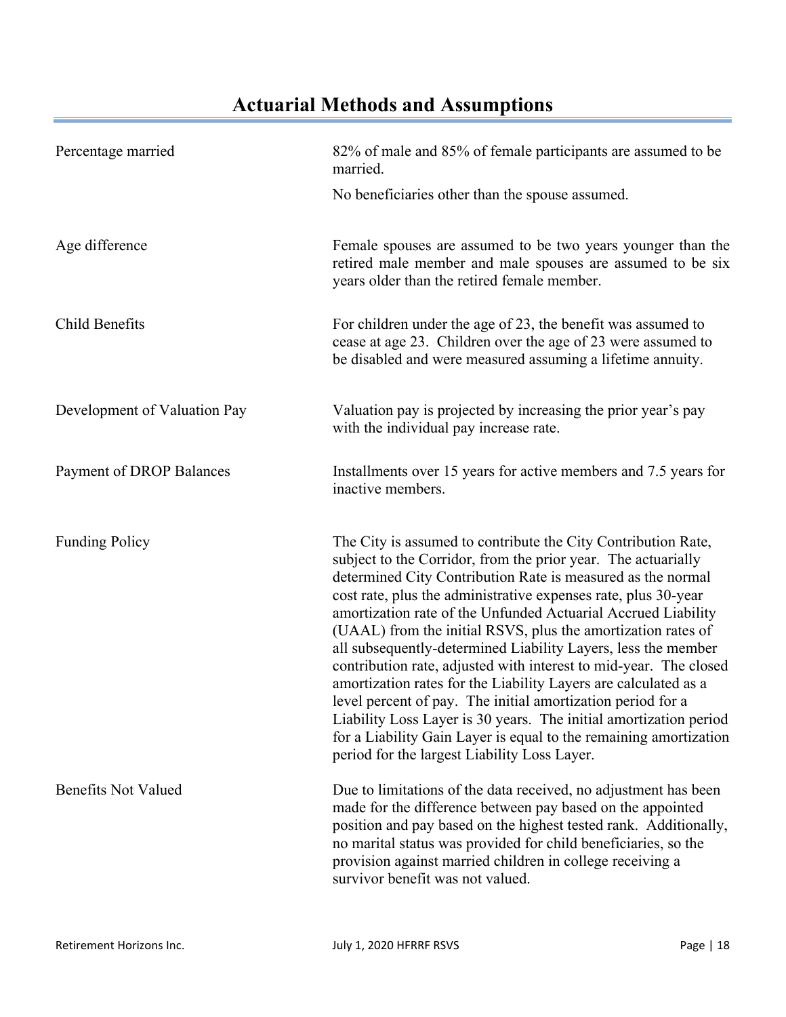## **Actuarial Methods and Assumptions**

| Percentage married           | 82% of male and 85% of female participants are assumed to be<br>married.                                                                                                                                                                                                                                                                                                                                                                                                                                                                                                                                                                                                                                                                                                                                                                                           |  |  |  |  |
|------------------------------|--------------------------------------------------------------------------------------------------------------------------------------------------------------------------------------------------------------------------------------------------------------------------------------------------------------------------------------------------------------------------------------------------------------------------------------------------------------------------------------------------------------------------------------------------------------------------------------------------------------------------------------------------------------------------------------------------------------------------------------------------------------------------------------------------------------------------------------------------------------------|--|--|--|--|
|                              | No beneficiaries other than the spouse assumed.                                                                                                                                                                                                                                                                                                                                                                                                                                                                                                                                                                                                                                                                                                                                                                                                                    |  |  |  |  |
| Age difference               | Female spouses are assumed to be two years younger than the<br>retired male member and male spouses are assumed to be six<br>years older than the retired female member.                                                                                                                                                                                                                                                                                                                                                                                                                                                                                                                                                                                                                                                                                           |  |  |  |  |
| Child Benefits               | For children under the age of 23, the benefit was assumed to<br>cease at age 23. Children over the age of 23 were assumed to<br>be disabled and were measured assuming a lifetime annuity.                                                                                                                                                                                                                                                                                                                                                                                                                                                                                                                                                                                                                                                                         |  |  |  |  |
| Development of Valuation Pay | Valuation pay is projected by increasing the prior year's pay<br>with the individual pay increase rate.                                                                                                                                                                                                                                                                                                                                                                                                                                                                                                                                                                                                                                                                                                                                                            |  |  |  |  |
| Payment of DROP Balances     | Installments over 15 years for active members and 7.5 years for<br>inactive members.                                                                                                                                                                                                                                                                                                                                                                                                                                                                                                                                                                                                                                                                                                                                                                               |  |  |  |  |
| <b>Funding Policy</b>        | The City is assumed to contribute the City Contribution Rate,<br>subject to the Corridor, from the prior year. The actuarially<br>determined City Contribution Rate is measured as the normal<br>cost rate, plus the administrative expenses rate, plus 30-year<br>amortization rate of the Unfunded Actuarial Accrued Liability<br>(UAAL) from the initial RSVS, plus the amortization rates of<br>all subsequently-determined Liability Layers, less the member<br>contribution rate, adjusted with interest to mid-year. The closed<br>amortization rates for the Liability Layers are calculated as a<br>level percent of pay. The initial amortization period for a<br>Liability Loss Layer is 30 years. The initial amortization period<br>for a Liability Gain Layer is equal to the remaining amortization<br>period for the largest Liability Loss Layer. |  |  |  |  |
| <b>Benefits Not Valued</b>   | Due to limitations of the data received, no adjustment has been<br>made for the difference between pay based on the appointed<br>position and pay based on the highest tested rank. Additionally,<br>no marital status was provided for child beneficiaries, so the<br>provision against married children in college receiving a<br>survivor benefit was not valued.                                                                                                                                                                                                                                                                                                                                                                                                                                                                                               |  |  |  |  |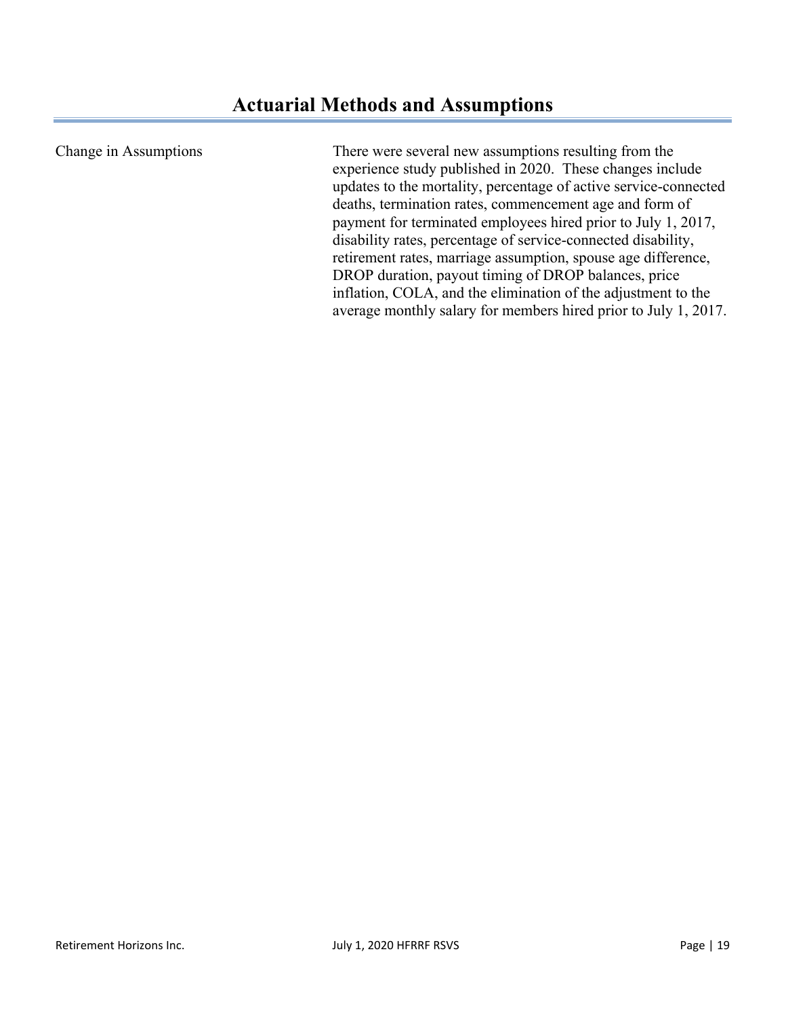Change in Assumptions There were several new assumptions resulting from the experience study published in 2020. These changes include updates to the mortality, percentage of active service-connected deaths, termination rates, commencement age and form of payment for terminated employees hired prior to July 1, 2017, disability rates, percentage of service-connected disability, retirement rates, marriage assumption, spouse age difference, DROP duration, payout timing of DROP balances, price inflation, COLA, and the elimination of the adjustment to the average monthly salary for members hired prior to July 1, 2017.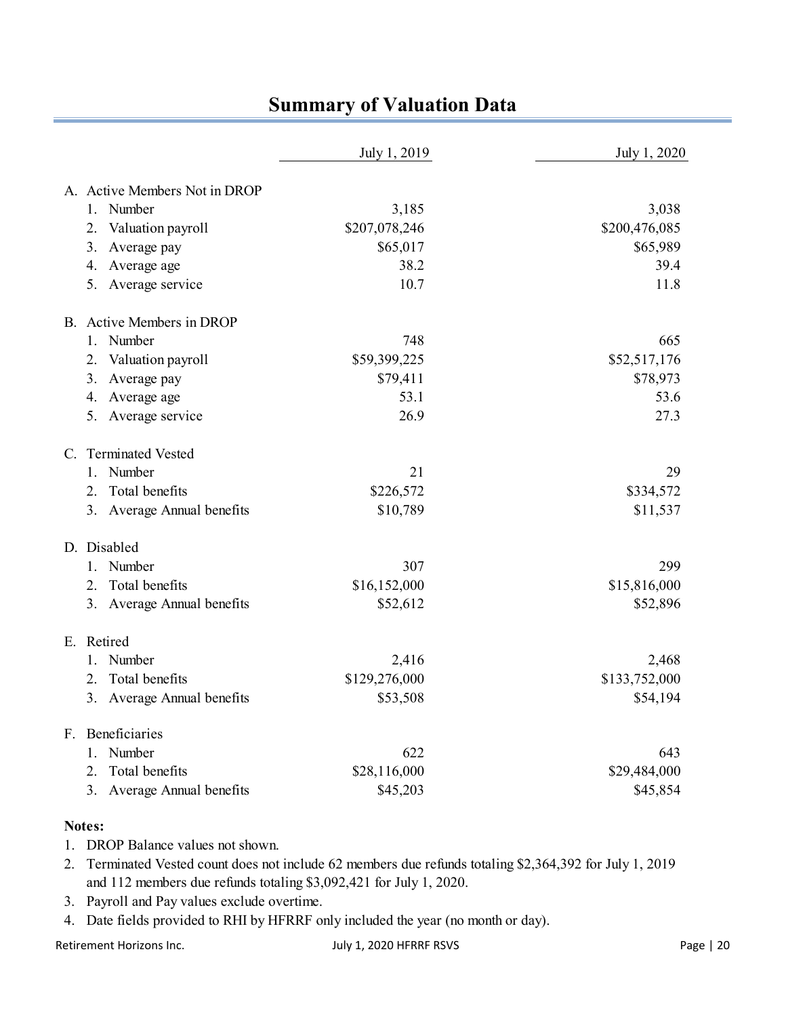|                                         | July 1, 2019  | July 1, 2020  |
|-----------------------------------------|---------------|---------------|
| A. Active Members Not in DROP           |               |               |
| 1. Number                               | 3,185         | 3,038         |
| Valuation payroll<br>2.                 | \$207,078,246 | \$200,476,085 |
| 3. Average pay                          | \$65,017      | \$65,989      |
| Average age<br>4.                       | 38.2          | 39.4          |
| 5. Average service                      | 10.7          | 11.8          |
| B. Active Members in DROP               |               |               |
| 1. Number                               | 748           | 665           |
| Valuation payroll<br>2.                 | \$59,399,225  | \$52,517,176  |
| 3. Average pay                          | \$79,411      | \$78,973      |
| 4. Average age                          | 53.1          | 53.6          |
| Average service<br>5.                   | 26.9          | 27.3          |
| <b>Terminated Vested</b><br>$C_{\cdot}$ |               |               |
| Number<br>1.                            | 21            | 29            |
| Total benefits<br>2.                    | \$226,572     | \$334,572     |
| 3. Average Annual benefits              | \$10,789      | \$11,537      |
| D. Disabled                             |               |               |
| 1. Number                               | 307           | 299           |
| Total benefits<br>2.                    | \$16,152,000  | \$15,816,000  |
| Average Annual benefits<br>3.           | \$52,612      | \$52,896      |
| E. Retired                              |               |               |
| Number<br>1.                            | 2,416         | 2,468         |
| Total benefits<br>2.                    | \$129,276,000 | \$133,752,000 |
| 3. Average Annual benefits              | \$53,508      | \$54,194      |
| Beneficiaries<br>F.                     |               |               |
| Number<br>1.                            | 622           | 643           |
| Total benefits<br>2.                    | \$28,116,000  | \$29,484,000  |
| 3.<br>Average Annual benefits           | \$45,203      | \$45,854      |

### **Summary of Valuation Data**

#### **Notes:**

- 1. DROP Balance values not shown.
- 2. Terminated Vested count does not include 62 members due refunds totaling \$2,364,392 for July 1, 2019 and 112 members due refunds totaling \$3,092,421 for July 1, 2020.
- 3. Payroll and Pay values exclude overtime.
- 4. Date fields provided to RHI by HFRRF only included the year (no month or day).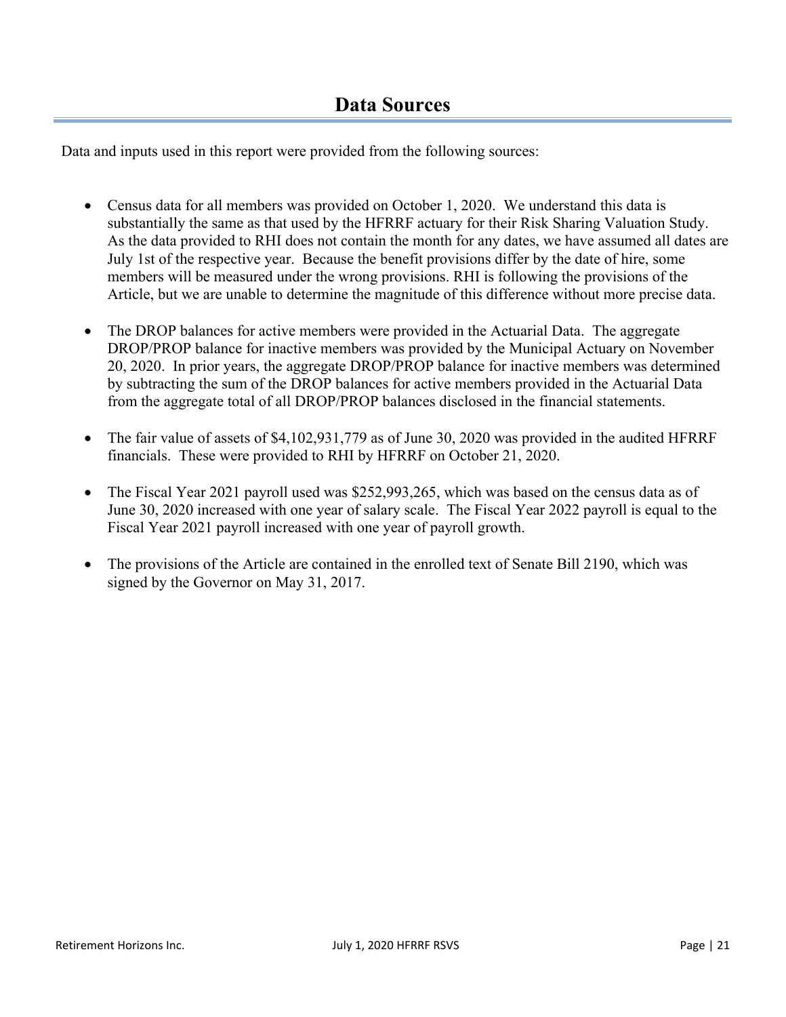Data and inputs used in this report were provided from the following sources:

- Census data for all members was provided on October 1, 2020. We understand this data is substantially the same as that used by the HFRRF actuary for their Risk Sharing Valuation Study. As the data provided to RHI does not contain the month for any dates, we have assumed all dates are July 1st of the respective year. Because the benefit provisions differ by the date of hire, some members will be measured under the wrong provisions. RHI is following the provisions of the Article, but we are unable to determine the magnitude of this difference without more precise data.
- The DROP balances for active members were provided in the Actuarial Data. The aggregate DROP/PROP balance for inactive members was provided by the Municipal Actuary on November 20, 2020. In prior years, the aggregate DROP/PROP balance for inactive members was determined by subtracting the sum of the DROP balances for active members provided in the Actuarial Data from the aggregate total of all DROP/PROP balances disclosed in the financial statements.
- The fair value of assets of \$4,102,931,779 as of June 30, 2020 was provided in the audited HFRRF financials. These were provided to RHI by HFRRF on October 21, 2020.
- The Fiscal Year 2021 payroll used was \$252,993,265, which was based on the census data as of June 30, 2020 increased with one year of salary scale. The Fiscal Year 2022 payroll is equal to the Fiscal Year 2021 payroll increased with one year of payroll growth.
- The provisions of the Article are contained in the enrolled text of Senate Bill 2190, which was signed by the Governor on May 31, 2017.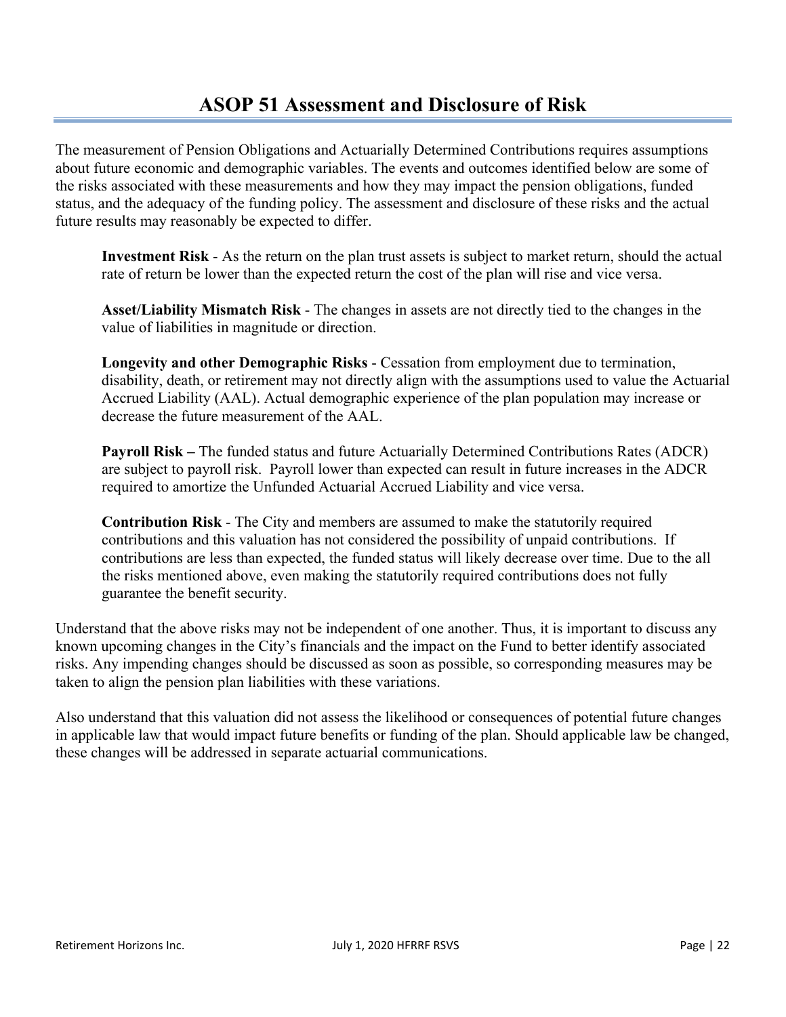The measurement of Pension Obligations and Actuarially Determined Contributions requires assumptions about future economic and demographic variables. The events and outcomes identified below are some of the risks associated with these measurements and how they may impact the pension obligations, funded status, and the adequacy of the funding policy. The assessment and disclosure of these risks and the actual future results may reasonably be expected to differ.

**Investment Risk** - As the return on the plan trust assets is subject to market return, should the actual rate of return be lower than the expected return the cost of the plan will rise and vice versa.

**Asset/Liability Mismatch Risk** - The changes in assets are not directly tied to the changes in the value of liabilities in magnitude or direction.

**Longevity and other Demographic Risks** - Cessation from employment due to termination, disability, death, or retirement may not directly align with the assumptions used to value the Actuarial Accrued Liability (AAL). Actual demographic experience of the plan population may increase or decrease the future measurement of the AAL.

**Payroll Risk –** The funded status and future Actuarially Determined Contributions Rates (ADCR) are subject to payroll risk. Payroll lower than expected can result in future increases in the ADCR required to amortize the Unfunded Actuarial Accrued Liability and vice versa.

**Contribution Risk** - The City and members are assumed to make the statutorily required contributions and this valuation has not considered the possibility of unpaid contributions. If contributions are less than expected, the funded status will likely decrease over time. Due to the all the risks mentioned above, even making the statutorily required contributions does not fully guarantee the benefit security.

Understand that the above risks may not be independent of one another. Thus, it is important to discuss any known upcoming changes in the City's financials and the impact on the Fund to better identify associated risks. Any impending changes should be discussed as soon as possible, so corresponding measures may be taken to align the pension plan liabilities with these variations.

Also understand that this valuation did not assess the likelihood or consequences of potential future changes in applicable law that would impact future benefits or funding of the plan. Should applicable law be changed, these changes will be addressed in separate actuarial communications.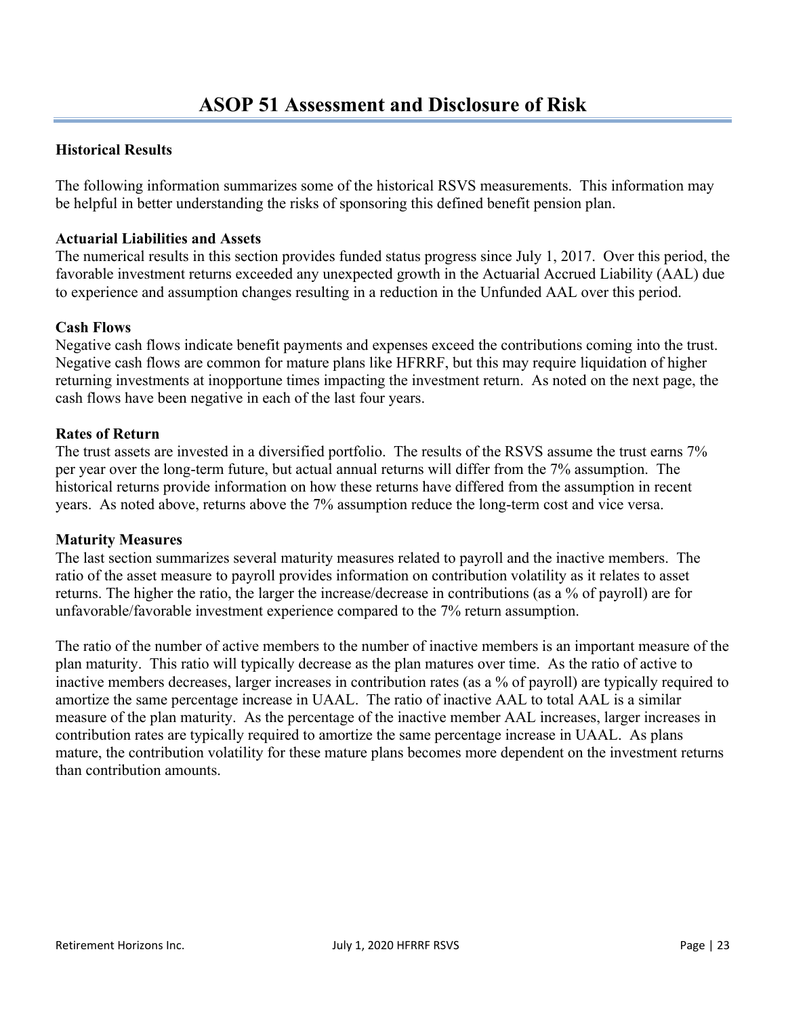### **Historical Results**

The following information summarizes some of the historical RSVS measurements. This information may be helpful in better understanding the risks of sponsoring this defined benefit pension plan.

#### **Actuarial Liabilities and Assets**

The numerical results in this section provides funded status progress since July 1, 2017. Over this period, the favorable investment returns exceeded any unexpected growth in the Actuarial Accrued Liability (AAL) due to experience and assumption changes resulting in a reduction in the Unfunded AAL over this period.

#### **Cash Flows**

Negative cash flows indicate benefit payments and expenses exceed the contributions coming into the trust. Negative cash flows are common for mature plans like HFRRF, but this may require liquidation of higher returning investments at inopportune times impacting the investment return. As noted on the next page, the cash flows have been negative in each of the last four years.

#### **Rates of Return**

The trust assets are invested in a diversified portfolio. The results of the RSVS assume the trust earns 7% per year over the long-term future, but actual annual returns will differ from the 7% assumption. The historical returns provide information on how these returns have differed from the assumption in recent years. As noted above, returns above the 7% assumption reduce the long-term cost and vice versa.

#### **Maturity Measures**

The last section summarizes several maturity measures related to payroll and the inactive members. The ratio of the asset measure to payroll provides information on contribution volatility as it relates to asset returns. The higher the ratio, the larger the increase/decrease in contributions (as a % of payroll) are for unfavorable/favorable investment experience compared to the 7% return assumption.

The ratio of the number of active members to the number of inactive members is an important measure of the plan maturity. This ratio will typically decrease as the plan matures over time. As the ratio of active to inactive members decreases, larger increases in contribution rates (as a % of payroll) are typically required to amortize the same percentage increase in UAAL. The ratio of inactive AAL to total AAL is a similar measure of the plan maturity. As the percentage of the inactive member AAL increases, larger increases in contribution rates are typically required to amortize the same percentage increase in UAAL. As plans mature, the contribution volatility for these mature plans becomes more dependent on the investment returns than contribution amounts.